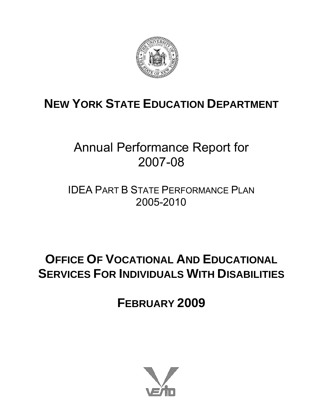

# **NEW YORK STATE EDUCATION DEPARTMENT**

## Annual Performance Report for 2007-08

IDEA PART B STATE PERFORMANCE PLAN 2005-2010

## **OFFICE OF VOCATIONAL AND EDUCATIONAL SERVICES FOR INDIVIDUALS WITH DISABILITIES**

**FEBRUARY 2009** 

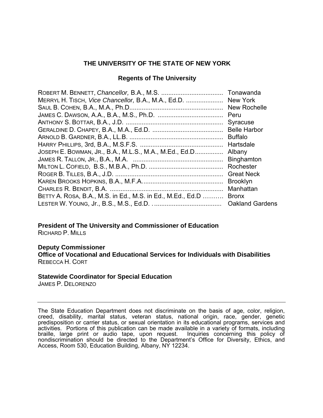#### **THE UNIVERSITY OF THE STATE OF NEW YORK**

#### **Regents of The University**

| MERRYL H. TISCH, Vice Chancellor, B.A., M.A., Ed.D.  New York              |
|----------------------------------------------------------------------------|
| New Rochelle                                                               |
| Peru                                                                       |
| Syracuse                                                                   |
| <b>Belle Harbor</b>                                                        |
| <b>Buffalo</b>                                                             |
|                                                                            |
|                                                                            |
| Binghamton                                                                 |
| Rochester                                                                  |
| <b>Great Neck</b>                                                          |
| <b>Brooklyn</b>                                                            |
| Manhattan                                                                  |
| BETTY A. ROSA, B.A., M.S. in Ed., M.S. in Ed., M.Ed., Ed.D<br><b>Bronx</b> |
| <b>Oakland Gardens</b>                                                     |
|                                                                            |

**President of The University and Commissioner of Education**  RICHARD P. MILLS

#### **Deputy Commissioner**

**Office of Vocational and Educational Services for Individuals with Disabilities**  REBECCA H. CORT

#### **Statewide Coordinator for Special Education**

JAMES P. DELORENZO

The State Education Department does not discriminate on the basis of age, color, religion, creed, disability, marital status, veteran status, national origin, race, gender, genetic predisposition or carrier status, or sexual orientation in its educational programs, services and activities. Portions of this publication can be made available in a variety of formats, including braille, large print or audio tape, upon request. Inquiries concerning this policy of nondiscrimination should be directed to the Department's Office for Diversity, Ethics, and Access, Room 530, Education Building, Albany, NY 12234.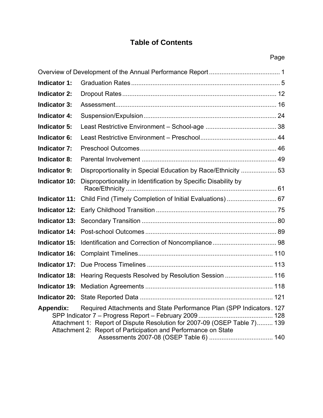## **Table of Contents**

|                      |                                                                                                                                                                                                                     | Page |
|----------------------|---------------------------------------------------------------------------------------------------------------------------------------------------------------------------------------------------------------------|------|
|                      |                                                                                                                                                                                                                     |      |
| <b>Indicator 1:</b>  |                                                                                                                                                                                                                     |      |
| <b>Indicator 2:</b>  |                                                                                                                                                                                                                     |      |
| <b>Indicator 3:</b>  |                                                                                                                                                                                                                     |      |
| <b>Indicator 4:</b>  |                                                                                                                                                                                                                     |      |
| <b>Indicator 5:</b>  |                                                                                                                                                                                                                     |      |
| <b>Indicator 6:</b>  |                                                                                                                                                                                                                     |      |
| <b>Indicator 7:</b>  |                                                                                                                                                                                                                     |      |
| <b>Indicator 8:</b>  |                                                                                                                                                                                                                     |      |
| <b>Indicator 9:</b>  | Disproportionality in Special Education by Race/Ethnicity  53                                                                                                                                                       |      |
| <b>Indicator 10:</b> | Disproportionality in Identification by Specific Disability by                                                                                                                                                      |      |
|                      | Indicator 11: Child Find (Timely Completion of Initial Evaluations)  67                                                                                                                                             |      |
|                      |                                                                                                                                                                                                                     |      |
|                      |                                                                                                                                                                                                                     |      |
| <b>Indicator 14:</b> |                                                                                                                                                                                                                     |      |
| <b>Indicator 15:</b> |                                                                                                                                                                                                                     |      |
| <b>Indicator 16:</b> |                                                                                                                                                                                                                     |      |
| <b>Indicator 17:</b> |                                                                                                                                                                                                                     |      |
|                      | Indicator 18: Hearing Requests Resolved by Resolution Session  116                                                                                                                                                  |      |
|                      |                                                                                                                                                                                                                     |      |
|                      |                                                                                                                                                                                                                     |      |
| <b>Appendix:</b>     | Required Attachments and State Performance Plan (SPP Indicators. 127<br>Attachment 1: Report of Dispute Resolution for 2007-09 (OSEP Table 7) 139<br>Attachment 2: Report of Participation and Performance on State |      |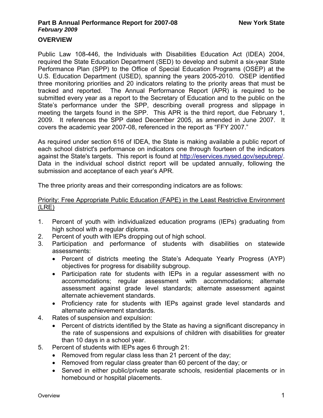#### **OVERVIEW**

Public Law 108-446, the Individuals with Disabilities Education Act (IDEA) 2004, required the State Education Department (SED) to develop and submit a six-year State Performance Plan (SPP) to the Office of Special Education Programs (OSEP) at the U.S. Education Department (USED), spanning the years 2005-2010. OSEP identified three monitoring priorities and 20 indicators relating to the priority areas that must be tracked and reported. The Annual Performance Report (APR) is required to be submitted every year as a report to the Secretary of Education and to the public on the State's performance under the SPP, describing overall progress and slippage in meeting the targets found in the SPP. This APR is the third report, due February 1, 2009. It references the SPP dated December 2005, as amended in June 2007. It covers the academic year 2007-08, referenced in the report as "FFY 2007."

As required under section 616 of IDEA, the State is making available a public report of each school district's performance on indicators one through fourteen of the indicators against the State's targets. This report is found at [http://eservices.nysed.gov/sepubrep/.](http://eservices.nysed.gov/sepubrep/) Data in the individual school district report will be updated annually, following the submission and acceptance of each year's APR.

The three priority areas and their corresponding indicators are as follows:

#### Priority: Free Appropriate Public Education (FAPE) in the Least Restrictive Environment (LRE)

- 1. Percent of youth with individualized education programs (IEPs) graduating from high school with a regular diploma.
- 2. Percent of youth with IEPs dropping out of high school.
- 3. Participation and performance of students with disabilities on statewide assessments:
	- Percent of districts meeting the State's Adequate Yearly Progress (AYP) objectives for progress for disability subgroup.
	- Participation rate for students with IEPs in a regular assessment with no accommodations; regular assessment with accommodations; alternate assessment against grade level standards; alternate assessment against alternate achievement standards.
	- Proficiency rate for students with IEPs against grade level standards and alternate achievement standards.
- 4. Rates of suspension and expulsion:
	- Percent of districts identified by the State as having a significant discrepancy in the rate of suspensions and expulsions of children with disabilities for greater than 10 days in a school year.
- 5. Percent of students with IEPs ages 6 through 21:
	- Removed from regular class less than 21 percent of the day;
	- Removed from regular class greater than 60 percent of the day; or
	- Served in either public/private separate schools, residential placements or in homebound or hospital placements.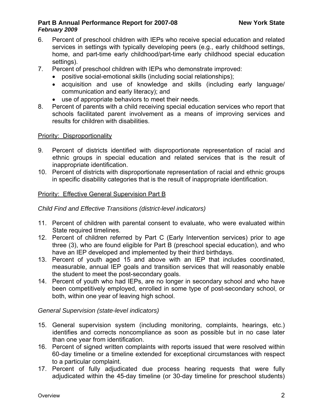- 6. Percent of preschool children with IEPs who receive special education and related services in settings with typically developing peers (e.g., early childhood settings, home, and part-time early childhood/part-time early childhood special education settings).
- 7. Percent of preschool children with IEPs who demonstrate improved:
	- positive social-emotional skills (including social relationships);
	- acquisition and use of knowledge and skills (including early language/ communication and early literacy); and
	- use of appropriate behaviors to meet their needs.
- 8. Percent of parents with a child receiving special education services who report that schools facilitated parent involvement as a means of improving services and results for children with disabilities.

#### Priority: Disproportionality

- 9. Percent of districts identified with disproportionate representation of racial and ethnic groups in special education and related services that is the result of inappropriate identification.
- 10. Percent of districts with disproportionate representation of racial and ethnic groups in specific disability categories that is the result of inappropriate identification.

#### Priority: Effective General Supervision Part B

*Child Find and Effective Transitions (district-level indicators)* 

- 11. Percent of children with parental consent to evaluate, who were evaluated within State required timelines.
- 12. Percent of children referred by Part C (Early Intervention services) prior to age three (3), who are found eligible for Part B (preschool special education), and who have an IEP developed and implemented by their third birthdays.
- 13. Percent of youth aged 15 and above with an IEP that includes coordinated, measurable, annual IEP goals and transition services that will reasonably enable the student to meet the post-secondary goals.
- 14. Percent of youth who had IEPs, are no longer in secondary school and who have been competitively employed, enrolled in some type of post-secondary school, or both, within one year of leaving high school.

*General Supervision (state-level indicators)* 

- 15. General supervision system (including monitoring, complaints, hearings, etc.) identifies and corrects noncompliance as soon as possible but in no case later than one year from identification.
- 16. Percent of signed written complaints with reports issued that were resolved within 60-day timeline or a timeline extended for exceptional circumstances with respect to a particular complaint.
- 17. Percent of fully adjudicated due process hearing requests that were fully adjudicated within the 45-day timeline (or 30-day timeline for preschool students)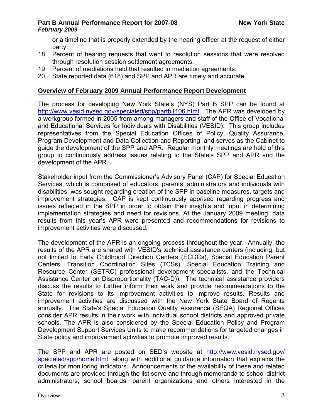or a timeline that is properly extended by the hearing officer at the request of either party.

- 18. Percent of hearing requests that went to resolution sessions that were resolved through resolution session settlement agreements.
- 19. Percent of mediations held that resulted in mediation agreements.
- 20. State reported data (618) and SPP and APR are timely and accurate.

#### **Overview of February 2009 Annual Performance Report Development**

The process for developing New York State's (NYS) Part B SPP can be found at [http://www.vesid.nysed.gov/specialed/spp/partb1106.html.](http://www.vesid.nysed.gov/specialed/spp/partb1106.html) The APR was developed by a workgroup formed in 2005 from among managers and staff of the Office of Vocational and Educational Services for Individuals with Disabilities (VESID). This group includes representatives from the Special Education Offices of Policy, Quality Assurance, Program Development and Data Collection and Reporting, and serves as the Cabinet to guide the development of the SPP and APR. Regular monthly meetings are held of this group to continuously address issues relating to the State's SPP and APR and the development of the APR.

Stakeholder input from the Commissioner's Advisory Panel (CAP) for Special Education Services, which is comprised of educators, parents, administrators and individuals with disabilities, was sought regarding creation of the SPP in baseline measures, targets and improvement strategies. CAP is kept continuously apprised regarding progress and issues reflected in the SPP in order to obtain their insights and input in determining implementation strategies and need for revisions. At the January 2009 meeting, data results from this year's APR were presented and recommendations for revisions to improvement activities were discussed.

The development of the APR is an ongoing process throughout the year. Annually, the results of the APR are shared with VESID's technical assistance centers (including, but not limited to Early Childhood Direction Centers (ECDCs), Special Education Parent Centers, Transition Coordination Sites (TCSs), Special Education Training and Resource Center (SETRC) professional development specialists, and the Technical Assistance Center on Disproportionality (TAC-D)). The technical assistance providers discuss the results to further inform their work and provide recommendations to the State for revisions to its improvement activities to improve results. Results and improvement activities are discussed with the New York State Board of Regents annually. The State's Special Education Quality Assurance (SEQA) Regional Offices consider APR results in their work with individual school districts and approved private schools. The APR is also considered by the Special Education Policy and Program Development Support Services Units to make recommendations for targeted changes in State policy and improvement activities to promote improved results.

The SPP and APR are posted on SED's website at [http://www.vesid.nysed.gov/](http://www.vesid.nysed.gov/specialed/spp/home.html) [specialed/spp/home.html,](http://www.vesid.nysed.gov/specialed/spp/home.html) along with additional guidance information that explains the criteria for monitoring indicators. Announcements of the availability of these and related documents are provided through the list serve and through memoranda to school district administrators, school boards, parent organizations and others interested in the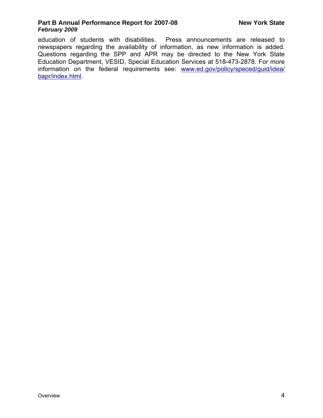education of students with disabilities. Press announcements are released to newspapers regarding the availability of information, as new information is added. Questions regarding the SPP and APR may be directed to the New York State Education Department, VESID, Special Education Services at 518-473-2878. For more information on the federal requirements see: [www.ed.gov/policy/speced/guid/idea/](http://www.ed.gov/policy/speced/guid/idea/%0Bbapr/index.html) [bapr/index.html](http://www.ed.gov/policy/speced/guid/idea/%0Bbapr/index.html).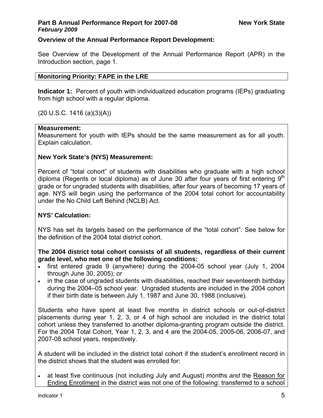#### **Overview of the Annual Performance Report Development:**

See Overview of the Development of the Annual Performance Report (APR) in the Introduction section, page 1.

#### **Monitoring Priority: FAPE in the LRE**

**Indicator 1:** Percent of youth with individualized education programs (IEPs) graduating from high school with a regular diploma.

 $(20 U.S.C. 1416 (a)(3)(A))$ 

#### **Measurement:**

Measurement for youth with IEPs should be the same measurement as for all youth. Explain calculation.

#### **New York State's (NYS) Measurement:**

Percent of "total cohort" of students with disabilities who graduate with a high school diploma (Regents or local diploma) as of June 30 after four years of first entering  $9<sup>th</sup>$ grade or for ungraded students with disabilities, after four years of becoming 17 years of age. NYS will begin using the performance of the 2004 total cohort for accountability under the No Child Left Behind (NCLB) Act.

#### **NYS' Calculation:**

NYS has set its targets based on the performance of the "total cohort". See below for the definition of the 2004 total district cohort.

**The 2004 district total cohort consists of all students, regardless of their current grade level, who met one of the following conditions:** 

- first entered grade 9 (anywhere) during the 2004-05 school year (July 1, 2004 through June 30, 2005); or
- in the case of ungraded students with disabilities, reached their seventeenth birthday during the 2004–05 school year. Ungraded students are included in the 2004 cohort if their birth date is between July 1, 1987 and June 30, 1988 (inclusive).

Students who have spent at least five months in district schools or out-of-district placements during year 1, 2, 3, or 4 of high school are included in the district total cohort unless they transferred to another diploma-granting program outside the district. For the 2004 Total Cohort, Year 1, 2, 3, and 4 are the 2004-05, 2005-06, 2006-07, and 2007-08 school years, respectively.

A student will be included in the district total cohort if the student's enrollment record in the district shows that the student was enrolled for:

• at least five continuous (not including July and August) months *and* the Reason for Ending Enrollment in the district was not one of the following: transferred to a school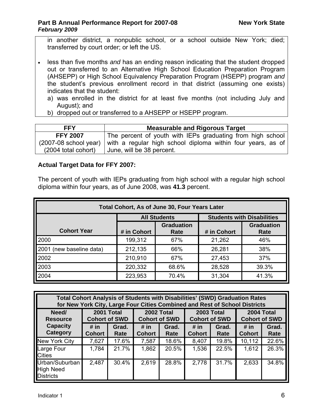in another district, a nonpublic school, or a school outside New York; died; transferred by court order; or left the US.

- less than five months *and* has an ending reason indicating that the student dropped out or transferred to an Alternative High School Education Preparation Program (AHSEPP) or High School Equivalency Preparation Program (HSEPP) program *and* the student's previous enrollment record in that district (assuming one exists) indicates that the student:
	- a) was enrolled in the district for at least five months (not including July and August); and
	- b) dropped out or transferred to a AHSEPP or HSEPP program.

| <b>FFY</b>          | <b>Measurable and Rigorous Target</b>                                               |  |  |  |  |  |  |  |  |
|---------------------|-------------------------------------------------------------------------------------|--|--|--|--|--|--|--|--|
| <b>FFY 2007</b>     | The percent of youth with IEPs graduating from high school                          |  |  |  |  |  |  |  |  |
|                     | $(2007-08$ school year) with a regular high school diploma within four years, as of |  |  |  |  |  |  |  |  |
| (2004 total cohort) | June, will be 38 percent.                                                           |  |  |  |  |  |  |  |  |

#### **Actual Target Data for FFY 2007:**

The percent of youth with IEPs graduating from high school with a regular high school diploma within four years, as of June 2008, was **41.3** percent.

| Total Cohort, As of June 30, Four Years Later |             |                           |                           |                                   |  |  |  |  |  |  |  |  |
|-----------------------------------------------|-------------|---------------------------|---------------------------|-----------------------------------|--|--|--|--|--|--|--|--|
|                                               |             | <b>All Students</b>       |                           | <b>Students with Disabilities</b> |  |  |  |  |  |  |  |  |
| <b>Cohort Year</b>                            | # in Cohort | <b>Graduation</b><br>Rate | <b>Graduation</b><br>Rate |                                   |  |  |  |  |  |  |  |  |
| 2000                                          | 199,312     | 67%                       | 21,262                    | 46%                               |  |  |  |  |  |  |  |  |
| 2001 (new baseline data)                      | 212,135     | 66%                       | 26,281                    | 38%                               |  |  |  |  |  |  |  |  |
| 2002                                          | 210,910     | 67%                       | 27,453                    | 37%                               |  |  |  |  |  |  |  |  |
| 2003                                          | 220,332     | 68.6%                     | 28,528                    | 39.3%                             |  |  |  |  |  |  |  |  |
| 2004                                          | 223,953     | 70.4%                     | 31,304                    | 41.3%                             |  |  |  |  |  |  |  |  |

| <b>Total Cohort Analysis of Students with Disabilities' (SWD) Graduation Rates</b><br>for New York City, Large Four Cities Combined and Rest of School Districts |                       |               |                                    |               |                                           |               |                                    |               |  |  |  |  |  |
|------------------------------------------------------------------------------------------------------------------------------------------------------------------|-----------------------|---------------|------------------------------------|---------------|-------------------------------------------|---------------|------------------------------------|---------------|--|--|--|--|--|
| Need/<br><b>Resource</b>                                                                                                                                         | <b>Cohort of SWD</b>  | 2001 Total    | 2002 Total<br><b>Cohort of SWD</b> |               | <b>2003 Total</b><br><b>Cohort of SWD</b> |               | 2004 Total<br><b>Cohort of SWD</b> |               |  |  |  |  |  |
| <b>Capacity</b><br>Category                                                                                                                                      | # in<br><b>Cohort</b> | Grad.<br>Rate | # in<br><b>Cohort</b>              | Grad.<br>Rate | # in<br><b>Cohort</b>                     | Grad.<br>Rate | # in<br><b>Cohort</b>              | Grad.<br>Rate |  |  |  |  |  |
| New York City                                                                                                                                                    | 7,627                 | 17.6%         | 7,587                              | 18.6%         | 8,407                                     | 19.8%         | 10,112                             | 22.6%         |  |  |  |  |  |
| Large Four<br><b>Cities</b>                                                                                                                                      | 1,784                 | 21.7%         | 1,862                              | 20.5%         | 1,536                                     | 22.5%         | 1,612                              | 26.3%         |  |  |  |  |  |
| Urban/Suburban<br><b>High Need</b><br><b>Districts</b>                                                                                                           | 2,487                 | 30.4%         | 2,619                              | 28.8%         | 2,778                                     | 31.7%         | 2,633                              | 34.8%         |  |  |  |  |  |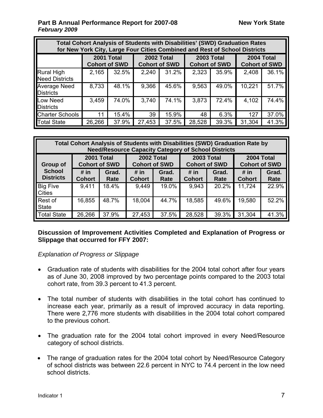| <b>Total Cohort Analysis of Students with Disabilities' (SWD) Graduation Rates</b><br>for New York City, Large Four Cities Combined and Rest of School Districts |                                    |       |        |                                    |        |                                           |        |                                    |  |  |  |  |  |
|------------------------------------------------------------------------------------------------------------------------------------------------------------------|------------------------------------|-------|--------|------------------------------------|--------|-------------------------------------------|--------|------------------------------------|--|--|--|--|--|
|                                                                                                                                                                  | 2001 Total<br><b>Cohort of SWD</b> |       |        | 2002 Total<br><b>Cohort of SWD</b> |        | <b>2003 Total</b><br><b>Cohort of SWD</b> |        | 2004 Total<br><b>Cohort of SWD</b> |  |  |  |  |  |
| Rural High<br><b>Need Districts</b>                                                                                                                              | 2,165                              | 32.5% | 2,240  | 31.2%                              | 2,323  | 35.9%                                     | 2,408  | 36.1%                              |  |  |  |  |  |
| <b>Average Need</b><br><b>Districts</b>                                                                                                                          | 8,733                              | 48.1% | 9,366  | 45.6%                              | 9,563  | 49.0%                                     | 10,221 | 51.7%                              |  |  |  |  |  |
| <b>Low Need</b><br><b>Districts</b>                                                                                                                              | 3,459                              | 74.0% | 3,740  | 74.1%                              | 3,873  | 72.4%                                     | 4,102  | 74.4%                              |  |  |  |  |  |
| <b>Charter Schools</b>                                                                                                                                           | 11                                 | 15.4% | 39     | 15.9%                              | 48     | 6.3%                                      | 127    | 37.0%                              |  |  |  |  |  |
| <b>Total State</b>                                                                                                                                               | 26,266                             | 37.9% | 27,453 | 37.5%                              | 28,528 | 39.3%                                     | 31,304 | 41.3%                              |  |  |  |  |  |

| Total Cohort Analysis of Students with Disabilities (SWD) Graduation Rate by<br><b>Need/Resource Capacity Category of School Districts</b> |                       |                                    |                                    |               |                       |                                    |                                    |               |  |  |  |  |
|--------------------------------------------------------------------------------------------------------------------------------------------|-----------------------|------------------------------------|------------------------------------|---------------|-----------------------|------------------------------------|------------------------------------|---------------|--|--|--|--|
| Group of                                                                                                                                   |                       | 2001 Total<br><b>Cohort of SWD</b> | 2002 Total<br><b>Cohort of SWD</b> |               |                       | 2003 Total<br><b>Cohort of SWD</b> | 2004 Total<br><b>Cohort of SWD</b> |               |  |  |  |  |
| <b>School</b><br><b>Districts</b>                                                                                                          | # in<br><b>Cohort</b> | Grad.<br>Rate                      | # in<br><b>Cohort</b>              | Grad.<br>Rate | # in<br><b>Cohort</b> | Grad.<br>Rate                      | # in<br><b>Cohort</b>              | Grad.<br>Rate |  |  |  |  |
| <b>Big Five</b><br><b>Cities</b>                                                                                                           | 9,411                 | 18.4%                              | 9,449                              | 19.0%         | 9,943                 | 20.2%                              | 11,724                             | 22.9%         |  |  |  |  |
| Rest of<br><b>State</b>                                                                                                                    | 16,855                | 48.7%                              | 18,004                             | 44.7%         | 18,585                | 49.6%                              | 19,580                             | 52.2%         |  |  |  |  |
| <b>Total State</b>                                                                                                                         | 26,266                | 37.9%                              | 27,453                             | 37.5%         | 28,528                | 39.3%                              | 31,304                             | 41.3%         |  |  |  |  |

#### **Discussion of Improvement Activities Completed and Explanation of Progress or Slippage that occurred for FFY 2007:**

*Explanation of Progress or Slippage* 

- Graduation rate of students with disabilities for the 2004 total cohort after four years as of June 30, 2008 improved by two percentage points compared to the 2003 total cohort rate, from 39.3 percent to 41.3 percent.
- The total number of students with disabilities in the total cohort has continued to increase each year, primarily as a result of improved accuracy in data reporting. There were 2,776 more students with disabilities in the 2004 total cohort compared to the previous cohort.
- The graduation rate for the 2004 total cohort improved in every Need/Resource category of school districts.
- The range of graduation rates for the 2004 total cohort by Need/Resource Category of school districts was between 22.6 percent in NYC to 74.4 percent in the low need school districts.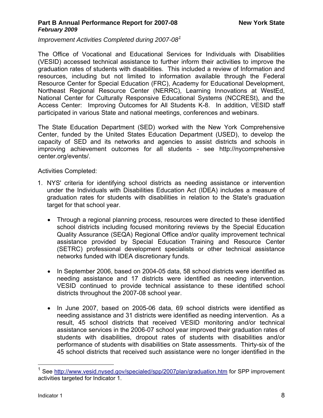*Improvement Activities Completed during 2007-08[1](#page-10-0)*

The Office of Vocational and Educational Services for Individuals with Disabilities (VESID) accessed technical assistance to further inform their activities to improve the graduation rates of students with disabilities. This included a review of Information and resources, including but not limited to information available through the Federal Resource Center for Special Education (FRC), Academy for Educational Development, Northeast Regional Resource Center (NERRC), Learning Innovations at WestEd, National Center for Culturally Responsive Educational Systems (NCCRESt), and the Access Center: Improving Outcomes for All Students K-8. In addition, VESID staff participated in various State and national meetings, conferences and webinars.

The State Education Department (SED) worked with the New York Comprehensive Center, funded by the United States Education Department (USED), to develop the capacity of SED and its networks and agencies to assist districts and schools in improving achievement outcomes for all students - see http://nycomprehensive center.org/events/.

Activities Completed:

- 1. NYS' criteria for identifying school districts as needing assistance or intervention under the Individuals with Disabilities Education Act (IDEA) includes a measure of graduation rates for students with disabilities in relation to the State's graduation target for that school year.
	- Through a regional planning process, resources were directed to these identified school districts including focused monitoring reviews by the Special Education Quality Assurance (SEQA) Regional Office and/or quality improvement technical assistance provided by Special Education Training and Resource Center (SETRC) professional development specialists or other technical assistance networks funded with IDEA discretionary funds.
	- In September 2006, based on 2004-05 data, 58 school districts were identified as needing assistance and 17 districts were identified as needing intervention. VESID continued to provide technical assistance to these identified school districts throughout the 2007-08 school year.
	- In June 2007, based on 2005-06 data, 69 school districts were identified as needing assistance and 31 districts were identified as needing intervention. As a result, 45 school districts that received VESID monitoring and/or technical assistance services in the 2006-07 school year improved their graduation rates of students with disabilities, dropout rates of students with disabilities and/or performance of students with disabilities on State assessments. Thirty-six of the 45 school districts that received such assistance were no longer identified in the

 $\overline{a}$ 

<span id="page-10-0"></span><sup>&</sup>lt;sup>1</sup> See <http://www.vesid.nysed.gov/specialed/spp/2007plan/graduation.htm> for SPP improvement activities targeted for Indicator 1.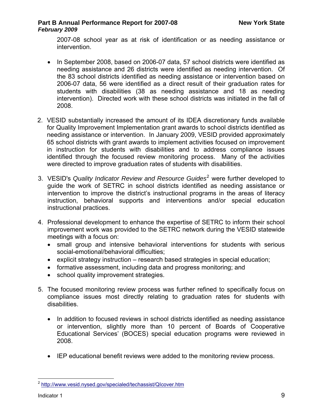2007-08 school year as at risk of identification or as needing assistance or intervention.

- In September 2008, based on 2006-07 data, 57 school districts were identified as needing assistance and 26 districts were identified as needing intervention. Of the 83 school districts identified as needing assistance or intervention based on 2006-07 data, 56 were identified as a direct result of their graduation rates for students with disabilities (38 as needing assistance and 18 as needing intervention). Directed work with these school districts was initiated in the fall of 2008.
- 2. VESID substantially increased the amount of its IDEA discretionary funds available for Quality Improvement Implementation grant awards to school districts identified as needing assistance or intervention. In January 2009, VESID provided approximately 65 school districts with grant awards to implement activities focused on improvement in instruction for students with disabilities and to address compliance issues identified through the focused review monitoring process. Many of the activities were directed to improve graduation rates of students with disabilities.
- 3. VESID's *Quality Indicator Review and Resource Guides*[2](#page-11-0) were further developed to guide the work of SETRC in school districts identified as needing assistance or intervention to improve the district's instructional programs in the areas of literacy instruction, behavioral supports and interventions and/or special education instructional practices.
- 4. Professional development to enhance the expertise of SETRC to inform their school improvement work was provided to the SETRC network during the VESID statewide meetings with a focus on:
	- small group and intensive behavioral interventions for students with serious social-emotional/behavioral difficulties;
	- explicit strategy instruction research based strategies in special education;
	- formative assessment, including data and progress monitoring; and
	- school quality improvement strategies.
- 5. The focused monitoring review process was further refined to specifically focus on compliance issues most directly relating to graduation rates for students with disabilities.
	- In addition to focused reviews in school districts identified as needing assistance or intervention, slightly more than 10 percent of Boards of Cooperative Educational Services' (BOCES) special education programs were reviewed in 2008.
	- IEP educational benefit reviews were added to the monitoring review process.

<span id="page-11-0"></span> $\overline{a}$ <sup>2</sup> <http://www.vesid.nysed.gov/specialed/techassist/QIcover.htm>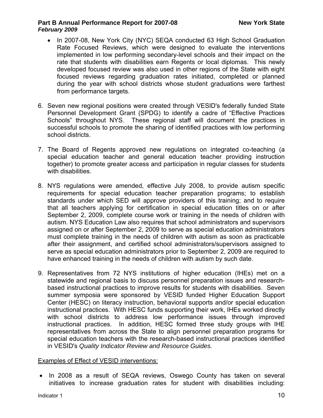- In 2007-08, New York City (NYC) SEQA conducted 63 High School Graduation Rate Focused Reviews, which were designed to evaluate the interventions implemented in low performing secondary-level schools and their impact on the rate that students with disabilities earn Regents or local diplomas. This newly developed focused review was also used in other regions of the State with eight focused reviews regarding graduation rates initiated, completed or planned during the year with school districts whose student graduations were farthest from performance targets.
- 6. Seven new regional positions were created through VESID's federally funded State Personnel Development Grant (SPDG) to identify a cadre of "Effective Practices Schools" throughout NYS. These regional staff will document the practices in successful schools to promote the sharing of identified practices with low performing school districts.
- 7. The Board of Regents approved new regulations on integrated co-teaching (a special education teacher and general education teacher providing instruction together) to promote greater access and participation in regular classes for students with disabilities.
- 8. NYS regulations were amended, effective July 2008, to provide autism specific requirements for special education teacher preparation programs; to establish standards under which SED will approve providers of this training; and to require that all teachers applying for certification in special education titles on or after September 2, 2009, complete course work or training in the needs of children with autism. NYS Education Law also requires that school administrators and supervisors assigned on or after September 2, 2009 to serve as special education administrators must complete training in the needs of children with autism as soon as practicable after their assignment, and certified school administrators/supervisors assigned to serve as special education administrators prior to September 2, 2009 are required to have enhanced training in the needs of children with autism by such date.
- 9. Representatives from 72 NYS institutions of higher education (IHEs) met on a statewide and regional basis to discuss personnel preparation issues and researchbased instructional practices to improve results for students with disabilities. Seven summer symposia were sponsored by VESID funded Higher Education Support Center (HESC) on literacy instruction, behavioral supports and/or special education instructional practices. With HESC funds supporting their work, IHEs worked directly with school districts to address low performance issues through improved instructional practices. In addition, HESC formed three study groups with IHE representatives from across the State to align personnel preparation programs for special education teachers with the research-based instructional practices identified in VESID's *Quality Indicator Review and Resource Guides.*

#### Examples of Effect of VESID interventions:

• In 2008 as a result of SEQA reviews, Oswego County has taken on several initiatives to increase graduation rates for student with disabilities including: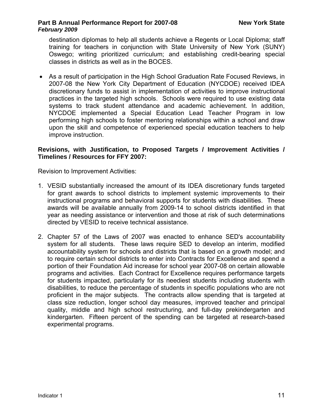destination diplomas to help all students achieve a Regents or Local Diploma; staff training for teachers in conjunction with State University of New York (SUNY) Oswego; writing prioritized curriculum; and establishing credit-bearing special classes in districts as well as in the BOCES.

• As a result of participation in the High School Graduation Rate Focused Reviews, in 2007-08 the New York City Department of Education (NYCDOE) received IDEA discretionary funds to assist in implementation of activities to improve instructional practices in the targeted high schools. Schools were required to use existing data systems to track student attendance and academic achievement. In addition, NYCDOE implemented a Special Education Lead Teacher Program in low performing high schools to foster mentoring relationships within a school and draw upon the skill and competence of experienced special education teachers to help improve instruction.

#### **Revisions, with Justification, to Proposed Targets / Improvement Activities / Timelines / Resources for FFY 2007:**

Revision to Improvement Activities:

- 1. VESID substantially increased the amount of its IDEA discretionary funds targeted for grant awards to school districts to implement systemic improvements to their instructional programs and behavioral supports for students with disabilities. These awards will be available annually from 2009-14 to school districts identified in that year as needing assistance or intervention and those at risk of such determinations directed by VESID to receive technical assistance.
- 2. Chapter 57 of the Laws of 2007 was enacted to enhance SED's accountability system for all students. These laws require SED to develop an interim, modified accountability system for schools and districts that is based on a growth model; and to require certain school districts to enter into Contracts for Excellence and spend a portion of their Foundation Aid increase for school year 2007-08 on certain allowable programs and activities. Each Contract for Excellence requires performance targets for students impacted, particularly for its neediest students including students with disabilities, to reduce the percentage of students in specific populations who are not proficient in the major subjects. The contracts allow spending that is targeted at class size reduction, longer school day measures, improved teacher and principal quality, middle and high school restructuring, and full-day prekindergarten and kindergarten. Fifteen percent of the spending can be targeted at research-based experimental programs.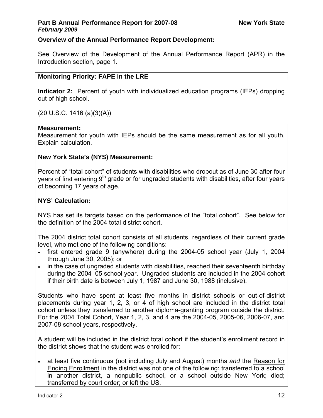## **Overview of the Annual Performance Report Development:**

See Overview of the Development of the Annual Performance Report (APR) in the Introduction section, page 1.

## **Monitoring Priority: FAPE in the LRE**

**Indicator 2:** Percent of youth with individualized education programs (IEPs) dropping out of high school.

(20 U.S.C. 1416 (a)(3)(A))

## **Measurement:**

Measurement for youth with IEPs should be the same measurement as for all youth. Explain calculation.

## **New York State's (NYS) Measurement:**

Percent of "total cohort" of students with disabilities who dropout as of June 30 after four years of first entering 9<sup>th</sup> grade or for ungraded students with disabilities, after four years of becoming 17 years of age.

## **NYS' Calculation:**

NYS has set its targets based on the performance of the "total cohort". See below for the definition of the 2004 total district cohort.

The 2004 district total cohort consists of all students, regardless of their current grade level, who met one of the following conditions:

- first entered grade 9 (anywhere) during the 2004-05 school year (July 1, 2004 through June 30, 2005); or
- in the case of ungraded students with disabilities, reached their seventeenth birthday during the 2004–05 school year. Ungraded students are included in the 2004 cohort if their birth date is between July 1, 1987 and June 30, 1988 (inclusive).

Students who have spent at least five months in district schools or out-of-district placements during year 1, 2, 3, or 4 of high school are included in the district total cohort unless they transferred to another diploma-granting program outside the district. For the 2004 Total Cohort, Year 1, 2, 3, and 4 are the 2004-05, 2005-06, 2006-07, and 2007-08 school years, respectively.

A student will be included in the district total cohort if the student's enrollment record in the district shows that the student was enrolled for:

• at least five continuous (not including July and August) months *and* the Reason for Ending Enrollment in the district was not one of the following: transferred to a school in another district, a nonpublic school, or a school outside New York; died; transferred by court order; or left the US.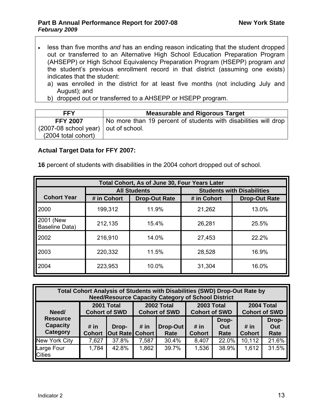- less than five months *and* has an ending reason indicating that the student dropped out or transferred to an Alternative High School Education Preparation Program (AHSEPP) or High School Equivalency Preparation Program (HSEPP) program *and* the student's previous enrollment record in that district (assuming one exists) indicates that the student:
	- a) was enrolled in the district for at least five months (not including July and August); and
	- b) dropped out or transferred to a AHSEPP or HSEPP program.

| <b>FFY</b>                             | <b>Measurable and Rigorous Target</b>                           |  |  |  |  |  |  |
|----------------------------------------|-----------------------------------------------------------------|--|--|--|--|--|--|
| <b>FFY 2007</b>                        | No more than 19 percent of students with disabilities will drop |  |  |  |  |  |  |
| $(2007-08$ school year) out of school. |                                                                 |  |  |  |  |  |  |
| (2004 total cohort)                    |                                                                 |  |  |  |  |  |  |

#### **Actual Target Data for FFY 2007:**

**16** percent of students with disabilities in the 2004 cohort dropped out of school.

| Total Cohort, As of June 30, Four Years Later |             |                      |             |                                   |  |  |  |  |  |  |  |
|-----------------------------------------------|-------------|----------------------|-------------|-----------------------------------|--|--|--|--|--|--|--|
|                                               |             | <b>All Students</b>  |             | <b>Students with Disabilities</b> |  |  |  |  |  |  |  |
| <b>Cohort Year</b>                            | # in Cohort | <b>Drop-Out Rate</b> | # in Cohort | <b>Drop-Out Rate</b>              |  |  |  |  |  |  |  |
| 2000                                          | 199,312     | 11.9%                | 21,262      | 13.0%                             |  |  |  |  |  |  |  |
| 2001 (New<br>Baseline Data)                   | 212,135     | 15.4%                | 26,281      | 25.5%                             |  |  |  |  |  |  |  |
| 2002                                          | 216,910     | 14.0%                | 27,453      | 22.2%                             |  |  |  |  |  |  |  |
| 2003                                          | 220,332     | 11.5%                | 28,528      | 16.9%                             |  |  |  |  |  |  |  |
| 2004                                          | 223,953     | 10.0%                | 31,304      | 16.0%                             |  |  |  |  |  |  |  |

| Total Cohort Analysis of Students with Disabilities (SWD) Drop-Out Rate by<br><b>Need/Resource Capacity Category of School District</b> |                       |                                    |                                    |                  |                                           |                      |                                    |                      |  |  |  |  |
|-----------------------------------------------------------------------------------------------------------------------------------------|-----------------------|------------------------------------|------------------------------------|------------------|-------------------------------------------|----------------------|------------------------------------|----------------------|--|--|--|--|
| Need/                                                                                                                                   |                       | 2001 Total<br><b>Cohort of SWD</b> | 2002 Total<br><b>Cohort of SWD</b> |                  | <b>2003 Total</b><br><b>Cohort of SWD</b> |                      | 2004 Total<br><b>Cohort of SWD</b> |                      |  |  |  |  |
| <b>Resource</b><br><b>Capacity</b><br><b>Category</b>                                                                                   | # in<br><b>Cohort</b> | Drop-<br><b>Out Rate Cohort</b>    | # in                               | Drop-Out<br>Rate | # in<br><b>Cohort</b>                     | Drop-<br>Out<br>Rate | # in<br><b>Cohort</b>              | Drop-<br>Out<br>Rate |  |  |  |  |
| New York City                                                                                                                           | 7,627                 | 37.8%                              | 7,587                              | 30.4%            | 8,407                                     | 22.0%                | 10,112                             | 21.6%                |  |  |  |  |
| Large Four<br><b>Cities</b>                                                                                                             | 1,784                 | 42.8%                              | 1,862                              | 39.7%            | 1,536                                     | 38.9%                | 1,612                              | 31.5%                |  |  |  |  |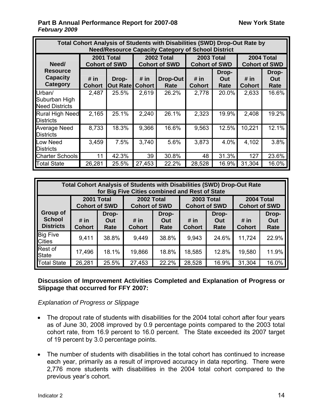| Total Cohort Analysis of Students with Disabilities (SWD) Drop-Out Rate by<br><b>Need/Resource Capacity Category of School District</b> |                       |                                    |                                    |                  |                                    |                      |                                    |                      |  |  |  |  |  |
|-----------------------------------------------------------------------------------------------------------------------------------------|-----------------------|------------------------------------|------------------------------------|------------------|------------------------------------|----------------------|------------------------------------|----------------------|--|--|--|--|--|
| Need/                                                                                                                                   |                       | 2001 Total<br><b>Cohort of SWD</b> | 2002 Total<br><b>Cohort of SWD</b> |                  | 2003 Total<br><b>Cohort of SWD</b> |                      | 2004 Total<br><b>Cohort of SWD</b> |                      |  |  |  |  |  |
| <b>Resource</b><br><b>Capacity</b><br><b>Category</b>                                                                                   | # in<br><b>Cohort</b> | Drop-<br><b>Out Rate</b>           | # in<br><b>Cohort</b>              | Drop-Out<br>Rate | # in<br><b>Cohort</b>              | Drop-<br>Out<br>Rate | # in<br><b>Cohort</b>              | Drop-<br>Out<br>Rate |  |  |  |  |  |
| Urban/<br>Suburban High<br><b>Need Districts</b>                                                                                        | 2,487                 | 25.5%                              | 2,619                              | 26.2%            | 2,778                              | 20.0%                | 2,633                              | 16.6%                |  |  |  |  |  |
| <b>Rural High Need</b><br><b>Districts</b>                                                                                              | 2,165                 | 25.1%                              | 2,240                              | 26.1%            | 2,323                              | 19.9%                | 2,408                              | 19.2%                |  |  |  |  |  |
| <b>Average Need</b><br>Districts                                                                                                        | 8,733                 | 18.3%                              | 9,366                              | 16.6%            | 9,563                              | 12.5%                | 10,221                             | 12.1%                |  |  |  |  |  |
| Low Need<br><b>Districts</b>                                                                                                            | 3,459                 | 7.5%                               | 3,740                              | 5.6%             | 3,873                              | 4.0%                 | 4,102                              | 3.8%                 |  |  |  |  |  |
| <b>Charter Schools</b>                                                                                                                  | 11                    | 42.3%                              | 39                                 | 30.8%            | 48                                 | 31.3%                | 127                                | 23.6%                |  |  |  |  |  |
| Total State                                                                                                                             | 26,281                | 25.5%                              | 27,453                             | 22.2%            | 28,528                             | 16.9%                | 31,304                             | 16.0%                |  |  |  |  |  |

| <b>Total Cohort Analysis of Students with Disabilities (SWD) Drop-Out Rate</b><br>for Big Five Cities combined and Rest of State |                                    |                      |                                    |                      |                                    |                      |                                    |                      |  |  |  |  |
|----------------------------------------------------------------------------------------------------------------------------------|------------------------------------|----------------------|------------------------------------|----------------------|------------------------------------|----------------------|------------------------------------|----------------------|--|--|--|--|
|                                                                                                                                  | 2001 Total<br><b>Cohort of SWD</b> |                      | 2002 Total<br><b>Cohort of SWD</b> |                      | 2003 Total<br><b>Cohort of SWD</b> |                      | 2004 Total<br><b>Cohort of SWD</b> |                      |  |  |  |  |
| Group of<br><b>School</b><br><b>Districts</b>                                                                                    | # in<br><b>Cohort</b>              | Drop-<br>Out<br>Rate | # in<br><b>Cohort</b>              | Drop-<br>Out<br>Rate | # in<br><b>Cohort</b>              | Drop-<br>Out<br>Rate | # in<br><b>Cohort</b>              | Drop-<br>Out<br>Rate |  |  |  |  |
| <b>Big Five</b><br><b>Cities</b>                                                                                                 | 9,411                              | 38.8%                | 9,449                              | 38.8%                | 9,943                              | 24.6%                | 11,724                             | 22.9%                |  |  |  |  |
| Rest of<br><b>State</b>                                                                                                          | 17,496                             | 18.1%                | 19,866                             | 18.8%                | 18,585                             | 12.8%                | 19,580                             | 11.9%                |  |  |  |  |
| <b>Total State</b>                                                                                                               | 26,281                             | 25.5%                | 27,453                             | 22.2%                | 28,528                             | 16.9%                | 31,304                             | 16.0%                |  |  |  |  |

#### **Discussion of Improvement Activities Completed and Explanation of Progress or Slippage that occurred for FFY 2007:**

*Explanation of Progress or Slippage* 

- The dropout rate of students with disabilities for the 2004 total cohort after four years as of June 30, 2008 improved by 0.9 percentage points compared to the 2003 total cohort rate, from 16.9 percent to 16.0 percent. The State exceeded its 2007 target of 19 percent by 3.0 percentage points.
- The number of students with disabilities in the total cohort has continued to increase each year, primarily as a result of improved accuracy in data reporting. There were 2,776 more students with disabilities in the 2004 total cohort compared to the previous year's cohort.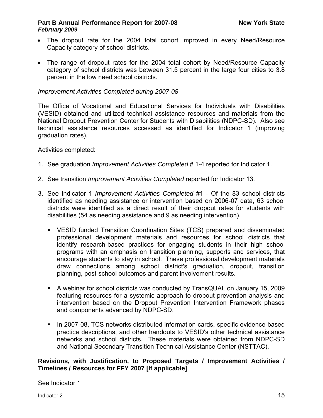- The dropout rate for the 2004 total cohort improved in every Need/Resource Capacity category of school districts.
- The range of dropout rates for the 2004 total cohort by Need/Resource Capacity category of school districts was between 31.5 percent in the large four cities to 3.8 percent in the low need school districts.

#### *Improvement Activities Completed during 2007-08*

The Office of Vocational and Educational Services for Individuals with Disabilities (VESID) obtained and utilized technical assistance resources and materials from the National Dropout Prevention Center for Students with Disabilities (NDPC-SD). Also see technical assistance resources accessed as identified for Indicator 1 (improving graduation rates).

Activities completed:

- 1. See graduation *Improvement Activities Completed* # 1-4 reported for Indicator 1.
- 2. See transition *Improvement Activities Completed* reported for Indicator 13.
- 3. See Indicator 1 *Improvement Activities Completed* #1 Of the 83 school districts identified as needing assistance or intervention based on 2006-07 data, 63 school districts were identified as a direct result of their dropout rates for students with disabilities (54 as needing assistance and 9 as needing intervention).
	- VESID funded Transition Coordination Sites (TCS) prepared and disseminated professional development materials and resources for school districts that identify research-based practices for engaging students in their high school programs with an emphasis on transition planning, supports and services, that encourage students to stay in school. These professional development materials draw connections among school district's graduation, dropout, transition planning, post-school outcomes and parent involvement results.
	- A webinar for school districts was conducted by TransQUAL on January 15, 2009 featuring resources for a systemic approach to dropout prevention analysis and intervention based on the Dropout Prevention Intervention Framework phases and components advanced by NDPC-SD.
	- **IIII** 2007-08, TCS networks distributed information cards, specific evidence-based practice descriptions, and other handouts to VESID's other technical assistance networks and school districts. These materials were obtained from NDPC-SD and National Secondary Transition Technical Assistance Center (NSTTAC).

#### **Revisions, with Justification, to Proposed Targets / Improvement Activities / Timelines / Resources for FFY 2007 [If applicable]**

See Indicator 1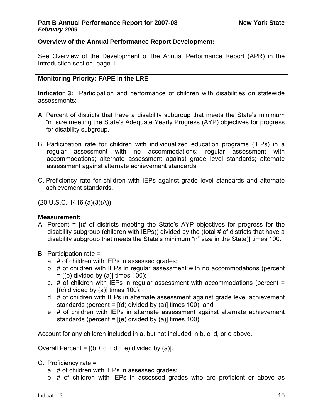#### **Overview of the Annual Performance Report Development:**

See Overview of the Development of the Annual Performance Report (APR) in the Introduction section, page 1.

#### **Monitoring Priority: FAPE in the LRE**

**Indicator 3:** Participation and performance of children with disabilities on statewide assessments:

- A. Percent of districts that have a disability subgroup that meets the State's minimum "n" size meeting the State's Adequate Yearly Progress (AYP) objectives for progress for disability subgroup.
- B. Participation rate for children with individualized education programs (IEPs) in a regular assessment with no accommodations; regular assessment with accommodations; alternate assessment against grade level standards; alternate assessment against alternate achievement standards.
- C. Proficiency rate for children with IEPs against grade level standards and alternate achievement standards.

(20 U.S.C. 1416 (a)(3)(A))

#### **Measurement:**

- A. Percent = [(# of districts meeting the State's AYP objectives for progress for the disability subgroup (children with IEPs)) divided by the (total # of districts that have a disability subgroup that meets the State's minimum "n" size in the State)] times 100.
- B. Participation rate =
	- a. # of children with IEPs in assessed grades;
	- b. # of children with IEPs in regular assessment with no accommodations (percent  $=$  [(b) divided by (a)] times 100);
	- c.  $#$  of children with IEPs in regular assessment with accommodations (percent =  $[(c)$  divided by  $(a)]$  times 100);
	- d. # of children with IEPs in alternate assessment against grade level achievement standards (percent =  $[(d)$  divided by  $(a)]$  times 100); and
	- e. # of children with IEPs in alternate assessment against alternate achievement standards (percent =  $[(e)$  divided by (a)] times 100).

Account for any children included in a, but not included in b, c, d, or e above.

Overall Percent =  $[(b + c + d + e)$  divided by (a)].

- C. Proficiency rate =
	- a. # of children with IEPs in assessed grades;
	- b. # of children with IEPs in assessed grades who are proficient or above as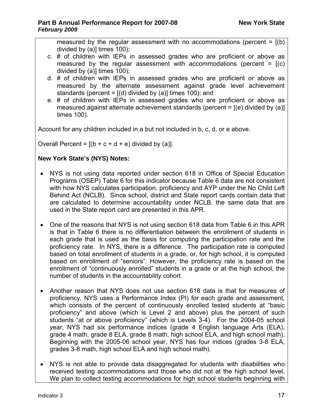measured by the regular assessment with no accommodations (percent =  $[(b)]$ divided by (a)] times 100);

- c. # of children with IEPs in assessed grades who are proficient or above as measured by the regular assessment with accommodations (percent =  $[(c)$ divided by (a)] times 100);
- d. # of children with IEPs in assessed grades who are proficient or above as measured by the alternate assessment against grade level achievement standards (percent =  $[(d)$  divided by (a)] times 100); and
- e. # of children with IEPs in assessed grades who are proficient or above as measured against alternate achievement standards (percent =  $[(e)$  divided by (a)] times 100).

Account for any children included in a but not included in b, c, d, or e above.

Overall Percent =  $[(b + c + d + e)$  divided by (a)].

## **New York State's (NYS) Notes:**

- NYS is not using data reported under section 618 in Office of Special Education Programs (OSEP) Table 6 for this indicator because Table 6 data are not consistent with how NYS calculates participation, proficiency and AYP under the No Child Left Behind Act (NCLB). Since school, district and State report cards contain data that are calculated to determine accountability under NCLB, the same data that are used in the State report card are presented in this APR.
- One of the reasons that NYS is not using section 618 data from Table 6 in this APR is that in Table 6 there is no differentiation between the enrollment of students in each grade that is used as the basis for computing the participation rate and the proficiency rate. In NYS, there is a difference. The participation rate is computed based on total enrollment of students in a grade, or, for high school, it is computed based on enrollment of "seniors". However, the proficiency rate is based on the enrollment of "continuously enrolled" students in a grade or at the high school, the number of students in the accountability cohort.
- Another reason that NYS does not use section 618 data is that for measures of proficiency, NYS uses a Performance Index (PI) for each grade and assessment, which consists of the percent of continuously enrolled tested students at "basic proficiency" and above (which is Level 2 and above) plus the percent of such students "at or above proficiency" (which is Levels 3-4). For the 2004-05 school year, NYS had six performance indices (grade 4 English language Arts (ELA), grade 4 math, grade 8 ELA, grade 8 math, high school ELA, and high school math). Beginning with the 2005-06 school year, NYS has four indices (grades 3-8 ELA, grades 3-8 math, high school ELA and high school math).
- NYS is not able to provide data disaggregated for students with disabilities who received testing accommodations and those who did not at the high school level. We plan to collect testing accommodations for high school students beginning with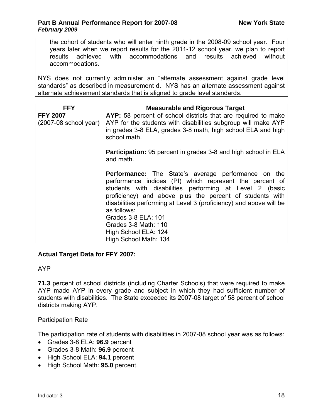the cohort of students who will enter ninth grade in the 2008-09 school year. Four years later when we report results for the 2011-12 school year, we plan to report results achieved with accommodations and results achieved without accommodations.

NYS does not currently administer an "alternate assessment against grade level standards" as described in measurement d. NYS has an alternate assessment against alternate achievement standards that is aligned to grade level standards.

| <b>FFY</b>                                 | <b>Measurable and Rigorous Target</b>                                                                                                                                                                                                                                                                                                                                                                                             |
|--------------------------------------------|-----------------------------------------------------------------------------------------------------------------------------------------------------------------------------------------------------------------------------------------------------------------------------------------------------------------------------------------------------------------------------------------------------------------------------------|
| <b>FFY 2007</b><br>$(2007-08$ school year) | AYP: 58 percent of school districts that are required to make<br>AYP for the students with disabilities subgroup will make AYP<br>in grades 3-8 ELA, grades 3-8 math, high school ELA and high<br>school math.                                                                                                                                                                                                                    |
|                                            | <b>Participation:</b> 95 percent in grades 3-8 and high school in ELA<br>and math.                                                                                                                                                                                                                                                                                                                                                |
|                                            | <b>Performance:</b> The State's average performance on the<br>performance indices (PI) which represent the percent of<br>students with disabilities performing at Level 2 (basic<br>proficiency) and above plus the percent of students with<br>disabilities performing at Level 3 (proficiency) and above will be<br>as follows:<br>Grades 3-8 ELA: 101<br>Grades 3-8 Math: 110<br>High School ELA: 124<br>High School Math: 134 |

#### **Actual Target Data for FFY 2007:**

## AYP

**71.3** percent of school districts (including Charter Schools) that were required to make AYP made AYP in every grade and subject in which they had sufficient number of students with disabilities. The State exceeded its 2007-08 target of 58 percent of school districts making AYP.

## Participation Rate

The participation rate of students with disabilities in 2007-08 school year was as follows:

- Grades 3-8 ELA: **96.9** percent
- Grades 3-8 Math: **96.9** percent
- High School ELA: **94.1** percent
- High School Math: **95.0** percent.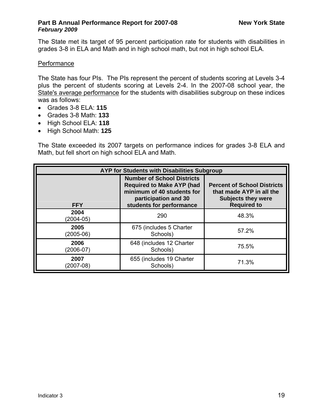The State met its target of 95 percent participation rate for students with disabilities in grades 3-8 in ELA and Math and in high school math, but not in high school ELA.

## **Performance**

The State has four PIs. The PIs represent the percent of students scoring at Levels 3-4 plus the percent of students scoring at Levels 2-4. In the 2007-08 school year, the State's average performance for the students with disabilities subgroup on these indices was as follows:

- Grades 3-8 ELA: **115**
- Grades 3-8 Math: **133**
- High School ELA: **118**
- High School Math: **125**

The State exceeded its 2007 targets on performance indices for grades 3-8 ELA and Math, but fell short on high school ELA and Math.

| AYP for Students with Disabilities Subgroup |                                                                                                                                                         |                                                                                                                   |  |  |  |  |  |
|---------------------------------------------|---------------------------------------------------------------------------------------------------------------------------------------------------------|-------------------------------------------------------------------------------------------------------------------|--|--|--|--|--|
| <b>FFY</b>                                  | <b>Number of School Districts</b><br><b>Required to Make AYP (had</b><br>minimum of 40 students for<br>participation and 30<br>students for performance | <b>Percent of School Districts</b><br>that made AYP in all the<br><b>Subjects they were</b><br><b>Required to</b> |  |  |  |  |  |
| 2004<br>$(2004 - 05)$                       | 290                                                                                                                                                     | 48.3%                                                                                                             |  |  |  |  |  |
| 2005<br>$(2005-06)$                         | 675 (includes 5 Charter<br>Schools)                                                                                                                     | 57.2%                                                                                                             |  |  |  |  |  |
| 2006<br>$(2006-07)$                         | 648 (includes 12 Charter<br>Schools)                                                                                                                    | 75.5%                                                                                                             |  |  |  |  |  |
| 2007<br>(2007-08)                           | 655 (includes 19 Charter<br>Schools)                                                                                                                    | 71.3%                                                                                                             |  |  |  |  |  |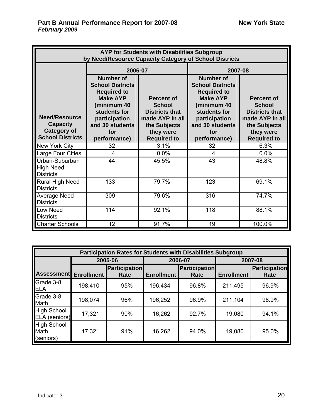| AYP for Students with Disabilities Subgroup<br>by Need/Resource Capacity Category of School Districts |                                                                                                                                                                                                                                                                                                                                |       |                                                                                                                                                                                |                                                                                                                                   |  |  |  |
|-------------------------------------------------------------------------------------------------------|--------------------------------------------------------------------------------------------------------------------------------------------------------------------------------------------------------------------------------------------------------------------------------------------------------------------------------|-------|--------------------------------------------------------------------------------------------------------------------------------------------------------------------------------|-----------------------------------------------------------------------------------------------------------------------------------|--|--|--|
|                                                                                                       |                                                                                                                                                                                                                                                                                                                                |       | 2007-08                                                                                                                                                                        |                                                                                                                                   |  |  |  |
| <b>Need/Resource</b><br><b>Capacity</b><br><b>Category of</b><br><b>School Districts</b>              | 2006-07<br><b>Number of</b><br><b>School Districts</b><br><b>Required to</b><br><b>Make AYP</b><br><b>Percent of</b><br>(minimum 40<br><b>School</b><br>students for<br><b>Districts that</b><br>participation<br>made AYP in all<br>and 30 students<br>the Subjects<br>they were<br>for<br>performance)<br><b>Required to</b> |       | <b>Number of</b><br><b>School Districts</b><br><b>Required to</b><br><b>Make AYP</b><br>(minimum 40<br>students for<br>participation<br>and 30 students<br>for<br>performance) | <b>Percent of</b><br><b>School</b><br><b>Districts that</b><br>made AYP in all<br>the Subjects<br>they were<br><b>Required to</b> |  |  |  |
| New York City                                                                                         | 32                                                                                                                                                                                                                                                                                                                             | 3.1%  | 32                                                                                                                                                                             | 6.3%                                                                                                                              |  |  |  |
| Large Four Cities                                                                                     | 4                                                                                                                                                                                                                                                                                                                              | 0.0%  | $\overline{4}$                                                                                                                                                                 | 0.0%                                                                                                                              |  |  |  |
| Urban-Suburban<br><b>High Need</b><br><b>Districts</b>                                                | 44                                                                                                                                                                                                                                                                                                                             | 45.5% | 43                                                                                                                                                                             | 48.8%                                                                                                                             |  |  |  |
| Rural High Need<br><b>Districts</b>                                                                   | 133                                                                                                                                                                                                                                                                                                                            | 79.7% | 123                                                                                                                                                                            | 69.1%                                                                                                                             |  |  |  |
| <b>Average Need</b><br><b>Districts</b>                                                               | 309                                                                                                                                                                                                                                                                                                                            | 79.6% | 316                                                                                                                                                                            | 74.7%                                                                                                                             |  |  |  |
| Low Need<br><b>Districts</b>                                                                          | 114                                                                                                                                                                                                                                                                                                                            | 92.1% | 118                                                                                                                                                                            | 88.1%                                                                                                                             |  |  |  |
| <b>Charter Schools</b>                                                                                | 12                                                                                                                                                                                                                                                                                                                             | 91.7% | 19                                                                                                                                                                             | 100.0%                                                                                                                            |  |  |  |

|                                         | <b>Participation Rates for Students with Disabilities Subgroup</b> |                      |                      |         |                   |                      |  |  |  |  |
|-----------------------------------------|--------------------------------------------------------------------|----------------------|----------------------|---------|-------------------|----------------------|--|--|--|--|
|                                         |                                                                    | 2005-06              |                      | 2006-07 | 2007-08           |                      |  |  |  |  |
| <b>Assessment</b>                       |                                                                    | <b>Participation</b> | <b>Participation</b> |         |                   | <b>Participation</b> |  |  |  |  |
|                                         | <b>Enrollment</b>                                                  | Rate                 | <b>Enrollment</b>    | Rate    | <b>Enrollment</b> | Rate                 |  |  |  |  |
| Grade 3-8<br>ELA                        | 198,410                                                            | 95%                  | 196,434              | 96.8%   | 211,495           | 96.9%                |  |  |  |  |
| Grade 3-8<br>Math                       | 198,074                                                            | 96%                  | 196,252              | 96.9%   | 211,104           | 96.9%                |  |  |  |  |
| <b>High School</b><br>ELA (seniors)     | 17,321                                                             | 90%                  | 16,262               | 92.7%   | 19,080            | 94.1%                |  |  |  |  |
| <b>High School</b><br>Math<br>(seniors) | 17,321                                                             | 91%                  | 16,262               | 94.0%   | 19,080            | 95.0%                |  |  |  |  |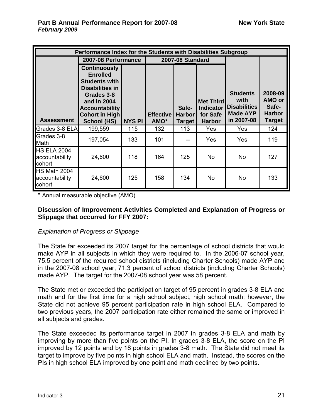|                                                 | Performance Index for the Students with Disabilities Subgroup                                                                                                                                 |               |                          |                                         |                                                                   |                                                                                 |                                                              |  |  |
|-------------------------------------------------|-----------------------------------------------------------------------------------------------------------------------------------------------------------------------------------------------|---------------|--------------------------|-----------------------------------------|-------------------------------------------------------------------|---------------------------------------------------------------------------------|--------------------------------------------------------------|--|--|
|                                                 | 2007-08 Performance                                                                                                                                                                           |               |                          | 2007-08 Standard                        |                                                                   |                                                                                 |                                                              |  |  |
| <b>Assessment</b>                               | <b>Continuously</b><br><b>Enrolled</b><br><b>Students with</b><br><b>Disabilities in</b><br>Grades 3-8<br>and in 2004<br><b>Accountability</b><br><b>Cohort in High</b><br><b>School (HS)</b> | <b>NYS PI</b> | <b>Effective</b><br>AMO* | Safe-<br><b>Harbor</b><br><b>Target</b> | <b>Met Third</b><br><b>Indicator</b><br>for Safe<br><b>Harbor</b> | <b>Students</b><br>with<br><b>Disabilities</b><br><b>Made AYP</b><br>in 2007-08 | 2008-09<br>AMO or<br>Safe-<br><b>Harbor</b><br><b>Target</b> |  |  |
| Grades 3-8 ELA                                  | 199,559                                                                                                                                                                                       | 115           | 132                      | 113                                     | Yes                                                               | Yes                                                                             | 124                                                          |  |  |
| Grades 3-8<br>Math                              | 197,054                                                                                                                                                                                       | 133           | 101                      |                                         | Yes                                                               | Yes                                                                             | 119                                                          |  |  |
| <b>HS ELA 2004</b><br>accountability<br>cohort  | 24,600                                                                                                                                                                                        | 118           | 164                      | 125                                     | <b>No</b>                                                         | No                                                                              | 127                                                          |  |  |
| <b>HS Math 2004</b><br>accountability<br>cohort | 24,600                                                                                                                                                                                        | 125           | 158                      | 134                                     | <b>No</b>                                                         | <b>No</b>                                                                       | 133                                                          |  |  |

\* Annual measurable objective (AMO)

#### **Discussion of Improvement Activities Completed and Explanation of Progress or Slippage that occurred for FFY 2007:**

#### *Explanation of Progress or Slippage*

The State far exceeded its 2007 target for the percentage of school districts that would make AYP in all subjects in which they were required to. In the 2006-07 school year, 75.5 percent of the required school districts (including Charter Schools) made AYP and in the 2007-08 school year, 71.3 percent of school districts (including Charter Schools) made AYP. The target for the 2007-08 school year was 58 percent.

The State met or exceeded the participation target of 95 percent in grades 3-8 ELA and math and for the first time for a high school subject, high school math; however, the State did not achieve 95 percent participation rate in high school ELA. Compared to two previous years, the 2007 participation rate either remained the same or improved in all subjects and grades.

The State exceeded its performance target in 2007 in grades 3-8 ELA and math by improving by more than five points on the PI. In grades 3-8 ELA, the score on the PI improved by 12 points and by 18 points in grades 3-8 math. The State did not meet its target to improve by five points in high school ELA and math. Instead, the scores on the PIs in high school ELA improved by one point and math declined by two points.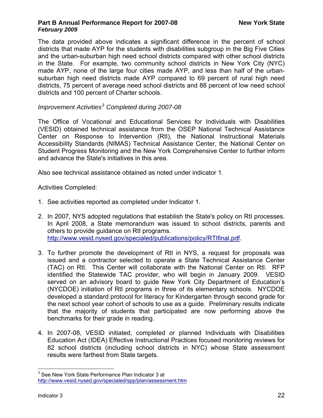The data provided above indicates a significant difference in the percent of school districts that made AYP for the students with disabilities subgroup in the Big Five Cities and the urban-suburban high need school districts compared with other school districts in the State. For example, two community school districts in New York City (NYC) made AYP, none of the large four cities made AYP, and less than half of the urbansuburban high need districts made AYP compared to 69 percent of rural high need districts, 75 percent of average need school districts and 88 percent of low need school districts and 100 percent of Charter schools.

## *Improvement Activities[3](#page-24-0) Completed during 2007-08*

The Office of Vocational and Educational Services for Individuals with Disabilities (VESID) obtained technical assistance from the OSEP National Technical Assistance Center on Response to Intervention (RtI), the National Instructional Materials Accessibility Standards (NIMAS) Technical Assistance Center, the National Center on Student Progress Monitoring and the New York Comprehensive Center to further inform and advance the State's initiatives in this area.

Also see technical assistance obtained as noted under indicator 1.

Activities Completed:

- 1. See activities reported as completed under Indicator 1.
- 2. In 2007, NYS adopted regulations that establish the State's policy on RtI processes. In April 2008, a State memorandum was issued to school districts, parents and others to provide guidance on RtI programs. [http://www.vesid.nysed.gov/specialed/publications/policy/RTIfinal.pdf.](http://www.vesid.nysed.gov/specialed/publications/policy/RTIfinal.pdf)
- 3. To further promote the development of RtI in NYS, a request for proposals was issued and a contractor selected to operate a State Technical Assistance Center (TAC) on RtI. This Center will collaborate with the National Center on RtI. RFP identified the Statewide TAC provider, who will begin in January 2009. VESID served on an advisory board to guide New York City Department of Education's (NYCDOE) initiation of RtI programs in three of its elementary schools. NYCDOE developed a standard protocol for literacy for Kindergarten through second grade for the next school year cohort of schools to use as a guide. Preliminary results indicate that the majority of students that participated are now performing above the benchmarks for their grade in reading.
- 4. In 2007-08, VESID initiated, completed or planned Individuals with Disabilities Education Act (IDEA) Effective Instructional Practices focused monitoring reviews for 82 school districts (including school districts in NYC) whose State assessment results were farthest from State targets.

<span id="page-24-0"></span> $\overline{a}$  $3$  See New York State Performance Plan Indicator 3 at <http://www.vesid.nysed.gov/specialed/spp/plan/assessment.htm>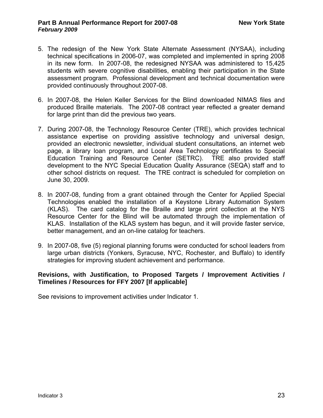- 5. The redesign of the New York State Alternate Assessment (NYSAA), including technical specifications in 2006-07, was completed and implemented in spring 2008 in its new form. In 2007-08, the redesigned NYSAA was administered to 15,425 students with severe cognitive disabilities, enabling their participation in the State assessment program. Professional development and technical documentation were provided continuously throughout 2007-08.
- 6. In 2007-08, the Helen Keller Services for the Blind downloaded NIMAS files and produced Braille materials. The 2007-08 contract year reflected a greater demand for large print than did the previous two years.
- 7. During 2007-08, the Technology Resource Center (TRE), which provides technical assistance expertise on providing assistive technology and universal design, provided an electronic newsletter, individual student consultations, an internet web page, a library loan program, and Local Area Technology certificates to Special Education Training and Resource Center (SETRC). TRE also provided staff development to the NYC Special Education Quality Assurance (SEQA) staff and to other school districts on request. The TRE contract is scheduled for completion on June 30, 2009.
- 8. In 2007-08, funding from a grant obtained through the Center for Applied Special Technologies enabled the installation of a Keystone Library Automation System (KLAS). The card catalog for the Braille and large print collection at the NYS Resource Center for the Blind will be automated through the implementation of KLAS. Installation of the KLAS system has begun, and it will provide faster service, better management, and an on-line catalog for teachers.
- 9. In 2007-08, five (5) regional planning forums were conducted for school leaders from large urban districts (Yonkers, Syracuse, NYC, Rochester, and Buffalo) to identify strategies for improving student achievement and performance.

#### **Revisions, with Justification, to Proposed Targets / Improvement Activities / Timelines / Resources for FFY 2007 [If applicable]**

See revisions to improvement activities under Indicator 1.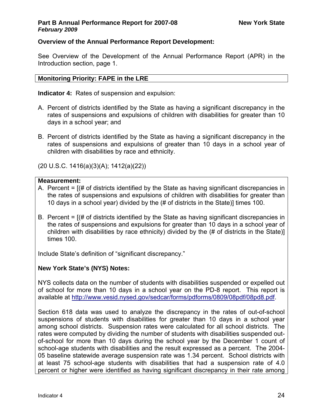#### **Overview of the Annual Performance Report Development:**

See Overview of the Development of the Annual Performance Report (APR) in the Introduction section, page 1.

#### **Monitoring Priority: FAPE in the LRE**

**Indicator 4:** Rates of suspension and expulsion:

- A. Percent of districts identified by the State as having a significant discrepancy in the rates of suspensions and expulsions of children with disabilities for greater than 10 days in a school year; and
- B. Percent of districts identified by the State as having a significant discrepancy in the rates of suspensions and expulsions of greater than 10 days in a school year of children with disabilities by race and ethnicity.

(20 U.S.C. 1416(a)(3)(A); 1412(a)(22))

#### **Measurement:**

- A. Percent = [(# of districts identified by the State as having significant discrepancies in the rates of suspensions and expulsions of children with disabilities for greater than 10 days in a school year) divided by the (# of districts in the State)] times 100.
- B. Percent  $=$   $($  # of districts identified by the State as having significant discrepancies in the rates of suspensions and expulsions for greater than 10 days in a school year of children with disabilities by race ethnicity) divided by the (# of districts in the State)] times 100.

Include State's definition of "significant discrepancy."

## **New York State's (NYS) Notes:**

NYS collects data on the number of students with disabilities suspended or expelled out of school for more than 10 days in a school year on the PD-8 report. This report is available at [http://www.vesid.nysed.gov/sedcar/forms/pdforms/0809/08pdf/08pd8.pdf.](http://www.vesid.nysed.gov/sedcar/forms/pdforms/0809/08pdf/08pd8.pdf)

Section 618 data was used to analyze the discrepancy in the rates of out-of-school suspensions of students with disabilities for greater than 10 days in a school year among school districts. Suspension rates were calculated for all school districts. The rates were computed by dividing the number of students with disabilities suspended outof-school for more than 10 days during the school year by the December 1 count of school-age students with disabilities and the result expressed as a percent. The 2004- 05 baseline statewide average suspension rate was 1.34 percent. School districts with at least 75 school-age students with disabilities that had a suspension rate of 4.0 percent or higher were identified as having significant discrepancy in their rate among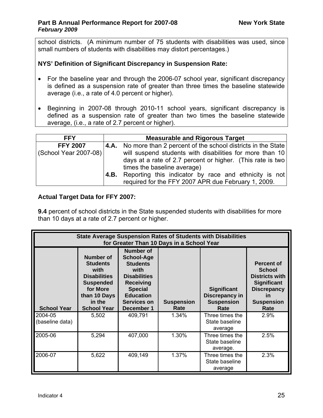school districts. (A minimum number of 75 students with disabilities was used, since small numbers of students with disabilities may distort percentages.)

#### **NYS' Definition of Significant Discrepancy in Suspension Rate:**

- For the baseline year and through the 2006-07 school year, significant discrepancy is defined as a suspension rate of greater than three times the baseline statewide average (i.e., a rate of 4.0 percent or higher).
- Beginning in 2007-08 through 2010-11 school years, significant discrepancy is defined as a suspension rate of greater than two times the baseline statewide average, (i.e., a rate of 2.7 percent or higher).

| <b>FFY</b>            |      | <b>Measurable and Rigorous Target</b>                                   |  |  |  |  |  |  |
|-----------------------|------|-------------------------------------------------------------------------|--|--|--|--|--|--|
| <b>FFY 2007</b>       |      | <b>4.A.</b> No more than 2 percent of the school districts in the State |  |  |  |  |  |  |
| (School Year 2007-08) |      | will suspend students with disabilities for more than 10                |  |  |  |  |  |  |
|                       |      | days at a rate of 2.7 percent or higher. (This rate is two              |  |  |  |  |  |  |
|                       |      | times the baseline average)                                             |  |  |  |  |  |  |
|                       | 4.B. | Reporting this indicator by race and ethnicity is not                   |  |  |  |  |  |  |
|                       |      | required for the FFY 2007 APR due February 1, 2009.                     |  |  |  |  |  |  |

#### **Actual Target Data for FFY 2007:**

**9.4** percent of school districts in the State suspended students with disabilities for more than 10 days at a rate of 2.7 percent or higher.

| <b>State Average Suspension Rates of Students with Disabilities</b><br>for Greater Than 10 Days in a School Year |                                                                                                                                                    |                                                                                                                                                                                |                           |                                                                   |                                                                                                                                            |  |  |  |
|------------------------------------------------------------------------------------------------------------------|----------------------------------------------------------------------------------------------------------------------------------------------------|--------------------------------------------------------------------------------------------------------------------------------------------------------------------------------|---------------------------|-------------------------------------------------------------------|--------------------------------------------------------------------------------------------------------------------------------------------|--|--|--|
| <b>School Year</b>                                                                                               | <b>Number of</b><br><b>Students</b><br>with<br><b>Disabilities</b><br><b>Suspended</b><br>for More<br>than 10 Days<br>in the<br><b>School Year</b> | <b>Number of</b><br><b>School-Age</b><br><b>Students</b><br>with<br><b>Disabilities</b><br><b>Receiving</b><br><b>Special</b><br><b>Education</b><br>Services on<br>December 1 | <b>Suspension</b><br>Rate | <b>Significant</b><br>Discrepancy in<br><b>Suspension</b><br>Rate | Percent of<br><b>School</b><br><b>Districts with</b><br><b>Significant</b><br><b>Discrepancy</b><br><u>in</u><br><b>Suspension</b><br>Rate |  |  |  |
| 2004-05<br>(baseline data)                                                                                       | 5,502                                                                                                                                              | 409,791                                                                                                                                                                        | 1.34%                     | Three times the<br>State baseline<br>average                      | 2.9%                                                                                                                                       |  |  |  |
| 2005-06                                                                                                          | 5,294                                                                                                                                              | 407,000                                                                                                                                                                        | 1.30%                     | Three times the<br>State baseline<br>average.                     | 2.5%                                                                                                                                       |  |  |  |
| 2006-07                                                                                                          | 5,622                                                                                                                                              | 409,149                                                                                                                                                                        | 1.37%                     | Three times the<br>State baseline<br>average                      | 2.3%                                                                                                                                       |  |  |  |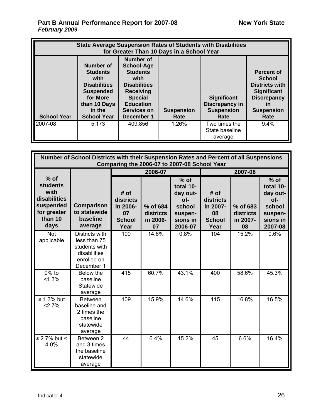|                    | <b>State Average Suspension Rates of Students with Disabilities</b><br>for Greater Than 10 Days in a School Year                            |                                                                                                                                                                                       |                           |                                                                   |                                                                                                                                            |  |  |  |
|--------------------|---------------------------------------------------------------------------------------------------------------------------------------------|---------------------------------------------------------------------------------------------------------------------------------------------------------------------------------------|---------------------------|-------------------------------------------------------------------|--------------------------------------------------------------------------------------------------------------------------------------------|--|--|--|
| <b>School Year</b> | Number of<br><b>Students</b><br>with<br><b>Disabilities</b><br><b>Suspended</b><br>for More<br>than 10 Days<br>in the<br><b>School Year</b> | <b>Number of</b><br><b>School-Age</b><br><b>Students</b><br>with<br><b>Disabilities</b><br><b>Receiving</b><br><b>Special</b><br><b>Education</b><br><b>Services on</b><br>December 1 | <b>Suspension</b><br>Rate | <b>Significant</b><br>Discrepancy in<br><b>Suspension</b><br>Rate | Percent of<br><b>School</b><br><b>Districts with</b><br><b>Significant</b><br><b>Discrepancy</b><br><u>in</u><br><b>Suspension</b><br>Rate |  |  |  |
| 2007-08            | 5,173                                                                                                                                       | 409,856                                                                                                                                                                               | 1.26%                     | Two times the<br>State baseline<br>average                        | 9.4%                                                                                                                                       |  |  |  |

|                                                                                                  | Number of School Districts with their Suspension Rates and Percent of all Suspensions<br>Comparing the 2006-07 to 2007-08 School Year |                                                              |                                         |                                                                                    |                                                              |                                         |                                                                                       |  |  |
|--------------------------------------------------------------------------------------------------|---------------------------------------------------------------------------------------------------------------------------------------|--------------------------------------------------------------|-----------------------------------------|------------------------------------------------------------------------------------|--------------------------------------------------------------|-----------------------------------------|---------------------------------------------------------------------------------------|--|--|
|                                                                                                  |                                                                                                                                       | 2007-08<br>2006-07                                           |                                         |                                                                                    |                                                              |                                         |                                                                                       |  |  |
| $%$ of<br><b>students</b><br>with<br>disabilities<br>suspended<br>for greater<br>than 10<br>days | <b>Comparison</b><br>to statewide<br>baseline<br>average                                                                              | # of<br>districts<br>in 2006-<br>07<br><b>School</b><br>Year | % of 684<br>districts<br>in 2006-<br>07 | $%$ of<br>total 10-<br>day out-<br>of-<br>school<br>suspen-<br>sions in<br>2006-07 | # of<br>districts<br>in 2007-<br>08<br><b>School</b><br>Year | % of 683<br>districts<br>in 2007-<br>08 | $%$ of<br>total 10-<br>day out-<br>$of -$<br>school<br>suspen-<br>sions in<br>2007-08 |  |  |
| Not<br>applicable                                                                                | Districts with<br>less than 75<br>students with<br>disabilities<br>enrolled on<br>December 1                                          | 100                                                          | 14.6%                                   | 0.8%                                                                               | 104                                                          | 15.2%                                   | 0.6%                                                                                  |  |  |
| $0\%$ to<br>< 1.3%                                                                               | Below the<br>baseline<br>Statewide<br>average                                                                                         | 415                                                          | 60.7%                                   | 43.1%                                                                              | 400                                                          | 58.6%                                   | 45.3%                                                                                 |  |  |
| $\geq 1.3\%$ but<br>2.7%                                                                         | <b>Between</b><br>baseline and<br>2 times the<br>baseline<br>statewide<br>average                                                     | 109                                                          | 15.9%                                   | 14.6%                                                                              | 115                                                          | 16.8%                                   | 16.5%                                                                                 |  |  |
| $\geq$ 2.7% but <<br>4.0%                                                                        | Between 2<br>and 3 times<br>the baseline<br>statewide<br>average                                                                      | 44                                                           | 6.4%                                    | 15.2%                                                                              | 45                                                           | 6.6%                                    | 16.4%                                                                                 |  |  |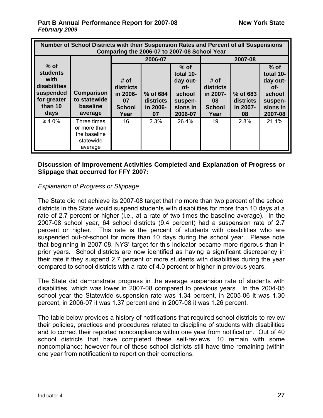| Number of School Districts with their Suspension Rates and Percent of all Suspensions<br>Comparing the 2006-07 to 2007-08 School Year |                                                                     |                                                              |                                         |                                                                                    |                                                                     |                                         |                                                                                      |  |
|---------------------------------------------------------------------------------------------------------------------------------------|---------------------------------------------------------------------|--------------------------------------------------------------|-----------------------------------------|------------------------------------------------------------------------------------|---------------------------------------------------------------------|-----------------------------------------|--------------------------------------------------------------------------------------|--|
|                                                                                                                                       |                                                                     |                                                              | 2006-07                                 |                                                                                    |                                                                     | 2007-08                                 |                                                                                      |  |
| $%$ of<br><b>students</b><br>with<br>disabilities<br>suspended<br>for greater<br>than 10<br>days                                      | Comparison<br>to statewide<br><b>baseline</b><br>average            | # of<br>districts<br>in 2006-<br>07<br><b>School</b><br>Year | % of 684<br>districts<br>in 2006-<br>07 | $%$ of<br>total 10-<br>day out-<br>of-<br>school<br>suspen-<br>sions in<br>2006-07 | # of<br><b>districts</b><br>in 2007-<br>08<br><b>School</b><br>Year | % of 683<br>districts<br>in 2007-<br>08 | $%$ of<br>total 10-<br>day out-<br>$Of-$<br>school<br>suspen-<br>sions in<br>2007-08 |  |
| $\geq 4.0\%$                                                                                                                          | Three times<br>or more than<br>the baseline<br>statewide<br>average | 16                                                           | 2.3%                                    | 26.4%                                                                              | 19                                                                  | 2.8%                                    | 21.1%                                                                                |  |

#### **Discussion of Improvement Activities Completed and Explanation of Progress or Slippage that occurred for FFY 2007:**

#### *Explanation of Progress or Slippage*

The State did not achieve its 2007-08 target that no more than two percent of the school districts in the State would suspend students with disabilities for more than 10 days at a rate of 2.7 percent or higher (i.e., at a rate of two times the baseline average). In the 2007-08 school year, 64 school districts (9.4 percent) had a suspension rate of 2.7 percent or higher. This rate is the percent of students with disabilities who are suspended out-of-school for more than 10 days during the school year. Please note that beginning in 2007-08, NYS' target for this indicator became more rigorous than in prior years. School districts are now identified as having a significant discrepancy in their rate if they suspend 2.7 percent or more students with disabilities during the year compared to school districts with a rate of 4.0 percent or higher in previous years.

The State did demonstrate progress in the average suspension rate of students with disabilities, which was lower in 2007-08 compared to previous years. In the 2004-05 school year the Statewide suspension rate was 1.34 percent, in 2005-06 it was 1.30 percent, in 2006-07 it was 1.37 percent and in 2007-08 it was 1.26 percent.

The table below provides a history of notifications that required school districts to review their policies, practices and procedures related to discipline of students with disabilities and to correct their reported noncompliance within one year from notification. Out of 40 school districts that have completed these self-reviews, 10 remain with some noncompliance; however four of these school districts still have time remaining (within one year from notification) to report on their corrections.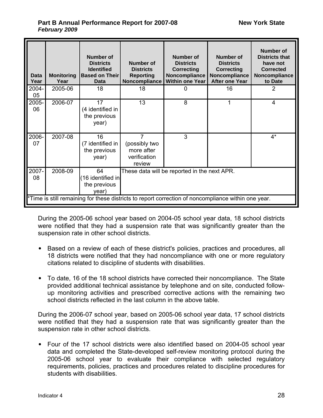| <b>Data</b><br>Year                                                                                                        | <b>Monitoring</b><br>Year | <b>Number of</b><br><b>Districts</b><br><b>Identified</b><br><b>Based on Their</b><br>Data | <b>Number of</b><br><b>Districts</b><br><b>Reporting</b><br>Noncompliance | <b>Number of</b><br><b>Districts</b><br><b>Correcting</b><br>Noncompliance<br><b>Within one Year</b> | <b>Number of</b><br><b>Districts</b><br><b>Correcting</b><br>Noncompliance<br><b>After one Year</b> | Number of<br><b>Districts that</b><br>have not<br><b>Corrected</b><br>Noncompliance<br>to Date |  |
|----------------------------------------------------------------------------------------------------------------------------|---------------------------|--------------------------------------------------------------------------------------------|---------------------------------------------------------------------------|------------------------------------------------------------------------------------------------------|-----------------------------------------------------------------------------------------------------|------------------------------------------------------------------------------------------------|--|
| 2004-<br>05                                                                                                                | 2005-06                   | 18                                                                                         | 18                                                                        | 0                                                                                                    | 16                                                                                                  | 2                                                                                              |  |
| 2005-<br>06                                                                                                                | 2006-07                   | 17<br>(4 identified in<br>the previous<br>year)                                            | 13                                                                        | 8                                                                                                    | 1                                                                                                   | 4                                                                                              |  |
| 2006-<br>07                                                                                                                | 2007-08                   | 16<br>(7 identified in<br>the previous<br>year)                                            | 7<br>(possibly two<br>more after<br>verification<br>review                | 3                                                                                                    |                                                                                                     | $4^*$                                                                                          |  |
| 2007-<br>2008-09<br>64<br>These data will be reported in the next APR.<br>08<br>(16 identified in<br>the previous<br>year) |                           |                                                                                            |                                                                           |                                                                                                      |                                                                                                     |                                                                                                |  |
|                                                                                                                            |                           |                                                                                            |                                                                           | *Time is still remaining for these districts to report correction of noncompliance within one year.  |                                                                                                     |                                                                                                |  |

During the 2005-06 school year based on 2004-05 school year data, 18 school districts were notified that they had a suspension rate that was significantly greater than the suspension rate in other school districts.

- Based on a review of each of these district's policies, practices and procedures, all 18 districts were notified that they had noncompliance with one or more regulatory citations related to discipline of students with disabilities.
- To date, 16 of the 18 school districts have corrected their noncompliance. The State provided additional technical assistance by telephone and on site, conducted followup monitoring activities and prescribed corrective actions with the remaining two school districts reflected in the last column in the above table.

During the 2006-07 school year, based on 2005-06 school year data, 17 school districts were notified that they had a suspension rate that was significantly greater than the suspension rate in other school districts.

• Four of the 17 school districts were also identified based on 2004-05 school year data and completed the State-developed self-review monitoring protocol during the 2005-06 school year to evaluate their compliance with selected regulatory requirements, policies, practices and procedures related to discipline procedures for students with disabilities.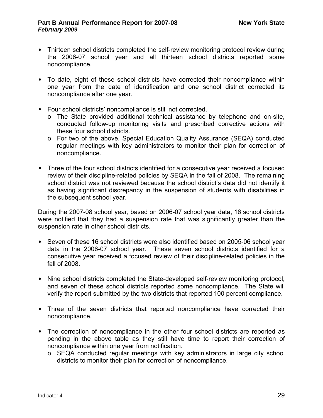- Thirteen school districts completed the self-review monitoring protocol review during the 2006-07 school year and all thirteen school districts reported some noncompliance.
- To date, eight of these school districts have corrected their noncompliance within one year from the date of identification and one school district corrected its noncompliance after one year.
- Four school districts' noncompliance is still not corrected.
	- o The State provided additional technical assistance by telephone and on-site, conducted follow-up monitoring visits and prescribed corrective actions with these four school districts.
	- o For two of the above, Special Education Quality Assurance (SEQA) conducted regular meetings with key administrators to monitor their plan for correction of noncompliance.
- Three of the four school districts identified for a consecutive year received a focused review of their discipline-related policies by SEQA in the fall of 2008. The remaining school district was not reviewed because the school district's data did not identify it as having significant discrepancy in the suspension of students with disabilities in the subsequent school year.

During the 2007-08 school year, based on 2006-07 school year data, 16 school districts were notified that they had a suspension rate that was significantly greater than the suspension rate in other school districts.

- Seven of these 16 school districts were also identified based on 2005-06 school year data in the 2006-07 school year. These seven school districts identified for a consecutive year received a focused review of their discipline-related policies in the fall of 2008.
- Nine school districts completed the State-developed self-review monitoring protocol, and seven of these school districts reported some noncompliance. The State will verify the report submitted by the two districts that reported 100 percent compliance.
- Three of the seven districts that reported noncompliance have corrected their noncompliance.
- The correction of noncompliance in the other four school districts are reported as pending in the above table as they still have time to report their correction of noncompliance within one year from notification.
	- o SEQA conducted regular meetings with key administrators in large city school districts to monitor their plan for correction of noncompliance.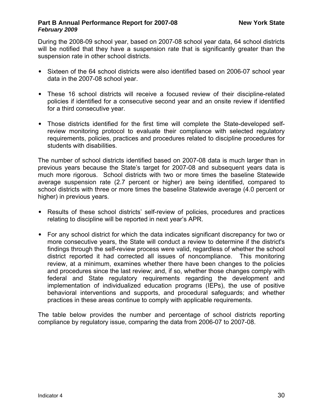During the 2008-09 school year, based on 2007-08 school year data, 64 school districts will be notified that they have a suspension rate that is significantly greater than the suspension rate in other school districts.

- Sixteen of the 64 school districts were also identified based on 2006-07 school year data in the 2007-08 school year.
- These 16 school districts will receive a focused review of their discipline-related policies if identified for a consecutive second year and an onsite review if identified for a third consecutive year.
- Those districts identified for the first time will complete the State-developed selfreview monitoring protocol to evaluate their compliance with selected regulatory requirements, policies, practices and procedures related to discipline procedures for students with disabilities.

The number of school districts identified based on 2007-08 data is much larger than in previous years because the State's target for 2007-08 and subsequent years data is much more rigorous. School districts with two or more times the baseline Statewide average suspension rate (2.7 percent or higher) are being identified, compared to school districts with three or more times the baseline Statewide average (4.0 percent or higher) in previous years.

- Results of these school districts' self-review of policies, procedures and practices relating to discipline will be reported in next year's APR.
- For any school district for which the data indicates significant discrepancy for two or more consecutive years, the State will conduct a review to determine if the district's findings through the self-review process were valid, regardless of whether the school district reported it had corrected all issues of noncompliance. This monitoring review, at a minimum, examines whether there have been changes to the policies and procedures since the last review; and, if so, whether those changes comply with federal and State regulatory requirements regarding the development and implementation of individualized education programs (IEPs), the use of positive behavioral interventions and supports, and procedural safeguards; and whether practices in these areas continue to comply with applicable requirements.

The table below provides the number and percentage of school districts reporting compliance by regulatory issue, comparing the data from 2006-07 to 2007-08.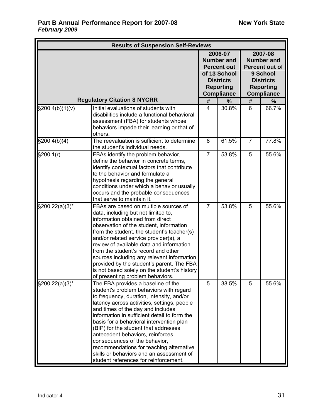| <b>Results of Suspension Self-Reviews</b> |                                                                                                                                                                                                                                                                                                                                                                                                                                                                                                                                                          |                |                                                                                                                                 |                                                                                                                         |       |  |
|-------------------------------------------|----------------------------------------------------------------------------------------------------------------------------------------------------------------------------------------------------------------------------------------------------------------------------------------------------------------------------------------------------------------------------------------------------------------------------------------------------------------------------------------------------------------------------------------------------------|----------------|---------------------------------------------------------------------------------------------------------------------------------|-------------------------------------------------------------------------------------------------------------------------|-------|--|
|                                           |                                                                                                                                                                                                                                                                                                                                                                                                                                                                                                                                                          |                | 2006-07<br><b>Number and</b><br><b>Percent out</b><br>of 13 School<br><b>Districts</b><br><b>Reporting</b><br><b>Compliance</b> | 2007-08<br><b>Number and</b><br>Percent out of<br>9 School<br><b>Districts</b><br><b>Reporting</b><br><b>Compliance</b> |       |  |
|                                           | <b>Regulatory Citation 8 NYCRR</b>                                                                                                                                                                                                                                                                                                                                                                                                                                                                                                                       | #              | %                                                                                                                               | #                                                                                                                       | %     |  |
| $\S200.4(b)(1)(v)$                        | Initial evaluations of students with<br>disabilities include a functional behavioral<br>assessment (FBA) for students whose<br>behaviors impede their learning or that of<br>others.                                                                                                                                                                                                                                                                                                                                                                     | 4              | 30.8%                                                                                                                           | 6                                                                                                                       | 66.7% |  |
| \$200.4(b)(4)                             | The reevaluation is sufficient to determine<br>the student's individual needs.                                                                                                                                                                                                                                                                                                                                                                                                                                                                           | 8              | 61.5%                                                                                                                           | $\overline{7}$                                                                                                          | 77.8% |  |
| \$200.1(r)                                | FBAs identify the problem behavior,<br>define the behavior in concrete terms,<br>identify contextual factors that contribute<br>to the behavior and formulate a<br>hypothesis regarding the general<br>conditions under which a behavior usually<br>occurs and the probable consequences<br>that serve to maintain it.                                                                                                                                                                                                                                   | $\overline{7}$ | 53.8%                                                                                                                           | 5                                                                                                                       | 55.6% |  |
| $\S200.22(a)(3)^*$                        | FBAs are based on multiple sources of<br>data, including but not limited to,<br>information obtained from direct<br>observation of the student, information<br>from the student, the student's teacher(s)<br>and/or related service provider(s), a<br>review of available data and information<br>from the student's record and other<br>sources including any relevant information<br>provided by the student's parent. The FBA<br>is not based solely on the student's history<br>of presenting problem behaviors.                                     | $\overline{7}$ | 53.8%                                                                                                                           | 5                                                                                                                       | 55.6% |  |
| $\S200.22(a)(3)^*$                        | The FBA provides a baseline of the<br>student's problem behaviors with regard<br>to frequency, duration, intensity, and/or<br>latency across activities, settings, people<br>and times of the day and includes<br>information in sufficient detail to form the<br>basis for a behavioral intervention plan<br>(BIP) for the student that addresses<br>antecedent behaviors, reinforces<br>consequences of the behavior,<br>recommendations for teaching alternative<br>skills or behaviors and an assessment of<br>student references for reinforcement. | 5              | 38.5%                                                                                                                           | 5                                                                                                                       | 55.6% |  |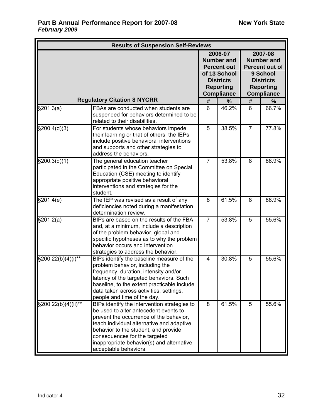| <b>Results of Suspension Self-Reviews</b> |                                                                                                                                                                                                                                                                                                                              |                                                                                                                                 |       |                                                                                                                         |       |  |  |  |
|-------------------------------------------|------------------------------------------------------------------------------------------------------------------------------------------------------------------------------------------------------------------------------------------------------------------------------------------------------------------------------|---------------------------------------------------------------------------------------------------------------------------------|-------|-------------------------------------------------------------------------------------------------------------------------|-------|--|--|--|
|                                           |                                                                                                                                                                                                                                                                                                                              | 2006-07<br><b>Number and</b><br><b>Percent out</b><br>of 13 School<br><b>Districts</b><br><b>Reporting</b><br><b>Compliance</b> |       | 2007-08<br><b>Number and</b><br>Percent out of<br>9 School<br><b>Districts</b><br><b>Reporting</b><br><b>Compliance</b> |       |  |  |  |
| <b>Regulatory Citation 8 NYCRR</b>        |                                                                                                                                                                                                                                                                                                                              | #                                                                                                                               | %     | #                                                                                                                       | %     |  |  |  |
| \$201.3(a)                                | FBAs are conducted when students are<br>suspended for behaviors determined to be<br>related to their disabilities.                                                                                                                                                                                                           | 6                                                                                                                               | 46.2% | 6                                                                                                                       | 66.7% |  |  |  |
| \$200.4(d)(3)                             | For students whose behaviors impede<br>their learning or that of others, the IEPs<br>include positive behavioral interventions<br>and supports and other strategies to<br>address the behaviors.                                                                                                                             | 5                                                                                                                               | 38.5% | $\overline{7}$                                                                                                          | 77.8% |  |  |  |
| \$200.3(d)(1)                             | The general education teacher<br>participated in the Committee on Special<br>Education (CSE) meeting to identify<br>appropriate positive behavioral<br>interventions and strategies for the<br>student.                                                                                                                      | $\overline{7}$                                                                                                                  | 53.8% | 8                                                                                                                       | 88.9% |  |  |  |
| \$201.4(e)                                | The IEP was revised as a result of any<br>deficiencies noted during a manifestation<br>determination review.                                                                                                                                                                                                                 | 8                                                                                                                               | 61.5% | 8                                                                                                                       | 88.9% |  |  |  |
| \$201.2(a)                                | BIPs are based on the results of the FBA<br>and, at a minimum, include a description<br>of the problem behavior, global and<br>specific hypotheses as to why the problem<br>behavior occurs and intervention<br>strategies to address the behavior.                                                                          | $\overline{7}$                                                                                                                  | 53.8% | 5                                                                                                                       | 55.6% |  |  |  |
| $\sqrt{\frac{200.22(b)}{4}}$ (i)**        | BIPs identify the baseline measure of the<br>problem behavior, including the<br>frequency, duration, intensity and/or<br>latency of the targeted behaviors. Such<br>baseline, to the extent practicable include<br>data taken across activities, settings,<br>people and time of the day.                                    | 4                                                                                                                               | 30.8% | 5                                                                                                                       | 55.6% |  |  |  |
| §200.22(b)(4)(ii)**                       | BIPs identify the intervention strategies to<br>be used to alter antecedent events to<br>prevent the occurrence of the behavior,<br>teach individual alternative and adaptive<br>behavior to the student, and provide<br>consequences for the targeted<br>inappropriate behavior(s) and alternative<br>acceptable behaviors. | 8                                                                                                                               | 61.5% | 5                                                                                                                       | 55.6% |  |  |  |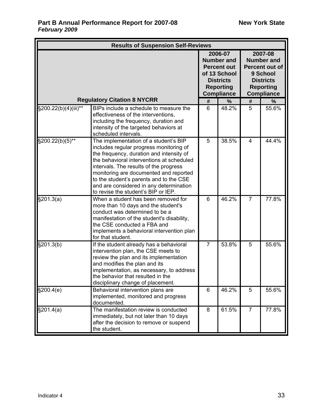| <b>Results of Suspension Self-Reviews</b> |                                                                                                                                                                                                                                                                                                                                                                                            |                                                                                                                                 |       |                                                                                                                         |       |  |  |  |
|-------------------------------------------|--------------------------------------------------------------------------------------------------------------------------------------------------------------------------------------------------------------------------------------------------------------------------------------------------------------------------------------------------------------------------------------------|---------------------------------------------------------------------------------------------------------------------------------|-------|-------------------------------------------------------------------------------------------------------------------------|-------|--|--|--|
|                                           |                                                                                                                                                                                                                                                                                                                                                                                            | 2006-07<br><b>Number and</b><br><b>Percent out</b><br>of 13 School<br><b>Districts</b><br><b>Reporting</b><br><b>Compliance</b> |       | 2007-08<br><b>Number and</b><br>Percent out of<br>9 School<br><b>Districts</b><br><b>Reporting</b><br><b>Compliance</b> |       |  |  |  |
| <b>Regulatory Citation 8 NYCRR</b>        |                                                                                                                                                                                                                                                                                                                                                                                            | #                                                                                                                               | %     | #                                                                                                                       | $\%$  |  |  |  |
| §200.22(b)(4)(iii)**                      | BIPs include a schedule to measure the<br>effectiveness of the interventions,<br>including the frequency, duration and<br>intensity of the targeted behaviors at<br>scheduled intervals.                                                                                                                                                                                                   | 6                                                                                                                               | 48.2% | 5                                                                                                                       | 55.6% |  |  |  |
| §200.22(b)(5)**                           | The implementation of a student's BIP<br>includes regular progress monitoring of<br>the frequency, duration and intensity of<br>the behavioral interventions at scheduled<br>intervals. The results of the progress<br>monitoring are documented and reported<br>to the student's parents and to the CSE<br>and are considered in any determination<br>to revise the student's BIP or IEP. | 5                                                                                                                               | 38.5% | 4                                                                                                                       | 44.4% |  |  |  |
| §201.3(a)                                 | When a student has been removed for<br>more than 10 days and the student's<br>conduct was determined to be a<br>manifestation of the student's disability,<br>the CSE conducted a FBA and<br>implements a behavioral intervention plan<br>for that student.                                                                                                                                | 6                                                                                                                               | 46.2% | $\overline{7}$                                                                                                          | 77.8% |  |  |  |
| §201.3(b)                                 | If the student already has a behavioral<br>intervention plan, the CSE meets to<br>review the plan and its implementation<br>and modifies the plan and its<br>implementation, as necessary, to address<br>the behavior that resulted in the<br>disciplinary change of placement.                                                                                                            | $\overline{7}$                                                                                                                  | 53.8% | 5                                                                                                                       | 55.6% |  |  |  |
| \$200.4(e)                                | Behavioral intervention plans are<br>implemented, monitored and progress<br>documented.                                                                                                                                                                                                                                                                                                    | 6                                                                                                                               | 46.2% | 5                                                                                                                       | 55.6% |  |  |  |
| \$201.4(a)                                | The manifestation review is conducted<br>immediately, but not later than 10 days<br>after the decision to remove or suspend<br>the student.                                                                                                                                                                                                                                                | 8                                                                                                                               | 61.5% | $\overline{7}$                                                                                                          | 77.8% |  |  |  |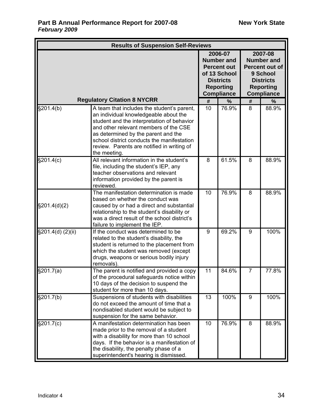|                                    | <b>Results of Suspension Self-Reviews</b>                                                                                                                                                                                                                                                                                     |      |       |                                                                                                                         |       |
|------------------------------------|-------------------------------------------------------------------------------------------------------------------------------------------------------------------------------------------------------------------------------------------------------------------------------------------------------------------------------|------|-------|-------------------------------------------------------------------------------------------------------------------------|-------|
|                                    | 2006-07<br><b>Number and</b><br><b>Percent out</b><br>of 13 School<br><b>Districts</b><br><b>Reporting</b><br><b>Compliance</b>                                                                                                                                                                                               |      |       | 2007-08<br><b>Number and</b><br>Percent out of<br>9 School<br><b>Districts</b><br><b>Reporting</b><br><b>Compliance</b> |       |
| <b>Regulatory Citation 8 NYCRR</b> | #                                                                                                                                                                                                                                                                                                                             | $\%$ | #     | $\%$                                                                                                                    |       |
| §201.4(b)                          | A team that includes the student's parent,<br>an individual knowledgeable about the<br>student and the interpretation of behavior<br>and other relevant members of the CSE<br>as determined by the parent and the<br>school district conducts the manifestation<br>review. Parents are notified in writing of<br>the meeting. | 10   | 76.9% | 8                                                                                                                       | 88.9% |
| \$201.4(c)                         | All relevant information in the student's<br>file, including the student's IEP, any<br>teacher observations and relevant<br>information provided by the parent is<br>reviewed.                                                                                                                                                | 8    | 61.5% | 8                                                                                                                       | 88.9% |
| \$201.4(d)(2)                      | The manifestation determination is made<br>based on whether the conduct was<br>caused by or had a direct and substantial<br>relationship to the student's disability or<br>was a direct result of the school district's<br>failure to implement the IEP.                                                                      | 10   | 76.9% | 8                                                                                                                       | 88.9% |
| §201.4(d) (2)(ii)                  | If the conduct was determined to be<br>related to the student's disability, the<br>student is returned to the placement from<br>which the student was removed (except<br>drugs, weapons or serious bodily injury<br>removals).                                                                                                | 9    | 69.2% | 9                                                                                                                       | 100%  |
| §201.7(a)                          | The parent is notified and provided a copy<br>of the procedural safeguards notice within<br>10 days of the decision to suspend the<br>student for more than 10 days.                                                                                                                                                          | 11   | 84.6% | $\overline{7}$                                                                                                          | 77.8% |
| §201.7(b)                          | Suspensions of students with disabilities<br>do not exceed the amount of time that a<br>nondisabled student would be subject to<br>suspension for the same behavior.                                                                                                                                                          | 13   | 100%  | 9                                                                                                                       | 100%  |
| §201.7(c)                          | A manifestation determination has been<br>made prior to the removal of a student<br>with a disability for more than 10 school<br>days. If the behavior is a manifestation of<br>the disability, the penalty phase of a<br>superintendent's hearing is dismissed.                                                              | 10   | 76.9% | 8                                                                                                                       | 88.9% |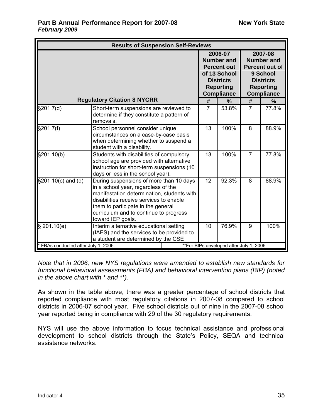|                                      | <b>Results of Suspension Self-Reviews</b>                                                                                                                                                                                                                                    |    |                |                                                                                                                                 |                |                                                                                                                         |  |  |
|--------------------------------------|------------------------------------------------------------------------------------------------------------------------------------------------------------------------------------------------------------------------------------------------------------------------------|----|----------------|---------------------------------------------------------------------------------------------------------------------------------|----------------|-------------------------------------------------------------------------------------------------------------------------|--|--|
|                                      |                                                                                                                                                                                                                                                                              |    |                | 2006-07<br><b>Number and</b><br><b>Percent out</b><br>of 13 School<br><b>Districts</b><br><b>Reporting</b><br><b>Compliance</b> |                | 2007-08<br><b>Number and</b><br>Percent out of<br>9 School<br><b>Districts</b><br><b>Reporting</b><br><b>Compliance</b> |  |  |
|                                      | <b>Regulatory Citation 8 NYCRR</b>                                                                                                                                                                                                                                           |    | #              | %                                                                                                                               | #              | %                                                                                                                       |  |  |
| §201.7(d)                            | Short-term suspensions are reviewed to<br>determine if they constitute a pattern of<br>removals.                                                                                                                                                                             |    | $\overline{7}$ | 53.8%                                                                                                                           | $\overline{7}$ | $\overline{77.8\%}$                                                                                                     |  |  |
| §201.7(f)                            | School personnel consider unique<br>circumstances on a case-by-case basis<br>when determining whether to suspend a<br>student with a disability.                                                                                                                             | 13 | 100%           | 8                                                                                                                               | 88.9%          |                                                                                                                         |  |  |
| §201.10(b)                           | Students with disabilities of compulsory<br>school age are provided with alternative<br>instruction for short-term suspensions (10<br>days or less in the school year).                                                                                                      | 13 | 100%           | $\overline{7}$                                                                                                                  | 77.8%          |                                                                                                                         |  |  |
| §201.10(c) and (d)                   | During suspensions of more than 10 days<br>in a school year, regardless of the<br>manifestation determination, students with<br>disabilities receive services to enable<br>them to participate in the general<br>curriculum and to continue to progress<br>toward IEP goals. | 12 | 92.3%          | 8                                                                                                                               | 88.9%          |                                                                                                                         |  |  |
| \$201.10(e)                          | Interim alternative educational setting<br>(IAES) and the services to be provided to<br>a student are determined by the CSE                                                                                                                                                  |    | 10             | 76.9%                                                                                                                           | 9              | 100%                                                                                                                    |  |  |
| * FBAs conducted after July 1, 2006. |                                                                                                                                                                                                                                                                              |    |                | **For BIPs developed after July 1, 2006                                                                                         |                |                                                                                                                         |  |  |

*Note that in 2006, new NYS regulations were amended to establish new standards for functional behavioral assessments (FBA) and behavioral intervention plans (BIP) (noted in the above chart with \* and \*\*).* 

As shown in the table above, there was a greater percentage of school districts that reported compliance with most regulatory citations in 2007-08 compared to school districts in 2006-07 school year. Five school districts out of nine in the 2007-08 school year reported being in compliance with 29 of the 30 regulatory requirements.

NYS will use the above information to focus technical assistance and professional development to school districts through the State's Policy, SEQA and technical assistance networks.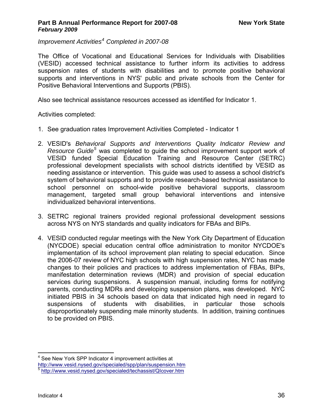<span id="page-38-0"></span>*Improvement Activities[4](#page-38-0) Completed in 2007-08* 

The Office of Vocational and Educational Services for Individuals with Disabilities (VESID) accessed technical assistance to further inform its activities to address suspension rates of students with disabilities and to promote positive behavioral supports and interventions in NYS' public and private schools from the Center for Positive Behavioral Interventions and Supports (PBIS).

Also see technical assistance resources accessed as identified for Indicator 1.

Activities completed:

- 1. See graduation rates Improvement Activities Completed Indicator 1
- 2. VESID's *Behavioral Supports and Interventions Quality Indicator Review and Resource Guide[5](#page-38-0)* was completed to guide the school improvement support work of VESID funded Special Education Training and Resource Center (SETRC) professional development specialists with school districts identified by VESID as needing assistance or intervention. This guide was used to assess a school district's system of behavioral supports and to provide research-based technical assistance to school personnel on school-wide positive behavioral supports, classroom management, targeted small group behavioral interventions and intensive individualized behavioral interventions.
- 3. SETRC regional trainers provided regional professional development sessions across NYS on NYS standards and quality indicators for FBAs and BIPs.
- 4. VESID conducted regular meetings with the New York City Department of Education (NYCDOE) special education central office administration to monitor NYCDOE's implementation of its school improvement plan relating to special education. Since the 2006-07 review of NYC high schools with high suspension rates, NYC has made changes to their policies and practices to address implementation of FBAs, BIPs, manifestation determination reviews (MDR) and provision of special education services during suspensions. A suspension manual, including forms for notifying parents, conducting MDRs and developing suspension plans, was developed. NYC initiated PBIS in 34 schools based on data that indicated high need in regard to suspensions of students with disabilities, in particular those schools disproportionately suspending male minority students. In addition, training continues to be provided on PBIS.

<sup>1</sup> <sup>4</sup> See New York SPP Indicator 4 improvement activities at

<http://www.vesid.nysed.gov/specialed/spp/plan/suspension.htm>

<sup>5</sup> <http://www.vesid.nysed.gov/specialed/techassist/QIcover.htm>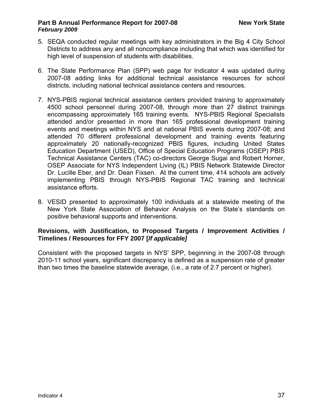- 5. SEQA conducted regular meetings with key administrators in the Big 4 City School Districts to address any and all noncompliance including that which was identified for high level of suspension of students with disabilities.
- 6. The State Performance Plan (SPP) web page for Indicator 4 was updated during 2007-08 adding links for additional technical assistance resources for school districts, including national technical assistance centers and resources.
- 7. NYS-PBIS regional technical assistance centers provided training to approximately 4500 school personnel during 2007-08, through more than 27 distinct trainings encompassing approximately 165 training events. NYS-PBIS Regional Specialists attended and/or presented in more than 165 professional development training events and meetings within NYS and at national PBIS events during 2007-08; and attended 70 different professional development and training events featuring approximately 20 nationally-recognized PBIS figures, including United States Education Department (USED), Office of Special Education Programs (OSEP) PBIS Technical Assistance Centers (TAC) co-directors George Sugai and Robert Horner, OSEP Associate for NYS Independent Living (IL) PBIS Network Statewide Director Dr. Lucille Eber, and Dr. Dean Fixsen. At the current time, 414 schools are actively implementing PBIS through NYS-PBIS Regional TAC training and technical assistance efforts.
- 8. VESID presented to approximately 100 individuals at a statewide meeting of the New York State Association of Behavior Analysis on the State's standards on positive behavioral supports and interventions.

### **Revisions, with Justification, to Proposed Targets / Improvement Activities / Timelines / Resources for FFY 2007 [***If applicable]*

Consistent with the proposed targets in NYS' SPP, beginning in the 2007-08 through 2010-11 school years, significant discrepancy is defined as a suspension rate of greater than two times the baseline statewide average, (i.e., a rate of 2.7 percent or higher).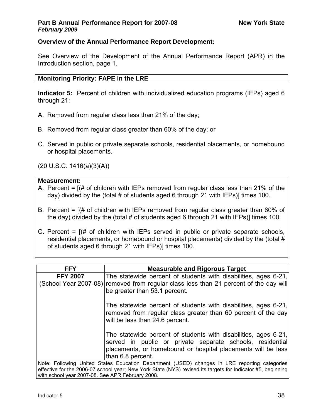# **Overview of the Annual Performance Report Development:**

See Overview of the Development of the Annual Performance Report (APR) in the Introduction section, page 1.

# **Monitoring Priority: FAPE in the LRE**

**Indicator 5:** Percent of children with individualized education programs (IEPs) aged 6 through 21:

- A. Removed from regular class less than 21% of the day;
- B. Removed from regular class greater than 60% of the day; or
- C. Served in public or private separate schools, residential placements, or homebound or hospital placements.

(20 U.S.C. 1416(a)(3)(A))

# **Measurement:**

- A. Percent = [(# of children with IEPs removed from regular class less than 21% of the day) divided by the (total # of students aged 6 through 21 with IEPs)] times 100.
- B. Percent = [(# of children with IEPs removed from regular class greater than 60% of the day) divided by the (total # of students aged 6 through 21 with IEPs)] times 100.
- C. Percent  $=$   $[$   $|$   $|$   $|$  of children with IEPs served in public or private separate schools, residential placements, or homebound or hospital placements) divided by the (total # of students aged 6 through 21 with IEPs)] times 100.

| <b>FFY</b>                                       | <b>Measurable and Rigorous Target</b>                                                                                                                                                        |
|--------------------------------------------------|----------------------------------------------------------------------------------------------------------------------------------------------------------------------------------------------|
|                                                  |                                                                                                                                                                                              |
| <b>FFY 2007</b>                                  | The statewide percent of students with disabilities, ages 6-21,                                                                                                                              |
|                                                  | (School Year 2007-08) removed from regular class less than 21 percent of the day will                                                                                                        |
|                                                  | be greater than 53.1 percent.                                                                                                                                                                |
|                                                  | The statewide percent of students with disabilities, ages 6-21,                                                                                                                              |
|                                                  | removed from regular class greater than 60 percent of the day<br>will be less than 24.6 percent.                                                                                             |
|                                                  | The statewide percent of students with disabilities, ages 6-21,<br>served in public or private separate schools, residential<br>placements, or homebound or hospital placements will be less |
|                                                  |                                                                                                                                                                                              |
|                                                  | than 6.8 percent.                                                                                                                                                                            |
|                                                  | Note: Following United States Education Department (USED) changes in LRE reporting categories                                                                                                |
|                                                  | effective for the 2006-07 school year; New York State (NYS) revised its targets for Indicator #5, beginning                                                                                  |
| with school year 2007-08. See APR February 2008. |                                                                                                                                                                                              |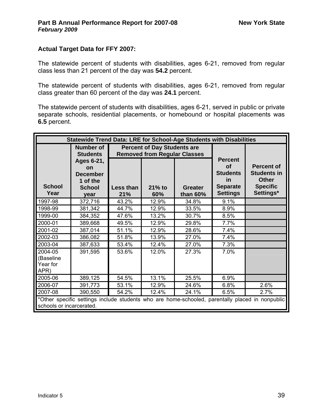## **Actual Target Data for FFY 2007:**

The statewide percent of students with disabilities, ages 6-21, removed from regular class less than 21 percent of the day was **54.2** percent.

The statewide percent of students with disabilities, ages 6-21, removed from regular class greater than 60 percent of the day was **24.1** percent.

The statewide percent of students with disabilities, ages 6-21, served in public or private separate schools, residential placements, or homebound or hospital placements was **6.5** percent.

| Statewide Trend Data: LRE for School-Age Students with Disabilities |                                                                                 |                                                                           |                 |                              |                                                                                     |                                                                                                 |  |
|---------------------------------------------------------------------|---------------------------------------------------------------------------------|---------------------------------------------------------------------------|-----------------|------------------------------|-------------------------------------------------------------------------------------|-------------------------------------------------------------------------------------------------|--|
|                                                                     | <b>Number of</b><br><b>Students</b>                                             | <b>Percent of Day Students are</b><br><b>Removed from Regular Classes</b> |                 |                              |                                                                                     |                                                                                                 |  |
| <b>School</b><br>Year                                               | Ages 6-21,<br><b>on</b><br><b>December</b><br>1 of the<br><b>School</b><br>year | Less than<br>21%                                                          | $21%$ to<br>60% | <b>Greater</b><br>than $60%$ | <b>Percent</b><br>Οf<br><b>Students</b><br>in<br><b>Separate</b><br><b>Settings</b> | <b>Percent of</b><br><b>Students in</b><br><b>Other</b><br><b>Specific</b><br>Settings*         |  |
| 1997-98                                                             | 372,716                                                                         | 43.2%                                                                     | 12.9%           | 34.8%                        | 9.1%                                                                                |                                                                                                 |  |
| 1998-99                                                             | 381,342                                                                         | 44.7%                                                                     | 12.9%           | 33.5%                        | 8.9%                                                                                |                                                                                                 |  |
| 1999-00                                                             | 384,352                                                                         | 47.6%                                                                     | 13.2%           | 30.7%                        | 8.5%                                                                                |                                                                                                 |  |
| 2000-01                                                             | 389,668                                                                         | 49.5%                                                                     | 12.9%           | 29.8%                        | 7.7%                                                                                |                                                                                                 |  |
| 2001-02                                                             | 387,014                                                                         | 51.1%                                                                     | 12.9%           | 28.6%                        | 7.4%                                                                                |                                                                                                 |  |
| 2002-03                                                             | 386,082                                                                         | 51.8%                                                                     | 13.9%           | 27.0%                        | 7.4%                                                                                |                                                                                                 |  |
| 2003-04                                                             | 387,633                                                                         | 53.4%                                                                     | 12.4%           | 27.0%                        | 7.3%                                                                                |                                                                                                 |  |
| 2004-05<br>(Baseline<br>Year for<br>APR)                            | 391,595                                                                         | 53.6%                                                                     | 12.0%           | 27.3%                        | 7.0%                                                                                |                                                                                                 |  |
| 2005-06                                                             | 389,125                                                                         | 54.5%                                                                     | 13.1%           | 25.5%                        | 6.9%                                                                                |                                                                                                 |  |
| 2006-07                                                             | 391,773                                                                         | 53.1%                                                                     | 12.9%           | 24.6%                        | 6.8%                                                                                | 2.6%                                                                                            |  |
| 2007-08                                                             | 390,550                                                                         | 54.2%                                                                     | 12.4%           | 24.1%                        | 6.5%                                                                                | 2.7%                                                                                            |  |
| schools or incarcerated.                                            |                                                                                 |                                                                           |                 |                              |                                                                                     | *Other specific settings include students who are home-schooled, parentally placed in nonpublic |  |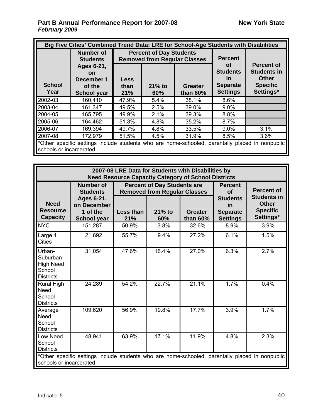| Big Five Cities' Combined Trend Data: LRE for School-Age Students with Disabilities |                                                                                                 |                                                                                 |      |                                                                          |                                                                                         |      |  |
|-------------------------------------------------------------------------------------|-------------------------------------------------------------------------------------------------|---------------------------------------------------------------------------------|------|--------------------------------------------------------------------------|-----------------------------------------------------------------------------------------|------|--|
|                                                                                     | <b>Number of</b><br><b>Students</b>                                                             | <b>Percent of Day Students</b><br><b>Removed from Regular Classes</b>           |      |                                                                          | <b>Percent</b>                                                                          |      |  |
| <b>School</b><br>Year                                                               | Ages 6-21,<br><b>on</b><br>December 1<br>of the<br><b>School year</b>                           | <b>Less</b><br>$21\%$ to<br><b>Greater</b><br>than<br>than $60\%$<br>21%<br>60% |      | Οf<br><b>Students</b><br><u>in</u><br><b>Separate</b><br><b>Settings</b> | <b>Percent of</b><br><b>Students in</b><br><b>Other</b><br><b>Specific</b><br>Settings* |      |  |
| 2002-03                                                                             | 160,410                                                                                         | 47.9%                                                                           | 5.4% | 38.1%                                                                    | 8.6%                                                                                    |      |  |
| 2003-04                                                                             | 161,347                                                                                         | 49.5%                                                                           | 2.5% | 39.0%                                                                    | $9.0\%$                                                                                 |      |  |
| 2004-05                                                                             | 165,795                                                                                         | 49.9%                                                                           | 2.1% | 39.3%                                                                    | 8.8%                                                                                    |      |  |
| 2005-06                                                                             | 164,462                                                                                         | 51.3%                                                                           | 4.8% | 35.2%                                                                    | 8.7%                                                                                    |      |  |
| 2006-07                                                                             | 169,394                                                                                         | 49.7%                                                                           | 4.8% | 33.5%                                                                    | $9.0\%$                                                                                 | 3.1% |  |
| 2007-08<br>172,979<br>3.6%<br>4.5%<br>31.9%<br>8.5%<br>51.5%                        |                                                                                                 |                                                                                 |      |                                                                          |                                                                                         |      |  |
| schools or incarcerated.                                                            | *Other specific settings include students who are home-schooled, parentally placed in nonpublic |                                                                                 |      |                                                                          |                                                                                         |      |  |

| 2007-08 LRE Data for Students with Disabilities by<br><b>Need Resource Capacity Category of School Districts</b> |                                                                                                    |                  |                                                                                            |                                                                                     |                                                                                         |      |  |
|------------------------------------------------------------------------------------------------------------------|----------------------------------------------------------------------------------------------------|------------------|--------------------------------------------------------------------------------------------|-------------------------------------------------------------------------------------|-----------------------------------------------------------------------------------------|------|--|
| <b>Need</b><br><b>Resource</b><br><b>Capacity</b>                                                                | <b>Number of</b><br><b>Students</b><br>Ages 6-21,<br>on December<br>1 of the<br><b>School year</b> | Less than<br>21% | <b>Percent of Day Students are</b><br><b>Removed from Regular Classes</b><br>21% to<br>60% | <b>Percent</b><br>of<br><b>Students</b><br>in<br><b>Separate</b><br><b>Settings</b> | <b>Percent of</b><br><b>Students in</b><br><b>Other</b><br><b>Specific</b><br>Settings* |      |  |
| <b>NYC</b>                                                                                                       | 151,287                                                                                            | 50.9%            | 3.8%                                                                                       | than 60%<br>32.6%                                                                   | 8.9%                                                                                    | 3.9% |  |
| Large 4<br><b>Cities</b>                                                                                         | 21,692                                                                                             | 55.7%            | 9.4%                                                                                       | 27.2%                                                                               | 6.1%                                                                                    | 1.5% |  |
| Urban-<br>Suburban<br><b>High Need</b><br>School<br><b>Districts</b>                                             | 31,054                                                                                             | 47.6%            | 16.4%                                                                                      | 27.0%                                                                               | 6.3%                                                                                    | 2.7% |  |
| <b>Rural High</b><br><b>Need</b><br>School<br><b>Districts</b>                                                   | 24,289                                                                                             | 54.2%            | 22.7%                                                                                      | 21.1%                                                                               | 1.7%                                                                                    | 0.4% |  |
| Average<br><b>Need</b><br>School<br><b>Districts</b>                                                             | 109,620                                                                                            | 56.9%            | 19.8%                                                                                      | 17.7%                                                                               | 3.9%                                                                                    | 1.7% |  |
| Low Need<br>School<br><b>Districts</b>                                                                           | 48,941                                                                                             | 63.9%            | 17.1%                                                                                      | 11.9%                                                                               | 4.8%                                                                                    | 2.3% |  |
| schools or incarcerated.                                                                                         | *Other specific settings include students who are home-schooled, parentally placed in nonpublic    |                  |                                                                                            |                                                                                     |                                                                                         |      |  |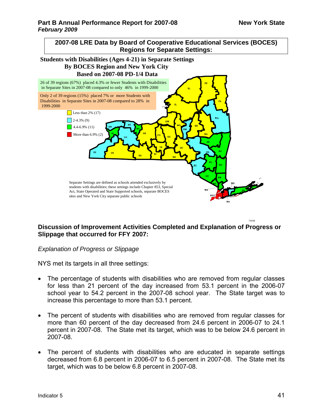7/8/08



#### **Students with Disabilities (Ages 4-21) in Separate Settings By BOCES Region and New York City Based on 2007-08 PD-1/4 Data**



# **Discussion of Improvement Activities Completed and Explanation of Progress or Slippage that occurred for FFY 2007:**

#### *Explanation of Progress or Slippage*

NYS met its targets in all three settings:

- The percentage of students with disabilities who are removed from regular classes for less than 21 percent of the day increased from 53.1 percent in the 2006-07 school year to 54.2 percent in the 2007-08 school year. The State target was to increase this percentage to more than 53.1 percent.
- The percent of students with disabilities who are removed from regular classes for more than 60 percent of the day decreased from 24.6 percent in 2006-07 to 24.1 percent in 2007-08. The State met its target, which was to be below 24.6 percent in 2007-08.
- The percent of students with disabilities who are educated in separate settings decreased from 6.8 percent in 2006-07 to 6.5 percent in 2007-08. The State met its target, which was to be below 6.8 percent in 2007-08.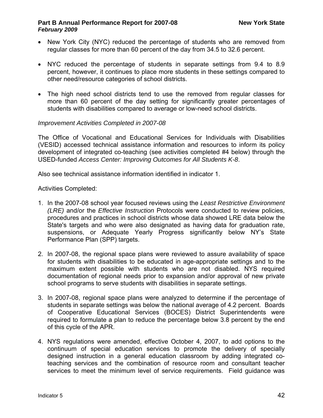- New York City (NYC) reduced the percentage of students who are removed from regular classes for more than 60 percent of the day from 34.5 to 32.6 percent.
- NYC reduced the percentage of students in separate settings from 9.4 to 8.9 percent, however, it continues to place more students in these settings compared to other need/resource categories of school districts.
- The high need school districts tend to use the removed from regular classes for more than 60 percent of the day setting for significantly greater percentages of students with disabilities compared to average or low-need school districts.

#### *Improvement Activities Completed in 2007-08*

The Office of Vocational and Educational Services for Individuals with Disabilities (VESID) accessed technical assistance information and resources to inform its policy development of integrated co-teaching (see activities completed #4 below) through the USED-funded *Access Center: Improving Outcomes for All Students K-8*.

Also see technical assistance information identified in indicator 1.

Activities Completed:

- 1. In the 2007-08 school year focused reviews using the *Least Restrictive Environment (LRE)* and/or the *Effective Instruction* Protocols were conducted to review policies, procedures and practices in school districts whose data showed LRE data below the State's targets and who were also designated as having data for graduation rate, suspensions, or Adequate Yearly Progress significantly below NY's State Performance Plan (SPP) targets.
- 2. In 2007-08, the regional space plans were reviewed to assure availability of space for students with disabilities to be educated in age-appropriate settings and to the maximum extent possible with students who are not disabled. NYS required documentation of regional needs prior to expansion and/or approval of new private school programs to serve students with disabilities in separate settings.
- 3. In 2007-08, regional space plans were analyzed to determine if the percentage of students in separate settings was below the national average of 4.2 percent. Boards of Cooperative Educational Services (BOCES) District Superintendents were required to formulate a plan to reduce the percentage below 3.8 percent by the end of this cycle of the APR.
- 4. NYS regulations were amended, effective October 4, 2007, to add options to the continuum of special education services to promote the delivery of specially designed instruction in a general education classroom by adding integrated coteaching services and the combination of resource room and consultant teacher services to meet the minimum level of service requirements. Field guidance was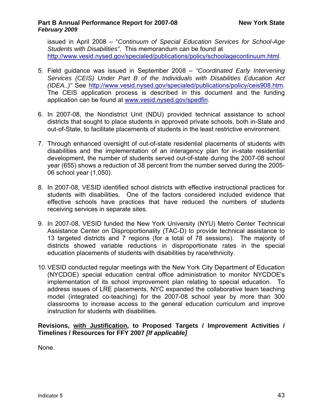issued in April 2008 – "*Continuum of Special Education Services for School-Age Students with Disabilities"*. This memorandum can be found at [http://www.vesid.nysed.gov/specialed/publications/policy/schoolagecontinuum.html.](http://www.vesid.nysed.gov/specialed/publications/policy/schoolagecontinuum.html)

- 5. Field guidance was issued in September 2008 *"Coordinated Early Intervening Services (CEIS) Under Part B of the Individuals with Disabilities Education Act (IDEA..)"* See [http://www.vesid.nysed.gov/specialed/publications/policy/ceis908.htm.](http://www.vesid.nysed.gov/specialed/publications/policy/ceis908.htm) The CEIS application process is described in this document and the funding application can be found at [www.vesid.nysed.gov/spedfin](http://www.vesid.nysed.gov/spedfin).
- 6. In 2007-08, the Nondistrict Unit (NDU) provided technical assistance to school districts that sought to place students in approved private schools, both in-State and out-of-State, to facilitate placements of students in the least restrictive environment.
- 7. Through enhanced oversight of out-of-state residential placements of students with disabilities and the implementation of an interagency plan for in-state residential development, the number of students served out-of-state during the 2007-08 school year (655) shows a reduction of 38 percent from the number served during the 2005- 06 school year (1,050).
- 8. In 2007-08, VESID identified school districts with effective instructional practices for students with disabilities. One of the factors considered included evidence that effective schools have practices that have reduced the numbers of students receiving services in separate sites.
- 9. In 2007-08, VESID funded the New York University (NYU) Metro Center Technical Assistance Center on Disproportionality (TAC-D) to provide technical assistance to 13 targeted districts and 7 regions (for a total of 78 sessions). The majority of districts showed variable reductions in disproportionate rates in the special education placements of students with disabilities by race/ethnicity.
- 10. VESID conducted regular meetings with the New York City Department of Education (NYCDOE) special education central office administration to monitor NYCDOE's implementation of its school improvement plan relating to special education. To address issues of LRE placements, NYC expanded the collaborative team teaching model (integrated co-teaching) for the 2007-08 school year by more than 300 classrooms to increase access to the general education curriculum and improve instruction for students with disabilities.

# **Revisions, with Justification, to Proposed Targets / Improvement Activities / Timelines / Resources for FFY 2007** *[If applicable]*

None.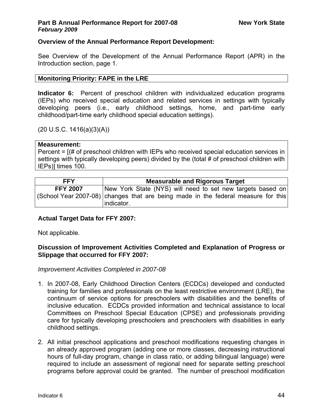# **Overview of the Annual Performance Report Development:**

See Overview of the Development of the Annual Performance Report (APR) in the Introduction section, page 1.

### **Monitoring Priority: FAPE in the LRE**

**Indicator 6:** Percent of preschool children with individualized education programs (IEPs) who received special education and related services in settings with typically developing peers (i.e., early childhood settings, home, and part-time early childhood/part-time early childhood special education settings).

# $(20 U.S.C. 1416(a)(3)(A))$

#### **Measurement:**

Percent = [(# of preschool children with IEPs who received special education services in settings with typically developing peers) divided by the (total # of preschool children with IEPs)] times 100.

| New York State (NYS) will need to set new targets based on<br><b>FFY 2007</b>                   | <b>Measurable and Rigorous Target</b> |  |  |  |  |  |
|-------------------------------------------------------------------------------------------------|---------------------------------------|--|--|--|--|--|
| (School Year 2007-08) changes that are being made in the federal measure for this<br>indicator. |                                       |  |  |  |  |  |

### **Actual Target Data for FFY 2007:**

Not applicable.

### **Discussion of Improvement Activities Completed and Explanation of Progress or Slippage that occurred for FFY 2007:**

### *Improvement Activities Completed in 2007-08*

- 1. In 2007-08, Early Childhood Direction Centers (ECDCs) developed and conducted training for families and professionals on the least restrictive environment (LRE), the continuum of service options for preschoolers with disabilities and the benefits of inclusive education. ECDCs provided information and technical assistance to local Committees on Preschool Special Education (CPSE) and professionals providing care for typically developing preschoolers and preschoolers with disabilities in early childhood settings.
- 2. All initial preschool applications and preschool modifications requesting changes in an already approved program (adding one or more classes, decreasing instructional hours of full-day program, change in class ratio, or adding bilingual language) were required to include an assessment of regional need for separate setting preschool programs before approval could be granted. The number of preschool modification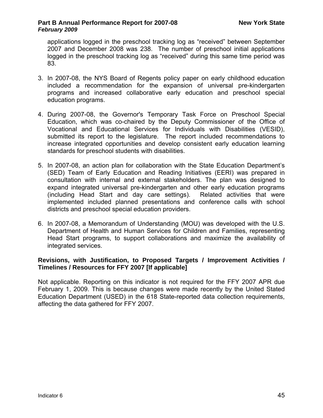applications logged in the preschool tracking log as "received" between September 2007 and December 2008 was 238. The number of preschool initial applications logged in the preschool tracking log as "received" during this same time period was 83.

- 3. In 2007-08, the NYS Board of Regents policy paper on early childhood education included a recommendation for the expansion of universal pre-kindergarten programs and increased collaborative early education and preschool special education programs.
- 4. During 2007-08, the Governor's Temporary Task Force on Preschool Special Education, which was co-chaired by the Deputy Commissioner of the Office of Vocational and Educational Services for Individuals with Disabilities (VESID), submitted its report to the legislature. The report included recommendations to increase integrated opportunities and develop consistent early education learning standards for preschool students with disabilities.
- 5. In 2007-08, an action plan for collaboration with the State Education Department's (SED) Team of Early Education and Reading Initiatives (EERI) was prepared in consultation with internal and external stakeholders. The plan was designed to expand integrated universal pre-kindergarten and other early education programs (including Head Start and day care settings). Related activities that were implemented included planned presentations and conference calls with school districts and preschool special education providers.
- 6. In 2007-08, a Memorandum of Understanding (MOU) was developed with the U.S. Department of Health and Human Services for Children and Families, representing Head Start programs, to support collaborations and maximize the availability of integrated services.

### **Revisions, with Justification, to Proposed Targets / Improvement Activities / Timelines / Resources for FFY 2007 [If applicable]**

Not applicable. Reporting on this indicator is not required for the FFY 2007 APR due February 1, 2009. This is because changes were made recently by the United Stated Education Department (USED) in the 618 State-reported data collection requirements, affecting the data gathered for FFY 2007.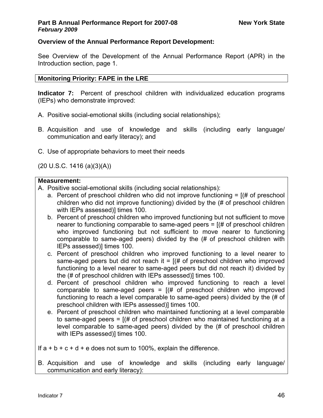# **Overview of the Annual Performance Report Development:**

See Overview of the Development of the Annual Performance Report (APR) in the Introduction section, page 1.

# **Monitoring Priority: FAPE in the LRE**

**Indicator 7:** Percent of preschool children with individualized education programs (IEPs) who demonstrate improved:

- A. Positive social-emotional skills (including social relationships);
- B. Acquisition and use of knowledge and skills (including early language/ communication and early literacy); and
- C. Use of appropriate behaviors to meet their needs

(20 U.S.C. 1416 (a)(3)(A))

# **Measurement:**

- A. Positive social-emotional skills (including social relationships):
	- a. Percent of preschool children who did not improve functioning  $= [(# of preschool]$ children who did not improve functioning) divided by the (# of preschool children with IEPs assessed) times 100.
	- b. Percent of preschool children who improved functioning but not sufficient to move nearer to functioning comparable to same-aged peers  $=$   $[$   $\#$  of preschool children who improved functioning but not sufficient to move nearer to functioning comparable to same-aged peers) divided by the (# of preschool children with IEPs assessed)] times 100.
	- c. Percent of preschool children who improved functioning to a level nearer to same-aged peers but did not reach it =  $[(# of preschool children who improved$ functioning to a level nearer to same-aged peers but did not reach it) divided by the (# of preschool children with IEPs assessed)] times 100.
	- d. Percent of preschool children who improved functioning to reach a level comparable to same-aged peers =  $[(# of preschool children who improved$ functioning to reach a level comparable to same-aged peers) divided by the (# of preschool children with IEPs assessed)] times 100.
	- e. Percent of preschool children who maintained functioning at a level comparable to same-aged peers =  $(# of preschool children who maintained functioning at a)$ level comparable to same-aged peers) divided by the (# of preschool children with IEPs assessed)] times 100.

If  $a + b + c + d + e$  does not sum to 100%, explain the difference.

B. Acquisition and use of knowledge and skills (including early language/ communication and early literacy):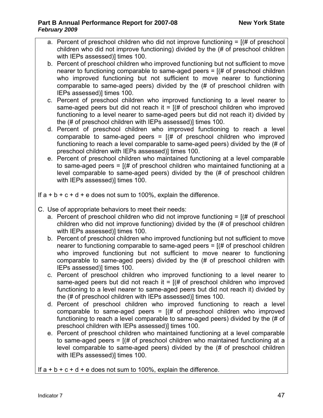- a. Percent of preschool children who did not improve functioning  $=$   $[(# of preschool$ children who did not improve functioning) divided by the (# of preschool children with IEPs assessed)] times 100.
- b. Percent of preschool children who improved functioning but not sufficient to move nearer to functioning comparable to same-aged peers  $=$   $($   $\#$  of preschool children who improved functioning but not sufficient to move nearer to functioning comparable to same-aged peers) divided by the (# of preschool children with IEPs assessed)] times 100.
- c. Percent of preschool children who improved functioning to a level nearer to same-aged peers but did not reach it  $=$   $($   $\#$  of preschool children who improved functioning to a level nearer to same-aged peers but did not reach it) divided by the (# of preschool children with IEPs assessed)] times 100.
- d. Percent of preschool children who improved functioning to reach a level comparable to same-aged peers =  $[(# of preschool children who improved$ functioning to reach a level comparable to same-aged peers) divided by the (# of preschool children with IEPs assessed)] times 100.
- e. Percent of preschool children who maintained functioning at a level comparable to same-aged peers =  $(# of preschool children who maintained functioning at a)$ level comparable to same-aged peers) divided by the (# of preschool children with IEPs assessed)] times 100.

If  $a + b + c + d + e$  does not sum to 100%, explain the difference.

- C. Use of appropriate behaviors to meet their needs:
	- a. Percent of preschool children who did not improve functioning  $=$   $[(# of preschool$ children who did not improve functioning) divided by the (# of preschool children with IEPs assessed) times 100.
	- b. Percent of preschool children who improved functioning but not sufficient to move nearer to functioning comparable to same-aged peers  $=$   $[$   $\#$  of preschool children who improved functioning but not sufficient to move nearer to functioning comparable to same-aged peers) divided by the (# of preschool children with IEPs assessed)] times 100.
	- c. Percent of preschool children who improved functioning to a level nearer to same-aged peers but did not reach it =  $(# of preschool children who improved)$ functioning to a level nearer to same-aged peers but did not reach it) divided by the (# of preschool children with IEPs assessed)] times 100.
	- d. Percent of preschool children who improved functioning to reach a level comparable to same-aged peers =  $[(# of preschool children who improved$ functioning to reach a level comparable to same-aged peers) divided by the (# of preschool children with IEPs assessed)] times 100.
	- e. Percent of preschool children who maintained functioning at a level comparable to same-aged peers =  $(# of preschool children who maintained functioning at a)$ level comparable to same-aged peers) divided by the (# of preschool children with IEPs assessed)] times 100.

If  $a + b + c + d + e$  does not sum to 100%, explain the difference.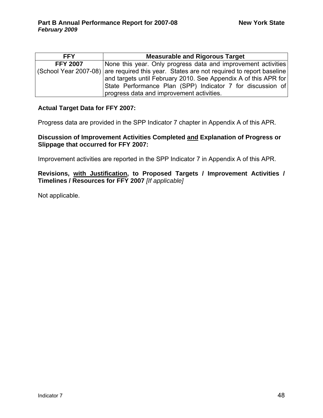| <b>FFY</b>      | <b>Measurable and Rigorous Target</b>                                                    |
|-----------------|------------------------------------------------------------------------------------------|
| <b>FFY 2007</b> | None this year. Only progress data and improvement activities                            |
|                 | (School Year 2007-08) are required this year. States are not required to report baseline |
|                 | and targets until February 2010. See Appendix A of this APR for                          |
|                 | State Performance Plan (SPP) Indicator 7 for discussion of                               |
|                 | progress data and improvement activities.                                                |

#### **Actual Target Data for FFY 2007:**

Progress data are provided in the SPP Indicator 7 chapter in Appendix A of this APR.

### **Discussion of Improvement Activities Completed and Explanation of Progress or Slippage that occurred for FFY 2007:**

Improvement activities are reported in the SPP Indicator 7 in Appendix A of this APR.

### **Revisions, with Justification, to Proposed Targets / Improvement Activities / Timelines / Resources for FFY 2007** *[If applicable]*

Not applicable.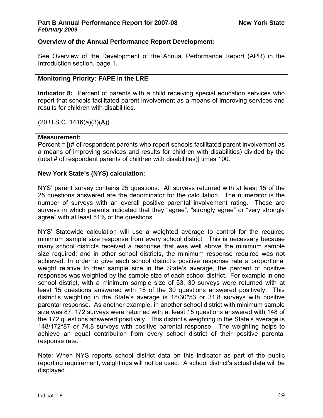# **Overview of the Annual Performance Report Development:**

See Overview of the Development of the Annual Performance Report (APR) in the Introduction section, page 1.

### **Monitoring Priority: FAPE in the LRE**

**Indicator 8:** Percent of parents with a child receiving special education services who report that schools facilitated parent involvement as a means of improving services and results for children with disabilities.

(20 U.S.C. 1416(a)(3)(A))

### **Measurement:**

Percent = [(# of respondent parents who report schools facilitated parent involvement as a means of improving services and results for children with disabilities) divided by the (total # of respondent parents of children with disabilities)] times 100.

### **New York State's (NYS) calculation:**

NYS' parent survey contains 25 questions. All surveys returned with at least 15 of the 25 questions answered are the denominator for the calculation. The numerator is the number of surveys with an overall positive parental involvement rating. These are surveys in which parents indicated that they "agree", "strongly agree" or "very strongly agree" with at least 51% of the questions.

NYS' Statewide calculation will use a weighted average to control for the required minimum sample size response from every school district. This is necessary because many school districts received a response that was well above the minimum sample size required; and in other school districts, the minimum response required was not achieved. In order to give each school district's positive response rate a proportional weight relative to their sample size in the State's average, the percent of positive responses was weighted by the sample size of each school district. For example in one school district, with a minimum sample size of 53, 30 surveys were returned with at least 15 questions answered with 18 of the 30 questions answered positively. This district's weighting in the State's average is 18/30\*53 or 31.8 surveys with positive parental response. As another example, in another school district with minimum sample size was 87, 172 surveys were returned with at least 15 questions answered with 148 of the 172 questions answered positively. This district's weighting in the State's average is 148/172\*87 or 74.8 surveys with positive parental response. The weighting helps to achieve an equal contribution from every school district of their positive parental response rate.

Note: When NYS reports school district data on this indicator as part of the public reporting requirement, weightings will not be used. A school district's actual data will be displayed.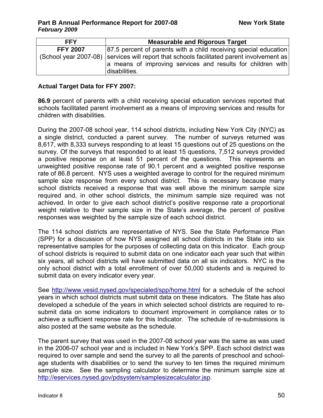| <b>FFY</b>      | <b>Measurable and Rigorous Target</b>                                                     |
|-----------------|-------------------------------------------------------------------------------------------|
| <b>FFY 2007</b> | 87.5 percent of parents with a child receiving special education                          |
|                 | (School year 2007-08) Services will report that schools facilitated parent involvement as |
|                 | a means of improving services and results for children with<br>disabilities.              |

#### **Actual Target Data for FFY 2007:**

**86.9** percent of parents with a child receiving special education services reported that schools facilitated parent involvement as a means of improving services and results for children with disabilities.

During the 2007-08 school year, 114 school districts, including New York City (NYC) as a single district, conducted a parent survey. The number of surveys returned was 8,617, with 8,333 surveys responding to at least 15 questions out of 25 questions on the survey. Of the surveys that responded to at least 15 questions, 7,512 surveys provided a positive response on at least 51 percent of the questions. This represents an unweighted positive response rate of 90.1 percent and a weighted positive response rate of 86.8 percent. NYS uses a weighted average to control for the required minimum sample size response from every school district. This is necessary because many school districts received a response that was well above the minimum sample size required and, in other school districts, the minimum sample size required was not achieved. In order to give each school district's positive response rate a proportional weight relative to their sample size in the State's average, the percent of positive responses was weighted by the sample size of each school district.

The 114 school districts are representative of NYS. See the State Performance Plan (SPP) for a discussion of how NYS assigned all school districts in the State into six representative samples for the purposes of collecting data on this Indicator. Each group of school districts is required to submit data on one indicator each year such that within six years, all school districts will have submitted data on all six indicators. NYC is the only school district with a total enrollment of over 50,000 students and is required to submit data on every indicator every year.

See <http://www.vesid.nysed.gov/specialed/spp/home.html>for a schedule of the school years in which school districts must submit data on these indicators. The State has also developed a schedule of the years in which selected school districts are required to resubmit data on some indicators to document improvement in compliance rates or to achieve a sufficient response rate for this Indicator. The schedule of re-submissions is also posted at the same website as the schedule.

The parent survey that was used in the 2007-08 school year was the same as was used in the 2006-07 school year and is included in New York's SPP. Each school district was required to over sample and send the survey to all the parents of preschool and schoolage students with disabilities or to send the survey to ten times the required minimum sample size. See the sampling calculator to determine the minimum sample size at [http://eservices.nysed.gov/pdsystem/samplesizecalculator.jsp.](http://eservices.nysed.gov/pdsystem/samplesizecalculator.jsp)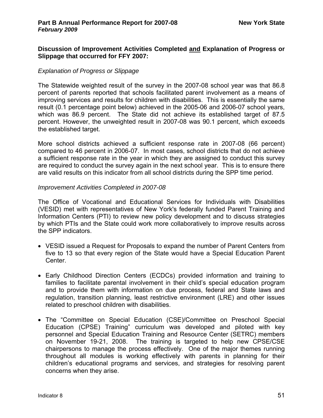### **Discussion of Improvement Activities Completed and Explanation of Progress or Slippage that occurred for FFY 2007:**

### *Explanation of Progress or Slippage*

The Statewide weighted result of the survey in the 2007-08 school year was that 86.8 percent of parents reported that schools facilitated parent involvement as a means of improving services and results for children with disabilities. This is essentially the same result (0.1 percentage point below) achieved in the 2005-06 and 2006-07 school years, which was 86.9 percent. The State did not achieve its established target of 87.5 percent. However, the unweighted result in 2007-08 was 90.1 percent, which exceeds the established target.

More school districts achieved a sufficient response rate in 2007-08 (66 percent) compared to 46 percent in 2006-07. In most cases, school districts that do not achieve a sufficient response rate in the year in which they are assigned to conduct this survey are required to conduct the survey again in the next school year. This is to ensure there are valid results on this indicator from all school districts during the SPP time period.

#### *Improvement Activities Completed in 2007-08*

The Office of Vocational and Educational Services for Individuals with Disabilities (VESID) met with representatives of New York's federally funded Parent Training and Information Centers (PTI) to review new policy development and to discuss strategies by which PTIs and the State could work more collaboratively to improve results across the SPP indicators.

- VESID issued a Request for Proposals to expand the number of Parent Centers from five to 13 so that every region of the State would have a Special Education Parent Center.
- Early Childhood Direction Centers (ECDCs) provided information and training to families to facilitate parental involvement in their child's special education program and to provide them with information on due process, federal and State laws and regulation, transition planning, least restrictive environment (LRE) and other issues related to preschool children with disabilities.
- The "Committee on Special Education (CSE)/Committee on Preschool Special Education (CPSE) Training" curriculum was developed and piloted with key personnel and Special Education Training and Resource Center (SETRC) members on November 19-21, 2008. The training is targeted to help new CPSE/CSE chairpersons to manage the process effectively. One of the major themes running throughout all modules is working effectively with parents in planning for their children's educational programs and services, and strategies for resolving parent concerns when they arise.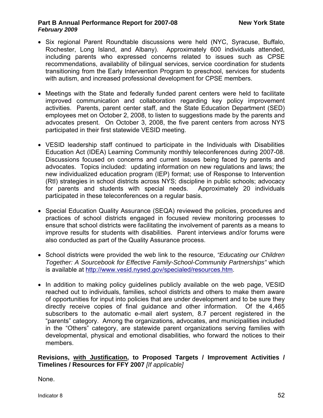- Six regional Parent Roundtable discussions were held (NYC, Syracuse, Buffalo, Rochester, Long Island, and Albany). Approximately 600 individuals attended, including parents who expressed concerns related to issues such as CPSE recommendations, availability of bilingual services, service coordination for students transitioning from the Early Intervention Program to preschool, services for students with autism, and increased professional development for CPSE members.
- Meetings with the State and federally funded parent centers were held to facilitate improved communication and collaboration regarding key policy improvement activities. Parents, parent center staff, and the State Education Department (SED) employees met on October 2, 2008, to listen to suggestions made by the parents and advocates present. On October 3, 2008, the five parent centers from across NYS participated in their first statewide VESID meeting.
- VESID leadership staff continued to participate in the Individuals with Disabilities Education Act (IDEA) Learning Community monthly teleconferences during 2007-08. Discussions focused on concerns and current issues being faced by parents and advocates. Topics included: updating information on new regulations and laws; the new individualized education program (IEP) format; use of Response to Intervention (RtI) strategies in school districts across NYS; discipline in public schools; advocacy for parents and students with special needs. Approximately 20 individuals participated in these teleconferences on a regular basis.
- Special Education Quality Assurance (SEQA) reviewed the policies, procedures and practices of school districts engaged in focused review monitoring processes to ensure that school districts were facilitating the involvement of parents as a means to improve results for students with disabilities. Parent interviews and/or forums were also conducted as part of the Quality Assurance process.
- School districts were provided the web link to the resource, *"Educating our Children Together: A Sourcebook for Effective Family-School-Community Partnerships"* which is available at<http://www.vesid.nysed.gov/specialed/resources.htm>.
- In addition to making policy guidelines publicly available on the web page, VESID reached out to individuals, families, school districts and others to make them aware of opportunities for input into policies that are under development and to be sure they directly receive copies of final guidance and other information. Of the 4,465 subscribers to the automatic e-mail alert system, 8.7 percent registered in the "parents" category. Among the organizations, advocates, and municipalities included in the "Others" category, are statewide parent organizations serving families with developmental, physical and emotional disabilities, who forward the notices to their members.

### **Revisions, with Justification, to Proposed Targets / Improvement Activities / Timelines / Resources for FFY 2007** *[If applicable]*

None.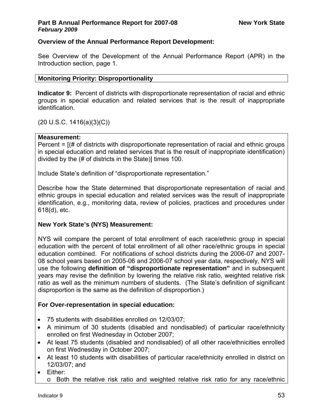# **Overview of the Annual Performance Report Development:**

See Overview of the Development of the Annual Performance Report (APR) in the Introduction section, page 1.

## **Monitoring Priority: Disproportionality**

**Indicator 9:** Percent of districts with disproportionate representation of racial and ethnic groups in special education and related services that is the result of inappropriate identification.

(20 U.S.C. 1416(a)(3)(C))

### **Measurement:**

Percent = [(# of districts with disproportionate representation of racial and ethnic groups in special education and related services that is the result of inappropriate identification) divided by the (# of districts in the State)] times 100.

Include State's definition of "disproportionate representation."

Describe how the State determined that disproportionate representation of racial and ethnic groups in special education and related services was the result of inappropriate identification, e.g., monitoring data, review of policies, practices and procedures under 618(d), etc.

# **New York State's (NYS) Measurement:**

NYS will compare the percent of total enrollment of each race/ethnic group in special education with the percent of total enrollment of all other race/ethnic groups in special education combined. For notifications of school districts during the 2006-07 and 2007- 08 school years based on 2005-06 and 2006-07 school year data, respectively, NYS will use the following **definition of "disproportionate representation"** and in subsequent years may revise the definition by lowering the relative risk ratio, weighted relative risk ratio as well as the minimum numbers of students. (The State's definition of significant disproportion is the same as the definition of disproportion.)

### **For Over-representation in special education:**

- 75 students with disabilities enrolled on 12/03/07;
- A minimum of 30 students (disabled and nondisabled) of particular race/ethnicity enrolled on first Wednesday in October 2007;
- At least 75 students (disabled and nondisabled) of all other race/ethnicities enrolled on first Wednesday in October 2007;
- At least 10 students with disabilities of particular race/ethnicity enrolled in district on 12/03/07; and
- Either:
	- o Both the relative risk ratio and weighted relative risk ratio for any race/ethnic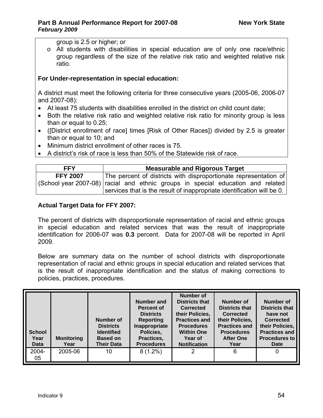group is 2.5 or higher; or

o All students with disabilities in special education are of only one race/ethnic group regardless of the size of the relative risk ratio and weighted relative risk ratio.

# **For Under-representation in special education:**

A district must meet the following criteria for three consecutive years (2005-06, 2006-07 and 2007-08):

- At least 75 students with disabilities enrolled in the district on child count date;
- Both the relative risk ratio and weighted relative risk ratio for minority group is less than or equal to 0.25;
- ([District enrollment of race] times [Risk of Other Races]) divided by 2.5 is greater than or equal to 10; and
- Minimum district enrollment of other races is 75.
- A district's risk of race is less than 50% of the Statewide risk of race.

| <b>FFY</b>      | <b>Measurable and Rigorous Target</b>                                           |  |  |  |  |  |
|-----------------|---------------------------------------------------------------------------------|--|--|--|--|--|
| <b>FFY 2007</b> | The percent of districts with disproportionate representation of                |  |  |  |  |  |
|                 | (School year 2007-08) racial and ethnic groups in special education and related |  |  |  |  |  |
|                 | services that is the result of inappropriate identification will be 0.          |  |  |  |  |  |

# **Actual Target Data for FFY 2007:**

The percent of districts with disproportionate representation of racial and ethnic groups in special education and related services that was the result of inappropriate identification for 2006-07 was **0.3** percent. Data for 2007-08 will be reported in April 2009.

Below are summary data on the number of school districts with disproportionate representation of racial and ethnic groups in special education and related services that is the result of inappropriate identification and the status of making corrections to policies, practices, procedures.

| <b>School</b><br>Year<br><b>Data</b> | <b>Monitoring</b><br>Year | Number of<br><b>Districts</b><br><b>Identified</b><br><b>Based on</b><br><b>Their Data</b> | <b>Number and</b><br>Percent of<br><b>Districts</b><br><b>Reporting</b><br>Inappropriate<br>Policies,<br>Practices,<br><b>Procedures</b> | Number of<br><b>Districts that</b><br><b>Corrected</b><br>their Policies.<br><b>Practices and</b><br><b>Procedures</b><br><b>Within One</b><br>Year of<br><b>Notification</b> | Number of<br><b>Districts that</b><br>Corrected<br>their Policies,<br><b>Practices and</b><br><b>Procedures</b><br><b>After One</b><br>Year | Number of<br><b>Districts that</b><br>have not<br><b>Corrected</b><br>their Policies,<br><b>Practices and</b><br><b>Procedures to</b><br><b>Date</b> |
|--------------------------------------|---------------------------|--------------------------------------------------------------------------------------------|------------------------------------------------------------------------------------------------------------------------------------------|-------------------------------------------------------------------------------------------------------------------------------------------------------------------------------|---------------------------------------------------------------------------------------------------------------------------------------------|------------------------------------------------------------------------------------------------------------------------------------------------------|
| 2004-<br>05                          | 2005-06                   | 10                                                                                         | $8(1.2\%)$                                                                                                                               | 2                                                                                                                                                                             | 6                                                                                                                                           | 0                                                                                                                                                    |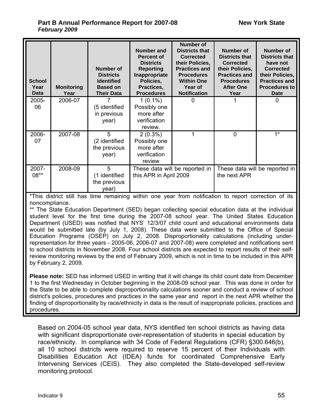| <b>School</b><br>Year<br><b>Data</b> | <b>Monitoring</b><br>Year | Number of<br><b>Districts</b><br><b>Identified</b><br><b>Based on</b><br><b>Their Data</b> | Number and<br>Percent of<br><b>Districts</b><br><b>Reporting</b><br>Inappropriate<br>Policies,<br>Practices,<br><b>Procedures</b> | <b>Number of</b><br><b>Districts that</b><br><b>Corrected</b><br>their Policies,<br><b>Practices and</b><br><b>Procedures</b><br><b>Within One</b><br>Year of<br><b>Notification</b> | <b>Number of</b><br><b>Districts that</b><br><b>Corrected</b><br>their Policies,<br><b>Practices and</b><br><b>Procedures</b><br><b>After One</b><br>Year | <b>Number of</b><br><b>Districts that</b><br>have not<br><b>Corrected</b><br>their Policies,<br><b>Practices and</b><br><b>Procedures to</b><br><b>Date</b> |
|--------------------------------------|---------------------------|--------------------------------------------------------------------------------------------|-----------------------------------------------------------------------------------------------------------------------------------|--------------------------------------------------------------------------------------------------------------------------------------------------------------------------------------|-----------------------------------------------------------------------------------------------------------------------------------------------------------|-------------------------------------------------------------------------------------------------------------------------------------------------------------|
| 2005-<br>06                          | 2006-07                   | (5 identified<br>in previous<br>year)                                                      | $1(0.1\%)$<br>Possibly one<br>more after<br>verification<br>review.                                                               | 0                                                                                                                                                                                    |                                                                                                                                                           | 0                                                                                                                                                           |
| 2006-<br>07                          | 2007-08                   | 5<br>(2 identified<br>the previous<br>year)                                                | $2(0.3\%)$<br>Possibly one<br>more after<br>verification<br>review                                                                | 1                                                                                                                                                                                    | 0                                                                                                                                                         | $1*$                                                                                                                                                        |
| 2007-<br>$08**$                      | 2008-09                   | 5<br>(1 identified<br>the previous<br>year)                                                | this APR in April 2009                                                                                                            | These data will be reported in                                                                                                                                                       | the next APR                                                                                                                                              | These data will be reported in                                                                                                                              |

\*This district still has time remaining within one year from notification to report correction of its noncompliance.

\*\* The State Education Department (SED) began collecting special education data at the individual student level for the first time during the 2007-08 school year. The United States Education Department (USED) was notified that NYS' 12/3/07 child count and educational environments data would be submitted late (by July 1, 2008). These data were submitted to the Office of Special Education Programs (OSEP) on July 2, 2008. Disproportionality calculations (including underrepresentation for three years - 2005-06, 2006-07 and 2007-08) were completed and notifications sent to school districts in November 2008. Four school districts are expected to report results of their selfreview monitoring reviews by the end of February 2009, which is not in time to be included in this APR by February 2, 2009.

**Please note:** SED has informed USED in writing that it will change its child count date from December 1 to the first Wednesday in October beginning in the 2008-09 school year. This was done in order for the State to be able to complete disproportionality calculations sooner and conduct a review of school district's policies, procedures and practices in the same year and report in the next APR whether the finding of disproportionality by race/ethnicity in data is the result of inappropriate policies, practices and procedures.

Based on 2004-05 school year data, NYS identified ten school districts as having data with significant disproportionate over-representation of students in special education by race/ethnicity. In compliance with 34 Code of Federal Regulations (CFR) §300.646(b), all 10 school districts were required to reserve 15 percent of their Individuals with Disabilities Education Act (IDEA) funds for coordinated Comprehensive Early Intervening Services (CEIS). They also completed the State-developed self-review monitoring protocol.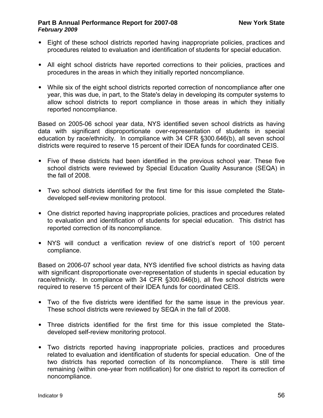- Eight of these school districts reported having inappropriate policies, practices and procedures related to evaluation and identification of students for special education.
- All eight school districts have reported corrections to their policies, practices and procedures in the areas in which they initially reported noncompliance.
- While six of the eight school districts reported correction of noncompliance after one year, this was due, in part, to the State's delay in developing its computer systems to allow school districts to report compliance in those areas in which they initially reported noncompliance.

Based on 2005-06 school year data, NYS identified seven school districts as having data with significant disproportionate over-representation of students in special education by race/ethnicity. In compliance with 34 CFR §300.646(b), all seven school districts were required to reserve 15 percent of their IDEA funds for coordinated CEIS.

- Five of these districts had been identified in the previous school year. These five school districts were reviewed by Special Education Quality Assurance (SEQA) in the fall of 2008.
- Two school districts identified for the first time for this issue completed the Statedeveloped self-review monitoring protocol.
- One district reported having inappropriate policies, practices and procedures related to evaluation and identification of students for special education. This district has reported correction of its noncompliance.
- NYS will conduct a verification review of one district's report of 100 percent compliance.

Based on 2006-07 school year data, NYS identified five school districts as having data with significant disproportionate over-representation of students in special education by race/ethnicity. In compliance with 34 CFR §300.646(b), all five school districts were required to reserve 15 percent of their IDEA funds for coordinated CEIS.

- Two of the five districts were identified for the same issue in the previous year. These school districts were reviewed by SEQA in the fall of 2008.
- Three districts identified for the first time for this issue completed the Statedeveloped self-review monitoring protocol.
- Two districts reported having inappropriate policies, practices and procedures related to evaluation and identification of students for special education. One of the two districts has reported correction of its noncompliance. There is still time remaining (within one-year from notification) for one district to report its correction of noncompliance.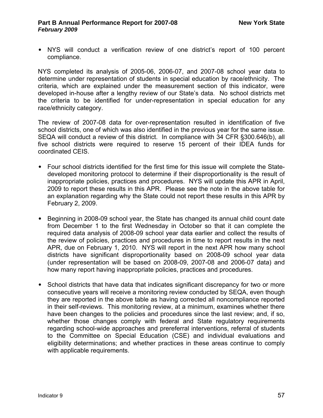• NYS will conduct a verification review of one district's report of 100 percent compliance.

NYS completed its analysis of 2005-06, 2006-07, and 2007-08 school year data to determine under representation of students in special education by race/ethnicity. The criteria, which are explained under the measurement section of this indicator, were developed in-house after a lengthy review of our State's data. No school districts met the criteria to be identified for under-representation in special education for any race/ethnicity category.

The review of 2007-08 data for over-representation resulted in identification of five school districts, one of which was also identified in the previous year for the same issue. SEQA will conduct a review of this district. In compliance with 34 CFR §300.646(b), all five school districts were required to reserve 15 percent of their IDEA funds for coordinated CEIS.

- Four school districts identified for the first time for this issue will complete the Statedeveloped monitoring protocol to determine if their disproportionality is the result of inappropriate policies, practices and procedures. NYS will update this APR in April, 2009 to report these results in this APR. Please see the note in the above table for an explanation regarding why the State could not report these results in this APR by February 2, 2009.
- Beginning in 2008-09 school year, the State has changed its annual child count date from December 1 to the first Wednesday in October so that it can complete the required data analysis of 2008-09 school year data earlier and collect the results of the review of policies, practices and procedures in time to report results in the next APR, due on February 1, 2010. NYS will report in the next APR how many school districts have significant disproportionality based on 2008-09 school year data (under representation will be based on 2008-09, 2007-08 and 2006-07 data) and how many report having inappropriate policies, practices and procedures.
- School districts that have data that indicates significant discrepancy for two or more consecutive years will receive a monitoring review conducted by SEQA, even though they are reported in the above table as having corrected all noncompliance reported in their self-reviews. This monitoring review, at a minimum, examines whether there have been changes to the policies and procedures since the last review; and, if so, whether those changes comply with federal and State regulatory requirements regarding school-wide approaches and prereferral interventions, referral of students to the Committee on Special Education (CSE) and individual evaluations and eligibility determinations; and whether practices in these areas continue to comply with applicable requirements.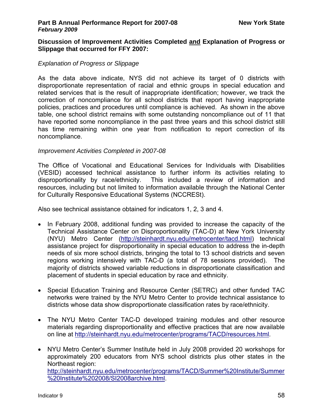#### **Discussion of Improvement Activities Completed and Explanation of Progress or Slippage that occurred for FFY 2007:**

### *Explanation of Progress or Slippage*

As the data above indicate, NYS did not achieve its target of 0 districts with disproportionate representation of racial and ethnic groups in special education and related services that is the result of inappropriate identification; however, we track the correction of noncompliance for all school districts that report having inappropriate policies, practices and procedures until compliance is achieved. As shown in the above table, one school district remains with some outstanding noncompliance out of 11 that have reported some noncompliance in the past three years and this school district still has time remaining within one year from notification to report correction of its noncompliance.

#### *Improvement Activities Completed in 2007-08*

The Office of Vocational and Educational Services for Individuals with Disabilities (VESID) accessed technical assistance to further inform its activities relating to disproportionality by race/ethnicity. This included a review of information and resources, including but not limited to information available through the National Center for Culturally Responsive Educational Systems (NCCRESt).

Also see technical assistance obtained for indicators 1, 2, 3 and 4.

- In February 2008, additional funding was provided to increase the capacity of the Technical Assistance Center on Disproportionality (TAC-D) at New York University (NYU) Metro Center [\(http://steinhardt.nyu.edu/metrocenter/tacd.html](http://steinhardt.nyu.edu/metrocenter/tacd.html)) technical assistance project for disproportionality in special education to address the in-depth needs of six more school districts, bringing the total to 13 school districts and seven regions working intensively with TAC-D (a total of 78 sessions provided). The majority of districts showed variable reductions in disproportionate classification and placement of students in special education by race and ethnicity.
- Special Education Training and Resource Center (SETRC) and other funded TAC networks were trained by the NYU Metro Center to provide technical assistance to districts whose data show disproportionate classification rates by race/ethnicity.
- The NYU Metro Center TAC-D developed training modules and other resource materials regarding disproportionality and effective practices that are now available on line at <http://steinhardt.nyu.edu/metrocenter/programs/TACD/resources.html>.
- NYU Metro Center's Summer Institute held in July 2008 provided 20 workshops for approximately 200 educators from NYS school districts plus other states in the Northeast region: [http://steinhardt.nyu.edu/metrocenter/programs/TACD/Summer%20Institute/Summer](http://steinhardt.nyu.edu/metrocenter/programs/TACD/Summer%20Institute/Summer%20Institute%202008/SI2008archive.html) [%20Institute%202008/SI2008archive.html.](http://steinhardt.nyu.edu/metrocenter/programs/TACD/Summer%20Institute/Summer%20Institute%202008/SI2008archive.html)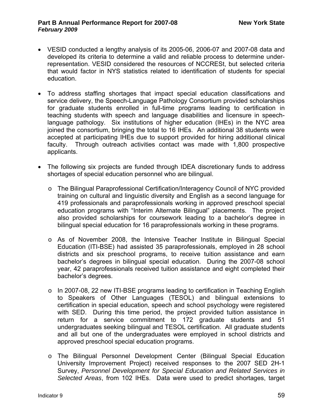- VESID conducted a lengthy analysis of its 2005-06, 2006-07 and 2007-08 data and developed its criteria to determine a valid and reliable process to determine underrepresentation. VESID considered the resources of NCCRESt, but selected criteria that would factor in NYS statistics related to identification of students for special education.
- To address staffing shortages that impact special education classifications and service delivery, the Speech-Language Pathology Consortium provided scholarships for graduate students enrolled in full-time programs leading to certification in teaching students with speech and language disabilities and licensure in speechlanguage pathology. Six institutions of higher education (IHEs) in the NYC area joined the consortium, bringing the total to 16 IHEs. An additional 38 students were accepted at participating IHEs due to support provided for hiring additional clinical faculty. Through outreach activities contact was made with 1,800 prospective applicants.
- The following six projects are funded through IDEA discretionary funds to address shortages of special education personnel who are bilingual.
	- o The Bilingual Paraprofessional Certification/Interagency Council of NYC provided training on cultural and linguistic diversity and English as a second language for 419 professionals and paraprofessionals working in approved preschool special education programs with "Interim Alternate Bilingual" placements. The project also provided scholarships for coursework leading to a bachelor's degree in bilingual special education for 16 paraprofessionals working in these programs.
	- o As of November 2008, the Intensive Teacher Institute in Bilingual Special Education (ITI-BSE) had assisted 35 paraprofessionals, employed in 28 school districts and six preschool programs, to receive tuition assistance and earn bachelor's degrees in bilingual special education. During the 2007-08 school year, 42 paraprofessionals received tuition assistance and eight completed their bachelor's degrees.
	- $\circ$  In 2007-08, 22 new ITI-BSE programs leading to certification in Teaching English to Speakers of Other Languages (TESOL) and bilingual extensions to certification in special education, speech and school psychology were registered with SED. During this time period, the project provided tuition assistance in return for a service commitment to 172 graduate students and 51 undergraduates seeking bilingual and TESOL certification. All graduate students and all but one of the undergraduates were employed in school districts and approved preschool special education programs.
	- o The Bilingual Personnel Development Center (Bilingual Special Education University Improvement Project) received responses to the 2007 SED 2H-1 Survey, *Personnel Development for Special Education and Related Services in Selected Areas*, from 102 IHEs. Data were used to predict shortages, target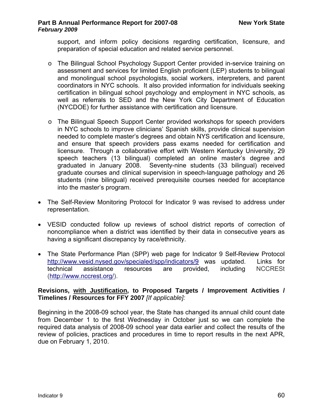support, and inform policy decisions regarding certification, licensure, and preparation of special education and related service personnel.

- o The Bilingual School Psychology Support Center provided in-service training on assessment and services for limited English proficient (LEP) students to bilingual and monolingual school psychologists, social workers, interpreters, and parent coordinators in NYC schools. It also provided information for individuals seeking certification in bilingual school psychology and employment in NYC schools, as well as referrals to SED and the New York City Department of Education (NYCDOE) for further assistance with certification and licensure.
- o The Bilingual Speech Support Center provided workshops for speech providers in NYC schools to improve clinicians' Spanish skills, provide clinical supervision needed to complete master's degrees and obtain NYS certification and licensure, and ensure that speech providers pass exams needed for certification and licensure. Through a collaborative effort with Western Kentucky University, 29 speech teachers (13 bilingual) completed an online master's degree and graduated in January 2008. Seventy-nine students (33 bilingual) received graduate courses and clinical supervision in speech-language pathology and 26 students (nine bilingual) received prerequisite courses needed for acceptance into the master's program.
- The Self-Review Monitoring Protocol for Indicator 9 was revised to address under representation.
- VESID conducted follow up reviews of school district reports of correction of noncompliance when a district was identified by their data in consecutive years as having a significant discrepancy by race/ethnicity.
- The State Performance Plan (SPP) web page for Indicator 9 Self-Review Protocol <http://www.vesid.nysed.gov/specialed/spp/indicators/9>was updated. Links for technical assistance resources are provided, including NCCRESt (<http://www.nccrest.org/>).

### **Revisions, with Justification, to Proposed Targets / Improvement Activities / Timelines / Resources for FFY 2007** *[If applicable]:*

Beginning in the 2008-09 school year, the State has changed its annual child count date from December 1 to the first Wednesday in October just so we can complete the required data analysis of 2008-09 school year data earlier and collect the results of the review of policies, practices and procedures in time to report results in the next APR, due on February 1, 2010.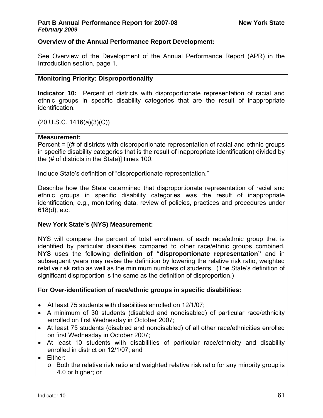# **Overview of the Annual Performance Report Development:**

See Overview of the Development of the Annual Performance Report (APR) in the Introduction section, page 1.

### **Monitoring Priority: Disproportionality**

**Indicator 10:** Percent of districts with disproportionate representation of racial and ethnic groups in specific disability categories that are the result of inappropriate identification.

(20 U.S.C. 1416(a)(3)(C))

#### **Measurement:**

Percent = [(# of districts with disproportionate representation of racial and ethnic groups in specific disability categories that is the result of inappropriate identification) divided by the (# of districts in the State)] times 100.

Include State's definition of "disproportionate representation."

Describe how the State determined that disproportionate representation of racial and ethnic groups in specific disability categories was the result of inappropriate identification, e.g., monitoring data, review of policies, practices and procedures under 618(d), etc.

### **New York State's (NYS) Measurement:**

NYS will compare the percent of total enrollment of each race/ethnic group that is identified by particular disabilities compared to other race/ethnic groups combined. NYS uses the following **definition of "disproportionate representation"** and in subsequent years may revise the definition by lowering the relative risk ratio, weighted relative risk ratio as well as the minimum numbers of students. (The State's definition of significant disproportion is the same as the definition of disproportion.)

### **For Over-identification of race/ethnic groups in specific disabilities:**

- At least 75 students with disabilities enrolled on 12/1/07;
- A minimum of 30 students (disabled and nondisabled) of particular race/ethnicity enrolled on first Wednesday in October 2007;
- At least 75 students (disabled and nondisabled) of all other race/ethnicities enrolled on first Wednesday in October 2007;
- At least 10 students with disabilities of particular race/ethnicity and disability enrolled in district on 12/1/07; and
- Either:
	- $\circ$  Both the relative risk ratio and weighted relative risk ratio for any minority group is 4.0 or higher; or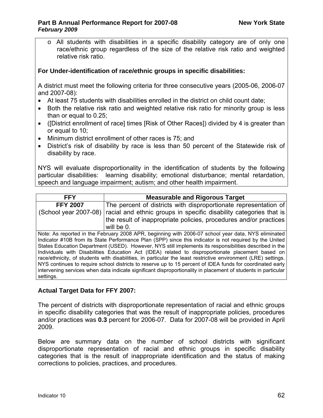o All students with disabilities in a specific disability category are of only one race/ethnic group regardless of the size of the relative risk ratio and weighted relative risk ratio.

# **For Under-identification of race/ethnic groups in specific disabilities:**

A district must meet the following criteria for three consecutive years (2005-06, 2006-07 and 2007-08):

- At least 75 students with disabilities enrolled in the district on child count date;
- Both the relative risk ratio and weighted relative risk ratio for minority group is less than or equal to 0.25;
- ([District enrollment of race] times [Risk of Other Races]) divided by 4 is greater than or equal to 10;
- Minimum district enrollment of other races is 75; and
- District's risk of disability by race is less than 50 percent of the Statewide risk of disability by race.

NYS will evaluate disproportionality in the identification of students by the following particular disabilities: learning disability; emotional disturbance; mental retardation, speech and language impairment; autism; and other health impairment.

| <b>FFY</b><br><b>Measurable and Rigorous Target</b>                                                            |                                                                                                         |  |  |  |  |  |  |  |
|----------------------------------------------------------------------------------------------------------------|---------------------------------------------------------------------------------------------------------|--|--|--|--|--|--|--|
| <b>FFY 2007</b>                                                                                                | The percent of districts with disproportionate representation of                                        |  |  |  |  |  |  |  |
|                                                                                                                |                                                                                                         |  |  |  |  |  |  |  |
| (School year 2007-08)                                                                                          | racial and ethnic groups in specific disability categories that is                                      |  |  |  |  |  |  |  |
|                                                                                                                | the result of inappropriate policies, procedures and/or practices                                       |  |  |  |  |  |  |  |
|                                                                                                                | will be 0.                                                                                              |  |  |  |  |  |  |  |
|                                                                                                                | Note: As reported in the February 2008 APR, beginning with 2006-07 school year data, NYS eliminated     |  |  |  |  |  |  |  |
|                                                                                                                | Indicator #10B from its State Performance Plan (SPP) since this indicator is not required by the United |  |  |  |  |  |  |  |
| States Education Department (USED). However, NYS still implements its responsibilities described in the        |                                                                                                         |  |  |  |  |  |  |  |
| Individuals with Disabilities Education Act (IDEA) related to disproportionate placement based on              |                                                                                                         |  |  |  |  |  |  |  |
| race/ethnicity, of students with disabilities, in particular the least restrictive environment (LRE) settings. |                                                                                                         |  |  |  |  |  |  |  |
| NYS continues to require school districts to reserve up to 15 percent of IDEA funds for coordinated early      |                                                                                                         |  |  |  |  |  |  |  |
| intervening services when data indicate significant disproportionality in placement of students in particular  |                                                                                                         |  |  |  |  |  |  |  |
| settings.                                                                                                      |                                                                                                         |  |  |  |  |  |  |  |

# **Actual Target Data for FFY 2007:**

The percent of districts with disproportionate representation of racial and ethnic groups in specific disability categories that was the result of inappropriate policies, procedures and/or practices was **0.3** percent for 2006-07. Data for 2007-08 will be provided in April 2009.

Below are summary data on the number of school districts with significant disproportionate representation of racial and ethnic groups in specific disability categories that is the result of inappropriate identification and the status of making corrections to policies, practices, and procedures.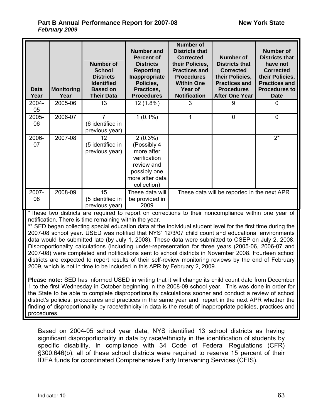| <b>Data</b><br>Year | <b>Monitoring</b><br>Year | <b>Number of</b><br><b>School</b><br><b>Districts</b><br><b>Identified</b><br><b>Based on</b><br><b>Their Data</b> | <b>Number and</b><br><b>Percent of</b><br><b>Districts</b><br><b>Reporting</b><br>Inappropriate<br>Policies,<br>Practices,<br><b>Procedures</b> | <b>Number of</b><br><b>Districts that</b><br><b>Corrected</b><br>their Policies,<br><b>Practices and</b><br><b>Procedures</b><br><b>Within One</b><br>Year of<br><b>Notification</b> | <b>Number of</b><br><b>Districts that</b><br><b>Corrected</b><br>their Policies,<br><b>Practices and</b><br><b>Procedures</b><br>After One Year | <b>Number of</b><br><b>Districts that</b><br>have not<br><b>Corrected</b><br>their Policies,<br><b>Practices and</b><br><b>Procedures to</b><br><b>Date</b> |
|---------------------|---------------------------|--------------------------------------------------------------------------------------------------------------------|-------------------------------------------------------------------------------------------------------------------------------------------------|--------------------------------------------------------------------------------------------------------------------------------------------------------------------------------------|-------------------------------------------------------------------------------------------------------------------------------------------------|-------------------------------------------------------------------------------------------------------------------------------------------------------------|
| 2004-<br>05         | 2005-06                   | 13                                                                                                                 | $12(1.8\%)$                                                                                                                                     | 3                                                                                                                                                                                    | 9                                                                                                                                               | 0                                                                                                                                                           |
| 2005-<br>06         | 2006-07                   | $\overline{7}$<br>(6 identified in<br>previous year)                                                               | $1(0.1\%)$                                                                                                                                      | 1                                                                                                                                                                                    | $\mathbf 0$                                                                                                                                     | $\overline{0}$                                                                                                                                              |
| 2006-<br>07         | 2007-08                   | 12<br>(5 identified in<br>previous year)                                                                           | $2(0.3\%)$<br>(Possibly 4<br>more after<br>verification<br>review and<br>possibly one<br>more after data<br>collection)                         |                                                                                                                                                                                      |                                                                                                                                                 | $2^*$                                                                                                                                                       |
| 2007-<br>08         | 2008-09                   | 15<br>(5 identified in<br>previous year)                                                                           | These data will<br>be provided in<br>2009                                                                                                       |                                                                                                                                                                                      | These data will be reported in the next APR                                                                                                     |                                                                                                                                                             |

\*These two districts are required to report on corrections to their noncompliance within one year of notification. There is time remaining within the year.

\*\* SED began collecting special education data at the individual student level for the first time during the 2007-08 school year. USED was notified that NYS' 12/3/07 child count and educational environments data would be submitted late (by July 1, 2008). These data were submitted to OSEP on July 2, 2008. Disproportionality calculations (including under-representation for three years (2005-06, 2006-07 and 2007-08) were completed and notifications sent to school districts in November 2008. Fourteen school districts are expected to report results of their self-review monitoring reviews by the end of February 2009, which is not in time to be included in this APR by February 2, 2009.

**Please note:** SED has informed USED in writing that it will change its child count date from December 1 to the first Wednesday in October beginning in the 2008-09 school year. This was done in order for the State to be able to complete disproportionality calculations sooner and conduct a review of school district's policies, procedures and practices in the same year and report in the next APR whether the finding of disproportionality by race/ethnicity in data is the result of inappropriate policies, practices and procedures.

Based on 2004-05 school year data, NYS identified 13 school districts as having significant disproportionality in data by race/ethnicity in the identification of students by specific disability. In compliance with 34 Code of Federal Regulations (CFR) §300.646(b), all of these school districts were required to reserve 15 percent of their IDEA funds for coordinated Comprehensive Early Intervening Services (CEIS).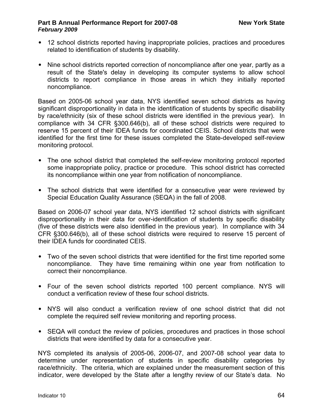- 12 school districts reported having inappropriate policies, practices and procedures related to identification of students by disability.
- Nine school districts reported correction of noncompliance after one year, partly as a result of the State's delay in developing its computer systems to allow school districts to report compliance in those areas in which they initially reported noncompliance.

Based on 2005-06 school year data, NYS identified seven school districts as having significant disproportionality in data in the identification of students by specific disability by race/ethnicity (six of these school districts were identified in the previous year). In compliance with 34 CFR §300.646(b), all of these school districts were required to reserve 15 percent of their IDEA funds for coordinated CEIS. School districts that were identified for the first time for these issues completed the State-developed self-review monitoring protocol.

- The one school district that completed the self-review monitoring protocol reported some inappropriate policy, practice or procedure. This school district has corrected its noncompliance within one year from notification of noncompliance.
- The school districts that were identified for a consecutive year were reviewed by Special Education Quality Assurance (SEQA) in the fall of 2008.

Based on 2006-07 school year data, NYS identified 12 school districts with significant disproportionality in their data for over-identification of students by specific disability (five of these districts were also identified in the previous year). In compliance with 34 CFR §300.646(b), all of these school districts were required to reserve 15 percent of their IDEA funds for coordinated CEIS.

- Two of the seven school districts that were identified for the first time reported some noncompliance. They have time remaining within one year from notification to correct their noncompliance.
- Four of the seven school districts reported 100 percent compliance. NYS will conduct a verification review of these four school districts.
- NYS will also conduct a verification review of one school district that did not complete the required self review monitoring and reporting process.
- SEQA will conduct the review of policies, procedures and practices in those school districts that were identified by data for a consecutive year.

NYS completed its analysis of 2005-06, 2006-07, and 2007-08 school year data to determine under representation of students in specific disability categories by race/ethnicity. The criteria, which are explained under the measurement section of this indicator, were developed by the State after a lengthy review of our State's data. No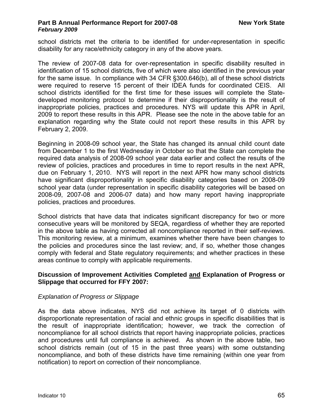school districts met the criteria to be identified for under-representation in specific disability for any race/ethnicity category in any of the above years.

The review of 2007-08 data for over-representation in specific disability resulted in identification of 15 school districts, five of which were also identified in the previous year for the same issue. In compliance with 34 CFR §300.646(b), all of these school districts were required to reserve 15 percent of their IDEA funds for coordinated CEIS. All school districts identified for the first time for these issues will complete the Statedeveloped monitoring protocol to determine if their disproportionality is the result of inappropriate policies, practices and procedures. NYS will update this APR in April, 2009 to report these results in this APR. Please see the note in the above table for an explanation regarding why the State could not report these results in this APR by February 2, 2009.

Beginning in 2008-09 school year, the State has changed its annual child count date from December 1 to the first Wednesday in October so that the State can complete the required data analysis of 2008-09 school year data earlier and collect the results of the review of policies, practices and procedures in time to report results in the next APR, due on February 1, 2010. NYS will report in the next APR how many school districts have significant disproportionality in specific disability categories based on 2008-09 school year data (under representation in specific disability categories will be based on 2008-09, 2007-08 and 2006-07 data) and how many report having inappropriate policies, practices and procedures.

School districts that have data that indicates significant discrepancy for two or more consecutive years will be monitored by SEQA, regardless of whether they are reported in the above table as having corrected all noncompliance reported in their self-reviews. This monitoring review, at a minimum, examines whether there have been changes to the policies and procedures since the last review; and, if so, whether those changes comply with federal and State regulatory requirements; and whether practices in these areas continue to comply with applicable requirements.

#### **Discussion of Improvement Activities Completed and Explanation of Progress or Slippage that occurred for FFY 2007:**

### *Explanation of Progress or Slippage*

As the data above indicates, NYS did not achieve its target of 0 districts with disproportionate representation of racial and ethnic groups in specific disabilities that is the result of inappropriate identification; however, we track the correction of noncompliance for all school districts that report having inappropriate policies, practices and procedures until full compliance is achieved. As shown in the above table, two school districts remain (out of 15 in the past three years) with some outstanding noncompliance, and both of these districts have time remaining (within one year from notification) to report on correction of their noncompliance.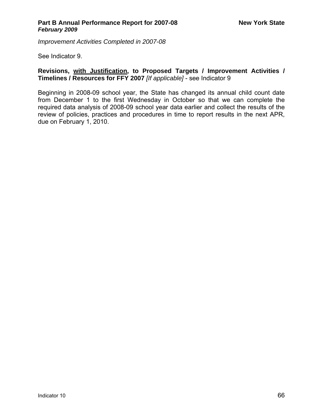*Improvement Activities Completed in 2007-08* 

See Indicator 9.

# **Revisions, with Justification, to Proposed Targets / Improvement Activities / Timelines / Resources for FFY 2007** *[If applicable]* - see Indicator 9

Beginning in 2008-09 school year, the State has changed its annual child count date from December 1 to the first Wednesday in October so that we can complete the required data analysis of 2008-09 school year data earlier and collect the results of the review of policies, practices and procedures in time to report results in the next APR, due on February 1, 2010.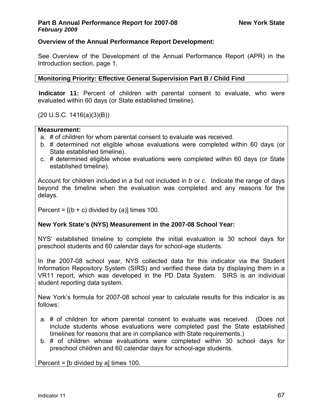# **Overview of the Annual Performance Report Development:**

See Overview of the Development of the Annual Performance Report (APR) in the Introduction section, page 1.

**Monitoring Priority: Effective General Supervision Part B / Child Find** 

**Indicator 11:** Percent of children with parental consent to evaluate, who were evaluated within 60 days (or State established timeline).

(20 U.S.C. 1416(a)(3)(B))

#### **Measurement:**

- a. # of children for whom parental consent to evaluate was received.
- b. # determined not eligible whose evaluations were completed within 60 days (or State established timeline).
- c. # determined eligible whose evaluations were completed within 60 days (or State established timeline).

Account for children included in *a* but not included in *b* or *c*. Indicate the range of days beyond the timeline when the evaluation was completed and any reasons for the delays.

Percent =  $[(b + c)$  divided by (a)] times 100.

### **New York State's (NYS) Measurement in the 2007-08 School Year:**

NYS' established timeline to complete the initial evaluation is 30 school days for preschool students and 60 calendar days for school-age students.

In the 2007-08 school year, NYS collected data for this indicator via the Student Information Repository System (SIRS) and verified these data by displaying them in a VR11 report, which was developed in the PD Data System. SIRS is an individual student reporting data system.

New York's formula for 2007-08 school year to calculate results for this indicator is as follows:

- a. # of children for whom parental consent to evaluate was received. (Does not include students whose evaluations were completed past the State established timelines for reasons that are in compliance with State requirements.)
- b. # of children whose evaluations were completed within 30 school days for preschool children and 60 calendar days for school-age students.

Percent = [b divided by a] times 100.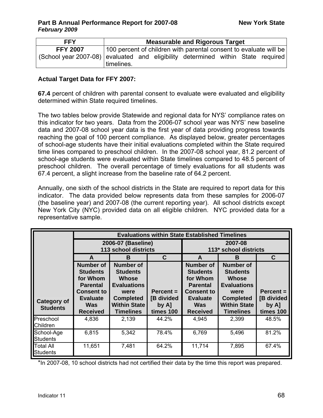| <b>FFY</b>                                                                       | <b>Measurable and Rigorous Target</b> |  |  |                                                                   |  |  |  |
|----------------------------------------------------------------------------------|---------------------------------------|--|--|-------------------------------------------------------------------|--|--|--|
| <b>FFY 2007</b>                                                                  |                                       |  |  | 100 percent of children with parental consent to evaluate will be |  |  |  |
| (School year 2007-08) evaluated and eligibility determined within State required |                                       |  |  |                                                                   |  |  |  |
|                                                                                  | timelines.                            |  |  |                                                                   |  |  |  |

### **Actual Target Data for FFY 2007:**

**67.4** percent of children with parental consent to evaluate were evaluated and eligibility determined within State required timelines.

The two tables below provide Statewide and regional data for NYS' compliance rates on this indicator for two years. Data from the 2006-07 school year was NYS' new baseline data and 2007-08 school year data is the first year of data providing progress towards reaching the goal of 100 percent compliance. As displayed below, greater percentages of school-age students have their initial evaluations completed within the State required time lines compared to preschool children. In the 2007-08 school year, 81.2 percent of school-age students were evaluated within State timelines compared to 48.5 percent of preschool children. The overall percentage of timely evaluations for all students was 67.4 percent, a slight increase from the baseline rate of 64.2 percent.

Annually, one sixth of the school districts in the State are required to report data for this indicator. The data provided below represents data from these samples for 2006-07 (the baseline year) and 2007-08 (the current reporting year). All school districts except New York City (NYC) provided data on all eligible children. NYC provided data for a representative sample.

|                                       | <b>Evaluations within State Established Timelines</b>                                                                                       |                                                                                                                                                  |                                                       |                                                                                                                                             |                                                                                                                                                  |                                                       |  |
|---------------------------------------|---------------------------------------------------------------------------------------------------------------------------------------------|--------------------------------------------------------------------------------------------------------------------------------------------------|-------------------------------------------------------|---------------------------------------------------------------------------------------------------------------------------------------------|--------------------------------------------------------------------------------------------------------------------------------------------------|-------------------------------------------------------|--|
|                                       |                                                                                                                                             | 2006-07 (Baseline)<br><b>113 school districts</b>                                                                                                |                                                       | 2007-08<br>113* school districts                                                                                                            |                                                                                                                                                  |                                                       |  |
|                                       | C<br>A<br>R.                                                                                                                                |                                                                                                                                                  |                                                       | A                                                                                                                                           | R                                                                                                                                                | C.                                                    |  |
| <b>Category of</b><br><b>Students</b> | <b>Number of</b><br><b>Students</b><br>for Whom<br><b>Parental</b><br><b>Consent to</b><br><b>Evaluate</b><br><b>Was</b><br><b>Received</b> | <b>Number of</b><br><b>Students</b><br><b>Whose</b><br><b>Evaluations</b><br>were<br><b>Completed</b><br><b>Within State</b><br><b>Timelines</b> | $Percent =$<br><b>B</b> divided<br>by A]<br>times 100 | <b>Number of</b><br><b>Students</b><br>for Whom<br><b>Parental</b><br><b>Consent to</b><br><b>Evaluate</b><br><b>Was</b><br><b>Received</b> | <b>Number of</b><br><b>Students</b><br><b>Whose</b><br><b>Evaluations</b><br>were<br><b>Completed</b><br><b>Within State</b><br><b>Timelines</b> | $Percent =$<br><b>B</b> divided<br>by A]<br>times 100 |  |
| Preschool<br>Children                 | 4,836                                                                                                                                       | 2,139                                                                                                                                            | 44.2%                                                 | 4,945                                                                                                                                       | 2,399                                                                                                                                            | 48.5%                                                 |  |
| School-Age<br>Students                | 6,815                                                                                                                                       | 5,342                                                                                                                                            | 78.4%                                                 | 6,769                                                                                                                                       | 5,496                                                                                                                                            | 81.2%                                                 |  |
| <b>Total All</b><br><b>Students</b>   | 11,651                                                                                                                                      | 7,481                                                                                                                                            | 64.2%                                                 | 11,714                                                                                                                                      | 7,895                                                                                                                                            | 67.4%                                                 |  |

\*In 2007-08, 10 school districts had not certified their data by the time this report was prepared.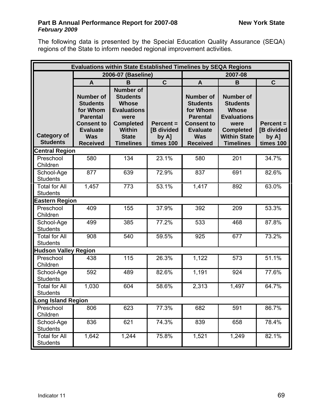The following data is presented by the Special Education Quality Assurance (SEQA) regions of the State to inform needed regional improvement activities.

| <b>Evaluations within State Established Timelines by SEQA Regions</b> |                                                                                                                                             |                                                                                                                                                            |                                                 |                                                                                                                                             |                                                                                                                                                  |                                                 |  |  |  |
|-----------------------------------------------------------------------|---------------------------------------------------------------------------------------------------------------------------------------------|------------------------------------------------------------------------------------------------------------------------------------------------------------|-------------------------------------------------|---------------------------------------------------------------------------------------------------------------------------------------------|--------------------------------------------------------------------------------------------------------------------------------------------------|-------------------------------------------------|--|--|--|
|                                                                       |                                                                                                                                             | 2006-07 (Baseline)                                                                                                                                         |                                                 | 2007-08                                                                                                                                     |                                                                                                                                                  |                                                 |  |  |  |
|                                                                       | $\mathbf{A}$                                                                                                                                | B                                                                                                                                                          | $\mathbf C$                                     | A                                                                                                                                           | B                                                                                                                                                | $\mathbf C$                                     |  |  |  |
| <b>Category of</b><br><b>Students</b>                                 | <b>Number of</b><br><b>Students</b><br>for Whom<br><b>Parental</b><br><b>Consent to</b><br><b>Evaluate</b><br><b>Was</b><br><b>Received</b> | <b>Number of</b><br><b>Students</b><br><b>Whose</b><br><b>Evaluations</b><br>were<br><b>Completed</b><br><b>Within</b><br><b>State</b><br><b>Timelines</b> | $Percent =$<br>[B divided<br>by A]<br>times 100 | <b>Number of</b><br><b>Students</b><br>for Whom<br><b>Parental</b><br><b>Consent to</b><br><b>Evaluate</b><br><b>Was</b><br><b>Received</b> | <b>Number of</b><br><b>Students</b><br><b>Whose</b><br><b>Evaluations</b><br>were<br><b>Completed</b><br><b>Within State</b><br><b>Timelines</b> | $Percent =$<br>[B divided<br>by A]<br>times 100 |  |  |  |
| <b>Central Region</b>                                                 |                                                                                                                                             |                                                                                                                                                            |                                                 |                                                                                                                                             |                                                                                                                                                  |                                                 |  |  |  |
| Preschool<br>Children                                                 | 580                                                                                                                                         | 134                                                                                                                                                        | 23.1%                                           | 580                                                                                                                                         | 201                                                                                                                                              | 34.7%                                           |  |  |  |
| School-Age<br><b>Students</b>                                         | 877                                                                                                                                         | 639                                                                                                                                                        | 72.9%                                           | 837                                                                                                                                         | 691                                                                                                                                              | 82.6%                                           |  |  |  |
| <b>Total for All</b><br><b>Students</b>                               | 1,457                                                                                                                                       | 773                                                                                                                                                        | 53.1%                                           | 1,417                                                                                                                                       | 892                                                                                                                                              | 63.0%                                           |  |  |  |
| <b>Eastern Region</b>                                                 |                                                                                                                                             |                                                                                                                                                            |                                                 |                                                                                                                                             |                                                                                                                                                  |                                                 |  |  |  |
| Preschool<br>Children                                                 | 409                                                                                                                                         | 155                                                                                                                                                        | 37.9%                                           | 392                                                                                                                                         | 209                                                                                                                                              | 53.3%                                           |  |  |  |
| School-Age<br><b>Students</b>                                         | 499                                                                                                                                         | 385                                                                                                                                                        | 77.2%                                           | 533                                                                                                                                         | 468                                                                                                                                              | 87.8%                                           |  |  |  |
| <b>Total for All</b><br><b>Students</b>                               | 908                                                                                                                                         | 540                                                                                                                                                        | 59.5%                                           | 925                                                                                                                                         | 677                                                                                                                                              | 73.2%                                           |  |  |  |
| <b>Hudson Valley Region</b>                                           |                                                                                                                                             |                                                                                                                                                            |                                                 |                                                                                                                                             |                                                                                                                                                  |                                                 |  |  |  |
| Preschool<br>Children                                                 | 438                                                                                                                                         | 115                                                                                                                                                        | 26.3%                                           | 1,122                                                                                                                                       | 573                                                                                                                                              | 51.1%                                           |  |  |  |
| School-Age<br><b>Students</b>                                         | 592                                                                                                                                         | 489                                                                                                                                                        | 82.6%                                           | 1,191                                                                                                                                       | 924                                                                                                                                              | 77.6%                                           |  |  |  |
| <b>Total for All</b><br><b>Students</b>                               | 1,030                                                                                                                                       | 604                                                                                                                                                        | 58.6%                                           | 2,313                                                                                                                                       | 1,497                                                                                                                                            | 64.7%                                           |  |  |  |
| <b>Long Island Region</b>                                             |                                                                                                                                             |                                                                                                                                                            |                                                 |                                                                                                                                             |                                                                                                                                                  |                                                 |  |  |  |
| Preschool<br>Children                                                 | 806                                                                                                                                         | 623                                                                                                                                                        | 77.3%                                           | 682                                                                                                                                         | 591                                                                                                                                              | 86.7%                                           |  |  |  |
| School-Age<br><b>Students</b>                                         | 836                                                                                                                                         | 621                                                                                                                                                        | 74.3%                                           | 839                                                                                                                                         | 658                                                                                                                                              | 78.4%                                           |  |  |  |
| <b>Total for All</b><br><b>Students</b>                               | 1,642                                                                                                                                       | 1,244                                                                                                                                                      | 75.8%                                           | 1,521                                                                                                                                       | 1,249                                                                                                                                            | 82.1%                                           |  |  |  |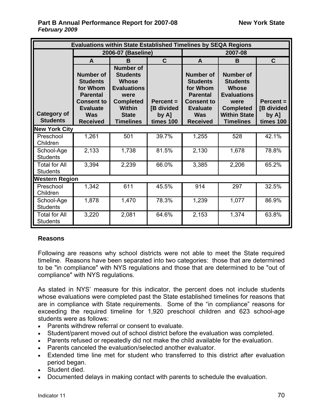|                                         | <b>Evaluations within State Established Timelines by SEQA Regions</b>                                                                       |                                                                                                                                                            |                                                    |                                                                                                                                             |                                                                                                                                                  |                                                 |  |  |  |  |
|-----------------------------------------|---------------------------------------------------------------------------------------------------------------------------------------------|------------------------------------------------------------------------------------------------------------------------------------------------------------|----------------------------------------------------|---------------------------------------------------------------------------------------------------------------------------------------------|--------------------------------------------------------------------------------------------------------------------------------------------------|-------------------------------------------------|--|--|--|--|
|                                         |                                                                                                                                             | 2006-07 (Baseline)                                                                                                                                         |                                                    | 2007-08                                                                                                                                     |                                                                                                                                                  |                                                 |  |  |  |  |
|                                         | $\mathbf{A}$                                                                                                                                | $\mathbf C$<br>B                                                                                                                                           |                                                    | A                                                                                                                                           | B                                                                                                                                                | $\mathbf C$                                     |  |  |  |  |
| <b>Category of</b><br><b>Students</b>   | <b>Number of</b><br><b>Students</b><br>for Whom<br><b>Parental</b><br><b>Consent to</b><br><b>Evaluate</b><br><b>Was</b><br><b>Received</b> | <b>Number of</b><br><b>Students</b><br><b>Whose</b><br><b>Evaluations</b><br>were<br><b>Completed</b><br><b>Within</b><br><b>State</b><br><b>Timelines</b> | $Percent =$<br>[B divided<br>by $A$ ]<br>times 100 | <b>Number of</b><br><b>Students</b><br>for Whom<br><b>Parental</b><br><b>Consent to</b><br><b>Evaluate</b><br><b>Was</b><br><b>Received</b> | <b>Number of</b><br><b>Students</b><br><b>Whose</b><br><b>Evaluations</b><br>were<br><b>Completed</b><br><b>Within State</b><br><b>Timelines</b> | $Percent =$<br>[B divided<br>by A]<br>times 100 |  |  |  |  |
| <b>New York City</b>                    |                                                                                                                                             |                                                                                                                                                            |                                                    |                                                                                                                                             |                                                                                                                                                  |                                                 |  |  |  |  |
| Preschool<br>Children                   | 1,261                                                                                                                                       | 501                                                                                                                                                        | 39.7%                                              | 1,255                                                                                                                                       | 528                                                                                                                                              | 42.1%                                           |  |  |  |  |
| School-Age<br><b>Students</b>           | 2,133                                                                                                                                       | 1,738                                                                                                                                                      | 81.5%                                              | 2,130                                                                                                                                       | 1,678                                                                                                                                            | 78.8%                                           |  |  |  |  |
| <b>Total for All</b><br><b>Students</b> | 3,394                                                                                                                                       | 2,239                                                                                                                                                      | 66.0%                                              | 3,385                                                                                                                                       | 2,206                                                                                                                                            | 65.2%                                           |  |  |  |  |
| <b>Western Region</b>                   |                                                                                                                                             |                                                                                                                                                            |                                                    |                                                                                                                                             |                                                                                                                                                  |                                                 |  |  |  |  |
| Preschool<br>Children                   | 1,342                                                                                                                                       | 611                                                                                                                                                        | 45.5%                                              | 914                                                                                                                                         | 297                                                                                                                                              | 32.5%                                           |  |  |  |  |
| School-Age<br><b>Students</b>           | 1,878                                                                                                                                       | 1,470                                                                                                                                                      | 78.3%                                              | 1,239                                                                                                                                       | 1,077                                                                                                                                            | 86.9%                                           |  |  |  |  |
| <b>Total for All</b><br><b>Students</b> | 3,220                                                                                                                                       | 2,081                                                                                                                                                      | 64.6%                                              | 2,153                                                                                                                                       | 1,374                                                                                                                                            | 63.8%                                           |  |  |  |  |

# **Reasons**

Following are reasons why school districts were not able to meet the State required timeline. Reasons have been separated into two categories: those that are determined to be "in compliance" with NYS regulations and those that are determined to be "out of compliance" with NYS regulations.

As stated in NYS' measure for this indicator, the percent does not include students whose evaluations were completed past the State established timelines for reasons that are in compliance with State requirements. Some of the "in compliance" reasons for exceeding the required timeline for 1,920 preschool children and 623 school-age students were as follows:

- Parents withdrew referral or consent to evaluate.
- Student/parent moved out of school district before the evaluation was completed.
- Parents refused or repeatedly did not make the child available for the evaluation.
- Parents canceled the evaluation/selected another evaluator.
- Extended time line met for student who transferred to this district after evaluation period began.
- Student died.
- Documented delays in making contact with parents to schedule the evaluation.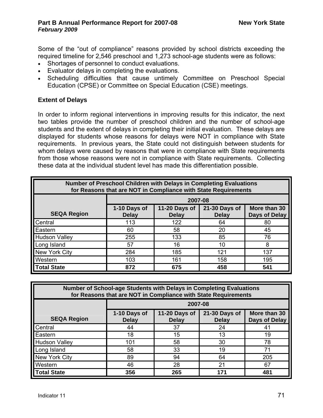Some of the "out of compliance" reasons provided by school districts exceeding the required timeline for 2,546 preschool and 1,273 school-age students were as follows:

- Shortages of personnel to conduct evaluations.
- Evaluator delays in completing the evaluations.
- Scheduling difficulties that cause untimely Committee on Preschool Special Education (CPSE) or Committee on Special Education (CSE) meetings.

# **Extent of Delays**

In order to inform regional interventions in improving results for this indicator, the next two tables provide the number of preschool children and the number of school-age students and the extent of delays in completing their initial evaluation. These delays are displayed for students whose reasons for delays were NOT in compliance with State requirements. In previous years, the State could not distinguish between students for whom delays were caused by reasons that were in compliance with State requirements from those whose reasons were not in compliance with State requirements. Collecting these data at the individual student level has made this differentiation possible.

| <b>Number of Preschool Children with Delays in Completing Evaluations</b><br>for Reasons that are NOT in Compliance with State Requirements |                                                                                                                                 |         |     |     |  |  |  |  |  |  |
|---------------------------------------------------------------------------------------------------------------------------------------------|---------------------------------------------------------------------------------------------------------------------------------|---------|-----|-----|--|--|--|--|--|--|
|                                                                                                                                             |                                                                                                                                 | 2007-08 |     |     |  |  |  |  |  |  |
| <b>SEQA Region</b>                                                                                                                          | More than 30<br>1-10 Days of<br>11-20 Days of<br>21-30 Days of<br><b>Delay</b><br>Days of Delay<br><b>Delay</b><br><b>Delay</b> |         |     |     |  |  |  |  |  |  |
| Central                                                                                                                                     | 113                                                                                                                             | 122     | 64  | 80  |  |  |  |  |  |  |
| Eastern                                                                                                                                     | 60                                                                                                                              | 58      | 20  | 45  |  |  |  |  |  |  |
| <b>Hudson Valley</b>                                                                                                                        | 255                                                                                                                             | 133     | 85  | 76  |  |  |  |  |  |  |
| Long Island                                                                                                                                 | 57                                                                                                                              | 16      | 10  | 8   |  |  |  |  |  |  |
| New York City                                                                                                                               | 284                                                                                                                             | 185     | 121 | 137 |  |  |  |  |  |  |
| Western                                                                                                                                     | 103<br>161<br>158<br>195                                                                                                        |         |     |     |  |  |  |  |  |  |
| <b>Total State</b>                                                                                                                          | 872                                                                                                                             | 675     | 458 | 541 |  |  |  |  |  |  |

| <b>Number of School-age Students with Delays in Completing Evaluations</b><br>for Reasons that are NOT in Compliance with State Requirements |                                                                                                                                 |         |     |     |  |  |  |  |  |  |
|----------------------------------------------------------------------------------------------------------------------------------------------|---------------------------------------------------------------------------------------------------------------------------------|---------|-----|-----|--|--|--|--|--|--|
|                                                                                                                                              |                                                                                                                                 | 2007-08 |     |     |  |  |  |  |  |  |
| <b>SEQA Region</b>                                                                                                                           | 11-20 Days of<br>1-10 Days of<br>21-30 Days of<br>More than 30<br>Days of Delay<br><b>Delay</b><br><b>Delay</b><br><b>Delay</b> |         |     |     |  |  |  |  |  |  |
| Central                                                                                                                                      | 44                                                                                                                              | 37      | 24  | 41  |  |  |  |  |  |  |
| Eastern                                                                                                                                      | 18                                                                                                                              | 15      | 13  | 19  |  |  |  |  |  |  |
| <b>Hudson Valley</b>                                                                                                                         | 101                                                                                                                             | 58      | 30  | 78  |  |  |  |  |  |  |
| Long Island                                                                                                                                  | 58                                                                                                                              | 33      | 19  | 71  |  |  |  |  |  |  |
| New York City                                                                                                                                | 89                                                                                                                              | 94      | 64  | 205 |  |  |  |  |  |  |
| Western                                                                                                                                      | 46                                                                                                                              | 28      | 21  | 67  |  |  |  |  |  |  |
| <b>Total State</b>                                                                                                                           | 356                                                                                                                             | 265     | 171 | 481 |  |  |  |  |  |  |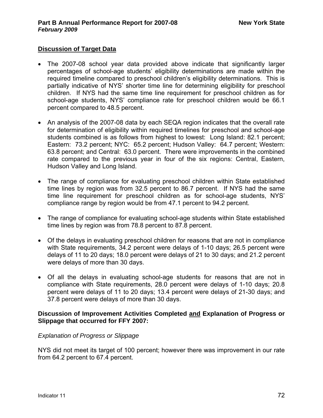# **Discussion of Target Data**

- The 2007-08 school year data provided above indicate that significantly larger percentages of school-age students' eligibility determinations are made within the required timeline compared to preschool children's eligibility determinations. This is partially indicative of NYS' shorter time line for determining eligibility for preschool children. If NYS had the same time line requirement for preschool children as for school-age students, NYS' compliance rate for preschool children would be 66.1 percent compared to 48.5 percent.
- An analysis of the 2007-08 data by each SEQA region indicates that the overall rate for determination of eligibility within required timelines for preschool and school-age students combined is as follows from highest to lowest: Long Island: 82.1 percent; Eastern: 73.2 percent; NYC: 65.2 percent; Hudson Valley: 64.7 percent; Western: 63.8 percent; and Central: 63.0 percent. There were improvements in the combined rate compared to the previous year in four of the six regions: Central, Eastern, Hudson Valley and Long Island.
- The range of compliance for evaluating preschool children within State established time lines by region was from 32.5 percent to 86.7 percent. If NYS had the same time line requirement for preschool children as for school-age students, NYS' compliance range by region would be from 47.1 percent to 94.2 percent.
- The range of compliance for evaluating school-age students within State established time lines by region was from 78.8 percent to 87.8 percent.
- Of the delays in evaluating preschool children for reasons that are not in compliance with State requirements, 34.2 percent were delays of 1-10 days; 26.5 percent were delays of 11 to 20 days; 18.0 percent were delays of 21 to 30 days; and 21.2 percent were delays of more than 30 days.
- Of all the delays in evaluating school-age students for reasons that are not in compliance with State requirements, 28.0 percent were delays of 1-10 days; 20.8 percent were delays of 11 to 20 days; 13.4 percent were delays of 21-30 days; and 37.8 percent were delays of more than 30 days.

# **Discussion of Improvement Activities Completed and Explanation of Progress or Slippage that occurred for FFY 2007:**

# *Explanation of Progress or Slippage*

NYS did not meet its target of 100 percent; however there was improvement in our rate from 64.2 percent to 67.4 percent.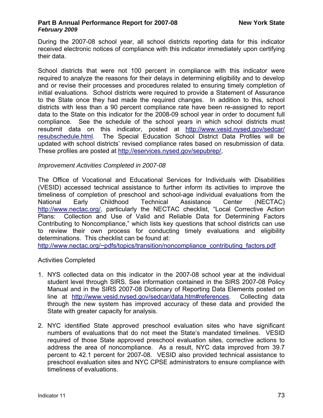During the 2007-08 school year, all school districts reporting data for this indicator received electronic notices of compliance with this indicator immediately upon certifying their data.

School districts that were not 100 percent in compliance with this indicator were required to analyze the reasons for their delays in determining eligibility and to develop and or revise their processes and procedures related to ensuring timely completion of initial evaluations. School districts were required to provide a Statement of Assurance to the State once they had made the required changes. In addition to this, school districts with less than a 90 percent compliance rate have been re-assigned to report data to the State on this indicator for the 2008-09 school year in order to document full compliance. See the schedule of the school years in which school districts must resubmit data on this indicator, posted at [http://www.vesid.nysed.gov/sedcar/](http://www.vesid.nysed.gov/sedcar/resubschedule.html) [resubschedule.html](http://www.vesid.nysed.gov/sedcar/resubschedule.html). The Special Education School District Data Profiles will be updated with school districts' revised compliance rates based on resubmission of data. These profiles are posted at<http://eservices.nysed.gov/sepubrep/>,

# *Improvement Activities Completed in 2007-08*

The Office of Vocational and Educational Services for Individuals with Disabilities (VESID) accessed technical assistance to further inform its activities to improve the timeliness of completion of preschool and school-age individual evaluations from the National Early Childhood Technical Assistance Center (NECTAC) [http://www.nectac.org/,](http://www.nectac.org/) particularly the NECTAC checklist, "Local Corrective Action Plans: Collection and Use of Valid and Reliable Data for Determining Factors Contributing to Noncompliance," which lists key questions that school districts can use to review their own process for conducting timely evaluations and eligibility determinations. This checklist can be found at:

[http://www.nectac.org/~pdfs/topics/transition/noncompliance\\_contributing\\_factors.pdf](http://www.nectac.org/%7Epdfs/topics/transition/noncompliance_contributing_factors.pdf)

# Activities Completed

- 1. NYS collected data on this indicator in the 2007-08 school year at the individual student level through SIRS. See information contained in the SIRS 2007-08 Policy Manual and in the SIRS 2007-08 Dictionary of Reporting Data Elements posted on line at <http://www.vesid.nysed.gov/sedcar/data.htm#references>. Collecting data through the new system has improved accuracy of these data and provided the State with greater capacity for analysis.
- 2. NYC identified State approved preschool evaluation sites who have significant numbers of evaluations that do not meet the State's mandated timelines. VESID required of those State approved preschool evaluation sites, corrective actions to address the area of noncompliance. As a result, NYC data improved from 39.7 percent to 42.1 percent for 2007-08. VESID also provided technical assistance to preschool evaluation sites and NYC CPSE administrators to ensure compliance with timeliness of evaluations.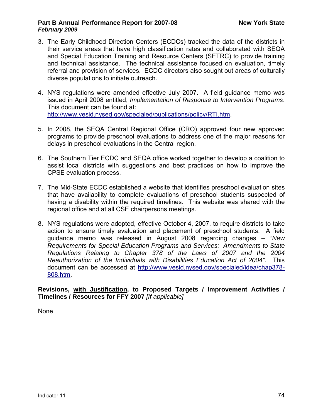- 3. The Early Childhood Direction Centers (ECDCs) tracked the data of the districts in their service areas that have high classification rates and collaborated with SEQA and Special Education Training and Resource Centers (SETRC) to provide training and technical assistance. The technical assistance focused on evaluation, timely referral and provision of services. ECDC directors also sought out areas of culturally diverse populations to initiate outreach.
- 4. NYS regulations were amended effective July 2007. A field guidance memo was issued in April 2008 entitled, *Implementation of Response to Intervention Programs*. This document can be found at: <http://www.vesid.nysed.gov/specialed/publications/policy/RTI.htm>.
- 5. In 2008, the SEQA Central Regional Office (CRO) approved four new approved programs to provide preschool evaluations to address one of the major reasons for delays in preschool evaluations in the Central region.
- 6. The Southern Tier ECDC and SEQA office worked together to develop a coalition to assist local districts with suggestions and best practices on how to improve the CPSE evaluation process.
- 7. The Mid-State ECDC established a website that identifies preschool evaluation sites that have availability to complete evaluations of preschool students suspected of having a disability within the required timelines. This website was shared with the regional office and at all CSE chairpersons meetings.
- 8. NYS regulations were adopted, effective October 4, 2007, to require districts to take action to ensure timely evaluation and placement of preschool students. A field guidance memo was released in August 2008 regarding changes – *"New Requirements for Special Education Programs and Services: Amendments to State Regulations Relating to Chapter 378 of the Laws of 2007 and the 2004 Reauthorization of the Individuals with Disabilities Education Act of 2004".* This document can be accessed at [http://www.vesid.nysed.gov/specialed/idea/chap378-](http://www.vesid.nysed.gov/specialed/idea/chap378-808.htm) [808.htm](http://www.vesid.nysed.gov/specialed/idea/chap378-808.htm).

**Revisions, with Justification, to Proposed Targets / Improvement Activities / Timelines / Resources for FFY 2007** *[If applicable]* 

None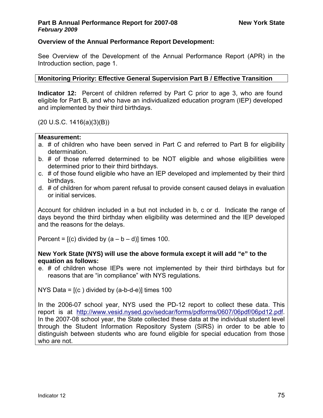# **Overview of the Annual Performance Report Development:**

See Overview of the Development of the Annual Performance Report (APR) in the Introduction section, page 1.

# **Monitoring Priority: Effective General Supervision Part B / Effective Transition**

**Indicator 12:** Percent of children referred by Part C prior to age 3, who are found eligible for Part B, and who have an individualized education program (IEP) developed and implemented by their third birthdays.

(20 U.S.C. 1416(a)(3)(B))

# **Measurement:**

- a. # of children who have been served in Part C and referred to Part B for eligibility determination.
- b. # of those referred determined to be NOT eligible and whose eligibilities were determined prior to their third birthdays.
- c. # of those found eligible who have an IEP developed and implemented by their third birthdays.
- d. # of children for whom parent refusal to provide consent caused delays in evaluation or initial services.

Account for children included in a but not included in b, c or d. Indicate the range of days beyond the third birthday when eligibility was determined and the IEP developed and the reasons for the delays.

Percent =  $[(c)$  divided by  $(a - b - d)]$  times 100.

# **New York State (NYS) will use the above formula except it will add "e" to the equation as follows:**

e. # of children whose IEPs were not implemented by their third birthdays but for reasons that are "in compliance" with NYS regulations.

NYS Data =  $[(c)$  divided by  $(a-b-d-e)]$  times 100

In the 2006-07 school year, NYS used the PD-12 report to collect these data. This report is at [http://www.vesid.nysed.gov/sedcar/forms/pdforms/0607/06pdf/06pd12.pdf.](http://www.vesid.nysed.gov/sedcar/forms/pdforms/0607/06pdf/06pd12.pdf) In the 2007-08 school year, the State collected these data at the individual student level through the Student Information Repository System (SIRS) in order to be able to distinguish between students who are found eligible for special education from those who are not.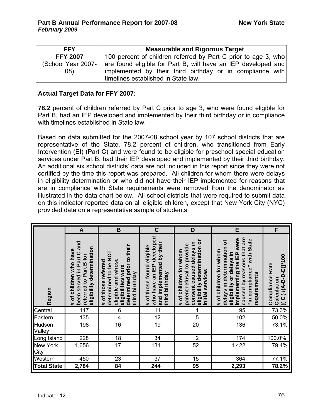| <b>FFY</b>        | <b>Measurable and Rigorous Target</b>                          |  |  |  |  |  |  |  |
|-------------------|----------------------------------------------------------------|--|--|--|--|--|--|--|
| <b>FFY 2007</b>   | 100 percent of children referred by Part C prior to age 3, who |  |  |  |  |  |  |  |
| School Year 2007- | are found eligible for Part B, will have an IEP developed and  |  |  |  |  |  |  |  |
| 08)               | implemented by their third birthday or in compliance with      |  |  |  |  |  |  |  |
|                   | timelines established in State law.                            |  |  |  |  |  |  |  |

# **Actual Target Data for FFY 2007:**

**78.2** percent of children referred by Part C prior to age 3, who were found eligible for Part B, had an IEP developed and implemented by their third birthday or in compliance with timelines established in State law.

Based on data submitted for the 2007-08 school year by 107 school districts that are representative of the State, 78.2 percent of children, who transitioned from Early Intervention (EI) (Part C) and were found to be eligible for preschool special education services under Part B, had their IEP developed and implemented by their third birthday. An additional six school districts' data are not included in this report since they were not certified by the time this report was prepared. All children for whom there were delays in eligibility determination or who did not have their IEP implemented for reasons that are in compliance with State requirements were removed from the denominator as illustrated in the data chart below. All school districts that were required to submit data on this indicator reported data on all eligible children, except that New York City (NYC) provided data on a representative sample of students.

|                         | A                                                                                                          | B                                                                                                                                            | $\mathbf C$                                                                                          | D                                                                                                                                   | E                                                                                                                                                                                           | F                                                            |
|-------------------------|------------------------------------------------------------------------------------------------------------|----------------------------------------------------------------------------------------------------------------------------------------------|------------------------------------------------------------------------------------------------------|-------------------------------------------------------------------------------------------------------------------------------------|---------------------------------------------------------------------------------------------------------------------------------------------------------------------------------------------|--------------------------------------------------------------|
| Region                  | been served in Part C and<br>eligibility determination<br># of children who have<br>referred to Part B for | prior to their<br>determined to be NOT<br>eligible and whose<br># of those referred<br>eligibilities were<br>birthday<br>determined<br>third | who have an IEP developed<br>and implemented by their<br># of those found eligible<br>third birthday | eligibility determination or<br>consent caused delays in<br>parent refusal to provide<br># of children for whom<br>initial services | caused by reasons that are<br>implementing the IEP were<br>"in compliance" with State<br>৳<br>delays in determination<br># of children for whom<br>eligibility or delays in<br>requirements | $[(C)(A-B-D-E)]^{*}100$<br>Rate<br>Compliance<br>Calculation |
| Central                 | 117                                                                                                        | 6                                                                                                                                            | 11                                                                                                   |                                                                                                                                     | 95                                                                                                                                                                                          | 73.3%                                                        |
| Eastern                 | 135                                                                                                        | 4                                                                                                                                            | $\overline{12}$                                                                                      | 5                                                                                                                                   | 102                                                                                                                                                                                         | 50.0%                                                        |
| Hudson<br>Valley        | 198                                                                                                        | 16                                                                                                                                           | 19                                                                                                   | 20                                                                                                                                  | 136                                                                                                                                                                                         | 73.1%                                                        |
| ong Island              | 228                                                                                                        | 18                                                                                                                                           | 34                                                                                                   | $\overline{2}$                                                                                                                      | 174                                                                                                                                                                                         | 100.0%                                                       |
| <b>New York</b><br>City | 1,656                                                                                                      | 17                                                                                                                                           | 131                                                                                                  | 52                                                                                                                                  | 1.422                                                                                                                                                                                       | 79.4%                                                        |
| Western                 | 450                                                                                                        | 23                                                                                                                                           | 37                                                                                                   | 15                                                                                                                                  | 364                                                                                                                                                                                         | $77.1\%$                                                     |
| <b>Total State</b>      | 2,784                                                                                                      | 84                                                                                                                                           | 244                                                                                                  | 95                                                                                                                                  | 2,293                                                                                                                                                                                       | 78.2%                                                        |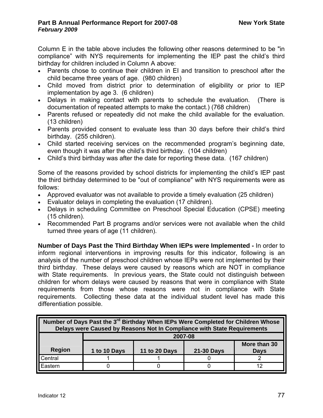Column E in the table above includes the following other reasons determined to be "in compliance" with NYS requirements for implementing the IEP past the child's third birthday for children included in Column A above:

- Parents chose to continue their children in EI and transition to preschool after the child became three years of age. (980 children)
- Child moved from district prior to determination of eligibility or prior to IEP implementation by age 3. (6 children)
- Delays in making contact with parents to schedule the evaluation. (There is documentation of repeated attempts to make the contact.) (768 children)
- Parents refused or repeatedly did not make the child available for the evaluation. (13 children)
- Parents provided consent to evaluate less than 30 days before their child's third birthday. (255 children).
- Child started receiving services on the recommended program's beginning date, even though it was after the child's third birthday. (104 children)
- Child's third birthday was after the date for reporting these data. (167 children)

Some of the reasons provided by school districts for implementing the child's IEP past the third birthday determined to be "out of compliance" with NYS requirements were as follows:

- Approved evaluator was not available to provide a timely evaluation (25 children)
- Evaluator delays in completing the evaluation (17 children).
- Delays in scheduling Committee on Preschool Special Education (CPSE) meeting (15 children).
- Recommended Part B programs and/or services were not available when the child turned three years of age (11 children).

**Number of Days Past the Third Birthday When IEPs were Implemented -** In order to inform regional interventions in improving results for this indicator, following is an analysis of the number of preschool children whose IEPs were not implemented by their third birthday. These delays were caused by reasons which are NOT in compliance with State requirements. In previous years, the State could not distinguish between children for whom delays were caused by reasons that were in compliance with State requirements from those whose reasons were not in compliance with State requirements. Collecting these data at the individual student level has made this differentiation possible.

| Number of Days Past the 3 <sup>rd</sup> Birthday When IEPs Were Completed for Children Whose<br>Delays were Caused by Reasons Not In Compliance with State Requirements |              |               |                   |                             |  |  |  |  |  |  |
|-------------------------------------------------------------------------------------------------------------------------------------------------------------------------|--------------|---------------|-------------------|-----------------------------|--|--|--|--|--|--|
|                                                                                                                                                                         | 2007-08      |               |                   |                             |  |  |  |  |  |  |
| <b>Region</b>                                                                                                                                                           | 1 to 10 Days | 11 to 20 Days | <b>21-30 Days</b> | More than 30<br><b>Days</b> |  |  |  |  |  |  |
|                                                                                                                                                                         |              |               |                   |                             |  |  |  |  |  |  |
| Central                                                                                                                                                                 |              |               |                   |                             |  |  |  |  |  |  |
| Eastern                                                                                                                                                                 |              |               |                   |                             |  |  |  |  |  |  |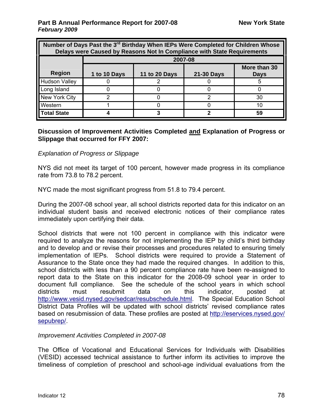| Number of Days Past the 3 <sup>rd</sup> Birthday When IEPs Were Completed for Children Whose<br>Delays were Caused by Reasons Not In Compliance with State Requirements |              |                                                                   |         |    |  |  |  |  |  |  |  |  |
|-------------------------------------------------------------------------------------------------------------------------------------------------------------------------|--------------|-------------------------------------------------------------------|---------|----|--|--|--|--|--|--|--|--|
|                                                                                                                                                                         |              |                                                                   | 2007-08 |    |  |  |  |  |  |  |  |  |
| <b>Region</b>                                                                                                                                                           | 1 to 10 Days | More than 30<br>11 to 20 Days<br><b>21-30 Days</b><br><b>Days</b> |         |    |  |  |  |  |  |  |  |  |
| <b>Hudson Valley</b>                                                                                                                                                    |              |                                                                   |         |    |  |  |  |  |  |  |  |  |
| Long Island                                                                                                                                                             |              |                                                                   |         |    |  |  |  |  |  |  |  |  |
| New York City                                                                                                                                                           |              |                                                                   | າ       | 30 |  |  |  |  |  |  |  |  |
| Western                                                                                                                                                                 |              |                                                                   |         | 10 |  |  |  |  |  |  |  |  |
| <b>Total State</b>                                                                                                                                                      |              |                                                                   |         | 59 |  |  |  |  |  |  |  |  |

## **Discussion of Improvement Activities Completed and Explanation of Progress or Slippage that occurred for FFY 2007:**

# *Explanation of Progress or Slippage*

NYS did not meet its target of 100 percent, however made progress in its compliance rate from 73.8 to 78.2 percent.

NYC made the most significant progress from 51.8 to 79.4 percent.

During the 2007-08 school year, all school districts reported data for this indicator on an individual student basis and received electronic notices of their compliance rates immediately upon certifying their data.

School districts that were not 100 percent in compliance with this indicator were required to analyze the reasons for not implementing the IEP by child's third birthday and to develop and or revise their processes and procedures related to ensuring timely implementation of IEPs. School districts were required to provide a Statement of Assurance to the State once they had made the required changes. In addition to this, school districts with less than a 90 percent compliance rate have been re-assigned to report data to the State on this indicator for the 2008-09 school year in order to document full compliance. See the schedule of the school years in which school districts must resubmit data on this indicator, posted at <http://www.vesid.nysed.gov/sedcar/resubschedule.html>. The Special Education School District Data Profiles will be updated with school districts' revised compliance rates based on resubmission of data. These profiles are posted at [http://eservices.nysed.gov/](http://eservices.nysed.gov/%0Bsepubrep/) [sepubrep/](http://eservices.nysed.gov/%0Bsepubrep/).

# *Improvement Activities Completed in 2007-08*

The Office of Vocational and Educational Services for Individuals with Disabilities (VESID) accessed technical assistance to further inform its activities to improve the timeliness of completion of preschool and school-age individual evaluations from the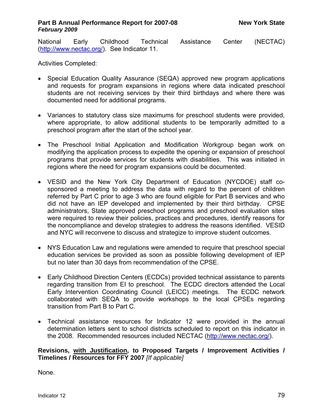National Early Childhood Technical Assistance Center (NECTAC) ([http://www.nectac.org/\)](http://www.nectac.org/). See Indicator 11.

Activities Completed:

- Special Education Quality Assurance (SEQA) approved new program applications and requests for program expansions in regions where data indicated preschool students are not receiving services by their third birthdays and where there was documented need for additional programs.
- Variances to statutory class size maximums for preschool students were provided, where appropriate, to allow additional students to be temporarily admitted to a preschool program after the start of the school year.
- The Preschool Initial Application and Modification Workgroup began work on modifying the application process to expedite the opening or expansion of preschool programs that provide services for students with disabilities. This was initiated in regions where the need for program expansions could be documented.
- VESID and the New York City Department of Education (NYCDOE) staff cosponsored a meeting to address the data with regard to the percent of children referred by Part C prior to age 3 who are found eligible for Part B services and who did not have an IEP developed and implemented by their third birthday. CPSE administrators, State approved preschool programs and preschool evaluation sites were required to review their policies, practices and procedures, identify reasons for the noncompliance and develop strategies to address the reasons identified. VESID and NYC will reconvene to discuss and strategize to improve student outcomes.
- NYS Education Law and regulations were amended to require that preschool special education services be provided as soon as possible following development of IEP but no later than 30 days from recommendation of the CPSE.
- Early Childhood Direction Centers (ECDCs) provided technical assistance to parents regarding transition from EI to preschool. The ECDC directors attended the Local Early Intervention Coordinating Council (LEICC) meetings. The ECDC network collaborated with SEQA to provide workshops to the local CPSEs regarding transition from Part B to Part C.
- Technical assistance resources for Indicator 12 were provided in the annual determination letters sent to school districts scheduled to report on this indicator in the 2008. Recommended resources included NECTAC [\(http://www.nectac.org/\)](http://www.nectac.org/).

**Revisions, with Justification, to Proposed Targets / Improvement Activities / Timelines / Resources for FFY 2007** *[If applicable]*

None.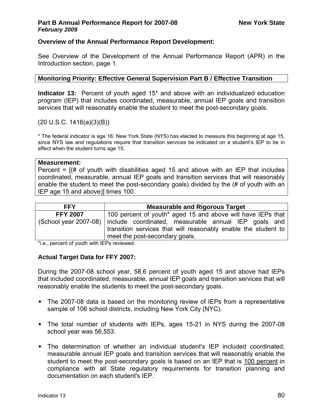# **Overview of the Annual Performance Report Development:**

See Overview of the Development of the Annual Performance Report (APR) in the Introduction section, page 1.

# **Monitoring Priority: Effective General Supervision Part B / Effective Transition**

**Indicator 13:** Percent of youth aged 15\* and above with an individualized education program (IEP) that includes coordinated, measurable, annual IEP goals and transition services that will reasonably enable the student to meet the post-secondary goals.

(20 U.S.C. 1416(a)(3)(B))

\* The federal indicator is age 16. New York State (NYS) has elected to measure this beginning at age 15, since NYS law and regulations require that transition services be indicated on a student's IEP to be in effect when the student turns age 15.

#### **Measurement:**

Percent  $=$   $($   $\#$  of youth with disabilities aged 15 and above with an IEP that includes coordinated, measurable, annual IEP goals and transition services that will reasonably enable the student to meet the post-secondary goals) divided by the (# of youth with an IEP age 15 and above)] times 100.

| <b>FFY</b>      | <b>Measurable and Rigorous Target</b>                                      |  |  |  |  |  |  |  |  |
|-----------------|----------------------------------------------------------------------------|--|--|--|--|--|--|--|--|
| <b>FFY 2007</b> | 100 percent of youth* aged 15 and above will have IEPs that                |  |  |  |  |  |  |  |  |
|                 | (School year 2007-08) include coordinated, measurable annual IEP goals and |  |  |  |  |  |  |  |  |
|                 | transition services that will reasonably enable the student to             |  |  |  |  |  |  |  |  |
|                 | meet the post-secondary goals.                                             |  |  |  |  |  |  |  |  |

\*i.e., percent of youth with IEPs reviewed.

# **Actual Target Data for FFY 2007:**

During the 2007-08 school year, 58.6 percent of youth aged 15 and above had IEPs that included coordinated, measurable, annual IEP goals and transition services that will reasonably enable the students to meet the post-secondary goals.

- The 2007-08 data is based on the monitoring review of IEPs from a representative sample of 106 school districts, including New York City (NYC).
- The total number of students with IEPs, ages 15-21 in NYS during the 2007-08 school year was 56,553.
- The determination of whether an individual student's IEP included coordinated, measurable annual IEP goals and transition services that will reasonably enable the student to meet the post-secondary goals is based on an IEP that is 100 percent in compliance with all State regulatory requirements for transition planning and documentation on each student's IEP.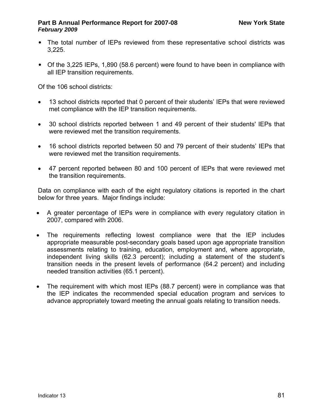- The total number of IEPs reviewed from these representative school districts was 3,225.
- Of the 3,225 IEPs, 1,890 (58.6 percent) were found to have been in compliance with all IEP transition requirements.

Of the 106 school districts:

- 13 school districts reported that 0 percent of their students' IEPs that were reviewed met compliance with the IEP transition requirements.
- 30 school districts reported between 1 and 49 percent of their students' IEPs that were reviewed met the transition requirements.
- 16 school districts reported between 50 and 79 percent of their students' IEPs that were reviewed met the transition requirements.
- 47 percent reported between 80 and 100 percent of IEPs that were reviewed met the transition requirements.

Data on compliance with each of the eight regulatory citations is reported in the chart below for three years. Major findings include:

- A greater percentage of IEPs were in compliance with every regulatory citation in 2007, compared with 2006.
- The requirements reflecting lowest compliance were that the IEP includes appropriate measurable post-secondary goals based upon age appropriate transition assessments relating to training, education, employment and, where appropriate, independent living skills (62.3 percent); including a statement of the student's transition needs in the present levels of performance (64.2 percent) and including needed transition activities (65.1 percent).
- The requirement with which most IEPs (88.7 percent) were in compliance was that the IEP indicates the recommended special education program and services to advance appropriately toward meeting the annual goals relating to transition needs.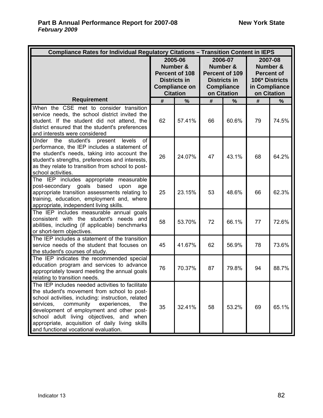| Compliance Rates for Individual Regulatory Citations - Transition Content in IEPS                                                                                                                                                                                                                                                                                                           |    |                                                                                                         |    |                                                                                                  |                                                                                            |               |  |
|---------------------------------------------------------------------------------------------------------------------------------------------------------------------------------------------------------------------------------------------------------------------------------------------------------------------------------------------------------------------------------------------|----|---------------------------------------------------------------------------------------------------------|----|--------------------------------------------------------------------------------------------------|--------------------------------------------------------------------------------------------|---------------|--|
|                                                                                                                                                                                                                                                                                                                                                                                             |    | 2005-06<br>Number &<br>Percent of 108<br><b>Districts in</b><br><b>Compliance on</b><br><b>Citation</b> |    | 2006-07<br>Number &<br>Percent of 109<br><b>Districts in</b><br><b>Compliance</b><br>on Citation | 2007-08<br>Number &<br><b>Percent of</b><br>106* Districts<br>in Compliance<br>on Citation |               |  |
| <b>Requirement</b>                                                                                                                                                                                                                                                                                                                                                                          | #  | $\frac{0}{0}$                                                                                           | #  | $\frac{0}{0}$                                                                                    | #                                                                                          | $\frac{0}{0}$ |  |
| When the CSE met to consider transition<br>service needs, the school district invited the<br>student. If the student did not attend, the<br>district ensured that the student's preferences<br>and interests were considered                                                                                                                                                                | 62 | 57.41%                                                                                                  | 66 | 60.6%                                                                                            | 79                                                                                         | 74.5%         |  |
| Under the<br>student's present<br>levels<br>of<br>performance, the IEP includes a statement of<br>the student's needs, taking into account the<br>student's strengths, preferences and interests,<br>as they relate to transition from school to post-<br>school activities.                                                                                                                | 26 | 24.07%                                                                                                  | 47 | 43.1%                                                                                            | 68                                                                                         | 64.2%         |  |
| The IEP includes appropriate measurable<br>post-secondary goals based<br>upon<br>age<br>appropriate transition assessments relating to<br>training, education, employment and, where<br>appropriate, independent living skills.                                                                                                                                                             | 25 | 23.15%                                                                                                  | 53 | 48.6%                                                                                            | 66                                                                                         | 62.3%         |  |
| The IEP includes measurable annual goals<br>consistent with the student's needs and<br>abilities, including (if applicable) benchmarks<br>or short-term objectives.                                                                                                                                                                                                                         | 58 | 53.70%                                                                                                  | 72 | 66.1%                                                                                            | 77                                                                                         | 72.6%         |  |
| The IEP includes a statement of the transition<br>service needs of the student that focuses on<br>the student's courses of study.                                                                                                                                                                                                                                                           | 45 | 41.67%                                                                                                  | 62 | 56.9%                                                                                            | 78                                                                                         | 73.6%         |  |
| The IEP indicates the recommended special<br>education program and services to advance<br>appropriately toward meeting the annual goals<br>relating to transition needs.                                                                                                                                                                                                                    | 76 | 70.37%                                                                                                  | 87 | 79.8%                                                                                            | 94                                                                                         | 88.7%         |  |
| The IEP includes needed activities to facilitate<br>the student's movement from school to post-<br>school activities, including: instruction, related<br>community<br>services.<br>experiences.<br>the<br>development of employment and other post-<br>school adult living objectives, and when<br>appropriate, acquisition of daily living skills<br>and functional vocational evaluation. | 35 | 32.41%                                                                                                  | 58 | 53.2%                                                                                            | 69                                                                                         | 65.1%         |  |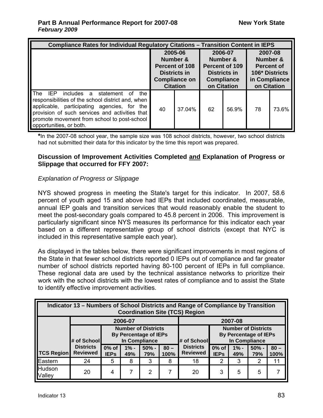| <b>Compliance Rates for Individual Regulatory Citations - Transition Content in IEPS</b>                                                                                                                                                                                        |                                                                                                         |        |                                                                                                  |       |                                                                                            |       |  |  |  |
|---------------------------------------------------------------------------------------------------------------------------------------------------------------------------------------------------------------------------------------------------------------------------------|---------------------------------------------------------------------------------------------------------|--------|--------------------------------------------------------------------------------------------------|-------|--------------------------------------------------------------------------------------------|-------|--|--|--|
|                                                                                                                                                                                                                                                                                 | 2005-06<br>Number &<br><b>Percent of 108</b><br>Districts in<br><b>Compliance on</b><br><b>Citation</b> |        | 2006-07<br>Number &<br>Percent of 109<br><b>Districts in</b><br><b>Compliance</b><br>on Citation |       | 2007-08<br>Number &<br><b>Percent of</b><br>106* Districts<br>in Compliance<br>on Citation |       |  |  |  |
| The<br>IEP<br>includes a<br>statement of<br>the<br>responsibilities of the school district and, when<br>applicable, participating agencies, for the<br>provision of such services and activities that<br>promote movement from school to post-school<br>opportunities, or both. | 40                                                                                                      | 37.04% | 62                                                                                               | 56.9% | 78                                                                                         | 73.6% |  |  |  |

**\***In the 2007-08 school year, the sample size was 108 school districts, however, two school districts had not submitted their data for this indicator by the time this report was prepared.

# **Discussion of Improvement Activities Completed and Explanation of Progress or Slippage that occurred for FFY 2007:**

# *Explanation of Progress or Slippage*

NYS showed progress in meeting the State's target for this indicator. In 2007, 58.6 percent of youth aged 15 and above had IEPs that included coordinated, measurable, annual IEP goals and transition services that would reasonably enable the student to meet the post-secondary goals compared to 45.8 percent in 2006. This improvement is particularly significant since NYS measures its performance for this indicator each year based on a different representative group of school districts (except that NYC is included in this representative sample each year).

As displayed in the tables below, there were significant improvements in most regions of the State in that fewer school districts reported 0 IEPs out of compliance and far greater number of school districts reported having 80-100 percent of IEPs in full compliance. These regional data are used by the technical assistance networks to prioritize their work with the school districts with the lowest rates of compliance and to assist the State to identify effective improvement activities.

|                    | Indicator 13 – Numbers of School Districts and Range of Compliance by Transition<br><b>Coordination Site (TCS) Region</b> |                      |               |                |                |                                     |                      |                                                            |                |                |  |  |
|--------------------|---------------------------------------------------------------------------------------------------------------------------|----------------------|---------------|----------------|----------------|-------------------------------------|----------------------|------------------------------------------------------------|----------------|----------------|--|--|
| 2006-07<br>2007-08 |                                                                                                                           |                      |               |                |                |                                     |                      |                                                            |                |                |  |  |
|                    | <b>Number of Districts</b><br><b>By Percentage of IEPs</b><br>In Compliance<br># of School                                |                      |               |                | # of School    |                                     | In Compliance        | <b>Number of Districts</b><br><b>By Percentage of IEPs</b> |                |                |  |  |
| <b>TCS Region</b>  | <b>Districts</b><br><b>Reviewed</b>                                                                                       | 0% of<br><b>IEPs</b> | $1% -$<br>49% | $50% -$<br>79% | $80 -$<br>100% | <b>Districts</b><br><b>Reviewed</b> | 0% of<br><b>IEPs</b> | $1% -$<br>49%                                              | $50% -$<br>79% | $80 -$<br>100% |  |  |
| Eastern            | 24                                                                                                                        | 5                    | 8             | 3              | 8              | 18                                  | 2                    | 3                                                          | 2              | 11             |  |  |
| Hudson<br>Valley   | 20                                                                                                                        | 4                    | 7             | $\overline{2}$ |                | 20                                  | 3                    | 5                                                          | 5              |                |  |  |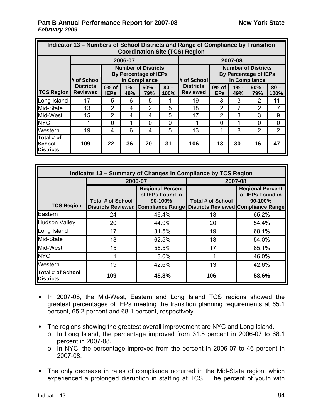|                                          | Indicator 13 – Numbers of School Districts and Range of Compliance by Transition<br><b>Coordination Site (TCS) Region</b> |                         |               |                |                |                                     |                         |                                                            |                |                |  |  |  |  |
|------------------------------------------|---------------------------------------------------------------------------------------------------------------------------|-------------------------|---------------|----------------|----------------|-------------------------------------|-------------------------|------------------------------------------------------------|----------------|----------------|--|--|--|--|
|                                          |                                                                                                                           |                         | 2006-07       |                |                |                                     |                         | 2007-08                                                    |                |                |  |  |  |  |
|                                          | <b>Number of Districts</b><br><b>By Percentage of IEPs</b><br>In Compliance<br># of Schooll                               |                         |               |                | l# of Schooll  |                                     | In Compliance           | <b>Number of Districts</b><br><b>By Percentage of IEPs</b> |                |                |  |  |  |  |
| <b>TCS Region</b>                        | <b>Districts</b><br><b>Reviewed</b>                                                                                       | $0\%$ of<br><b>IEPs</b> | $1% -$<br>49% | $50% -$<br>79% | $80 -$<br>100% | <b>Districts</b><br><b>Reviewed</b> | $0\%$ of<br><b>IEPs</b> | $1% -$<br>49%                                              | $50% -$<br>79% | $80 -$<br>100% |  |  |  |  |
| Long Island                              | 17                                                                                                                        | 5                       | 6             | 5              | 1              | 19                                  | 3                       | 3                                                          | 2              | 11             |  |  |  |  |
| Mid-State                                | 13                                                                                                                        | $\overline{2}$          | 4             | $\overline{2}$ | 5              | 18                                  | $\overline{2}$          | 7                                                          | 2              |                |  |  |  |  |
| Mid-West                                 | 15                                                                                                                        | $\overline{2}$          | 4             | 4              | 5              | 17                                  | 2                       | 3                                                          | 3              | 9              |  |  |  |  |
| <b>NYC</b>                               |                                                                                                                           | $\overline{0}$          |               | 0              | $\overline{0}$ |                                     | $\Omega$                | 1                                                          | $\Omega$       | 0              |  |  |  |  |
| Western                                  | 19                                                                                                                        | 4                       | 6             | 4              | 5              | 13                                  |                         | 8                                                          | $\overline{2}$ | $\overline{2}$ |  |  |  |  |
| Total # of<br>School<br><b>Districts</b> | 109                                                                                                                       | 22                      | 36            | 20             | 31             | 106                                 | 13                      | 30                                                         | 16             | 47             |  |  |  |  |

| Indicator 13 - Summary of Changes in Compliance by TCS Region |                   |                                                                                                                                     |                          |                                                          |  |  |  |  |  |  |
|---------------------------------------------------------------|-------------------|-------------------------------------------------------------------------------------------------------------------------------------|--------------------------|----------------------------------------------------------|--|--|--|--|--|--|
|                                                               | 2006-07           |                                                                                                                                     | 2007-08                  |                                                          |  |  |  |  |  |  |
| <b>TCS Region</b>                                             | Total # of School | <b>Regional Percent</b><br>of IEPs Found in<br>$90-100%$<br>Districts Reviewed Compliance Range Districts Reviewed Compliance Range | <b>Total # of School</b> | <b>Regional Percent</b><br>of IEPs Found in<br>$90-100%$ |  |  |  |  |  |  |
| Eastern                                                       | 24                | 46.4%                                                                                                                               | 18                       | 65.2%                                                    |  |  |  |  |  |  |
| <b>Hudson Valley</b>                                          | 20                | 44.9%                                                                                                                               | 20                       | 54.4%                                                    |  |  |  |  |  |  |
| Long Island                                                   | 17                | 31.5%                                                                                                                               | 19                       | 68.1%                                                    |  |  |  |  |  |  |
| Mid-State                                                     | 13                | 62.5%                                                                                                                               | 18                       | 54.0%                                                    |  |  |  |  |  |  |
| Mid-West                                                      | 15                | 56.5%                                                                                                                               | 17                       | 65.1%                                                    |  |  |  |  |  |  |
| <b>NYC</b>                                                    |                   | 3.0%                                                                                                                                |                          | 46.0%                                                    |  |  |  |  |  |  |
| Western                                                       | 19                | 42.6%                                                                                                                               | 13                       | 42.6%                                                    |  |  |  |  |  |  |
| Total # of School<br><b>Districts</b>                         | 109               | 45.8%                                                                                                                               | 106                      | 58.6%                                                    |  |  |  |  |  |  |

- In 2007-08, the Mid-West, Eastern and Long Island TCS regions showed the greatest percentages of IEPs meeting the transition planning requirements at 65.1 percent, 65.2 percent and 68.1 percent, respectively.
- The regions showing the greatest overall improvement are NYC and Long Island.
	- o In Long Island, the percentage improved from 31.5 percent in 2006-07 to 68.1 percent in 2007-08.
	- o In NYC, the percentage improved from the percent in 2006-07 to 46 percent in 2007-08.
- The only decrease in rates of compliance occurred in the Mid-State region, which experienced a prolonged disruption in staffing at TCS. The percent of youth with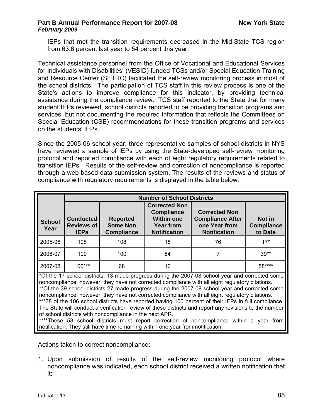IEPs that met the transition requirements decreased in the Mid-State TCS region from 63.6 percent last year to 54 percent this year.

Technical assistance personnel from the Office of Vocational and Educational Services for Individuals with Disabilities' (VESID) funded TCSs and/or Special Education Training and Resource Center (SETRC) facilitated the self-review monitoring process in most of the school districts. The participation of TCS staff in this review process is one of the State's actions to improve compliance for this indicator, by providing technical assistance during the compliance review. TCS staff reported to the State that for many student IEPs reviewed, school districts reported to be providing transition programs and services, but not documenting the required information that reflects the Committees on Special Education (CSE) recommendations for these transition programs and services on the students' IEPs.

Since the 2005-06 school year, three representative samples of school districts in NYS have reviewed a sample of IEPs by using the State-developed self-review monitoring protocol and reported compliance with each of eight regulatory requirements related to transition IEPs. Results of the self-review and correction of noncompliance is reported through a web-based data submission system. The results of the reviews and status of compliance with regulatory requirements is displayed in the table below.

|                       |                                                      |                                                         | <b>Number of School Districts</b>                                                                  |                                                                                                                                                                                                                                                                                                                                                                                                                                                                                                                                                                                                                                                                                                                        |                                        |  |  |  |
|-----------------------|------------------------------------------------------|---------------------------------------------------------|----------------------------------------------------------------------------------------------------|------------------------------------------------------------------------------------------------------------------------------------------------------------------------------------------------------------------------------------------------------------------------------------------------------------------------------------------------------------------------------------------------------------------------------------------------------------------------------------------------------------------------------------------------------------------------------------------------------------------------------------------------------------------------------------------------------------------------|----------------------------------------|--|--|--|
| <b>School</b><br>Year | <b>Conducted</b><br><b>Reviews of</b><br><b>IEPs</b> | <b>Reported</b><br><b>Some Non</b><br><b>Compliance</b> | <b>Corrected Non</b><br><b>Compliance</b><br><b>Within one</b><br>Year from<br><b>Notification</b> | <b>Corrected Non</b><br><b>Compliance After</b><br>one Year from<br><b>Notification</b>                                                                                                                                                                                                                                                                                                                                                                                                                                                                                                                                                                                                                                | Not in<br><b>Compliance</b><br>to Date |  |  |  |
| 2005-06               | 108                                                  | 108                                                     | 15                                                                                                 | 76                                                                                                                                                                                                                                                                                                                                                                                                                                                                                                                                                                                                                                                                                                                     | $17*$                                  |  |  |  |
| 2006-07               | 109                                                  | 100<br>54                                               |                                                                                                    | 7                                                                                                                                                                                                                                                                                                                                                                                                                                                                                                                                                                                                                                                                                                                      | $39**$                                 |  |  |  |
| 2007-08               | 106***                                               | 68                                                      | 10                                                                                                 | 58****                                                                                                                                                                                                                                                                                                                                                                                                                                                                                                                                                                                                                                                                                                                 |                                        |  |  |  |
|                       |                                                      | of school districts with noncompliance in the next APR. | notification. They still have time remaining within one year from notification.                    | *Of the 17 school districts, 13 made progress during the 2007-08 school year and corrected some<br>noncompliance; however, they have not corrected compliance with all eight regulatory citations.<br>**Of the 39 school districts 27 made progress during the 2007-08 school year and corrected some<br>noncompliance; however, they have not corrected compliance with all eight regulatory citations.<br>***38 of the 106 school districts have reported having 100 percent of their IEPs in full compliance.<br>The State will conduct a verification review of these districts and report any revisions to the number<br>****These 58 school districts must report correction of noncompliance within a year from |                                        |  |  |  |

Actions taken to correct noncompliance:

1. Upon submission of results of the self-review monitoring protocol where noncompliance was indicated, each school district received a written notification that it: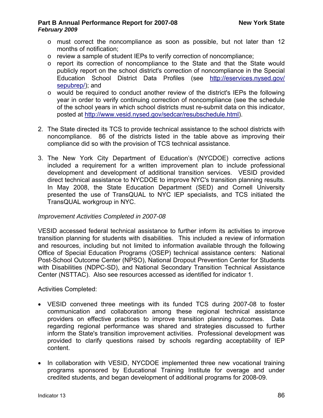- o must correct the noncompliance as soon as possible, but not later than 12 months of notification;
- o review a sample of student IEPs to verify correction of noncompliance;
- o report its correction of noncompliance to the State and that the State would publicly report on the school district's correction of noncompliance in the Special Education School District Data Profiles (see [http://eservices.nysed.gov/](http://eservices.nysed.gov/%0Bsepubrep/) [sepubrep/](http://eservices.nysed.gov/%0Bsepubrep/)); and
- o would be required to conduct another review of the district's IEPs the following year in order to verify continuing correction of noncompliance (see the schedule of the school years in which school districts must re-submit data on this indicator, posted at [http://www.vesid.nysed.gov/sedcar/resubschedule.html\)](http://www.vesid.nysed.gov/sedcar/resubschedule.html).
- 2. The State directed its TCS to provide technical assistance to the school districts with noncompliance. 86 of the districts listed in the table above as improving their compliance did so with the provision of TCS technical assistance.
- 3. The New York City Department of Education's (NYCDOE) corrective actions included a requirement for a written improvement plan to include professional development and development of additional transition services. VESID provided direct technical assistance to NYCDOE to improve NYC's transition planning results. In May 2008, the State Education Department (SED) and Cornell University presented the use of TransQUAL to NYC IEP specialists, and TCS initiated the TransQUAL workgroup in NYC.

# *Improvement Activities Completed in 2007-08*

VESID accessed federal technical assistance to further inform its activities to improve transition planning for students with disabilities. This included a review of information and resources, including but not limited to information available through the following Office of Special Education Programs (OSEP) technical assistance centers: National Post-School Outcome Center (NPSO), National Dropout Prevention Center for Students with Disabilities (NDPC-SD), and National Secondary Transition Technical Assistance Center (NSTTAC). Also see resources accessed as identified for indicator 1.

Activities Completed:

- VESID convened three meetings with its funded TCS during 2007-08 to foster communication and collaboration among these regional technical assistance providers on effective practices to improve transition planning outcomes. Data regarding regional performance was shared and strategies discussed to further inform the State's transition improvement activities. Professional development was provided to clarify questions raised by schools regarding acceptability of IEP content.
- In collaboration with VESID, NYCDOE implemented three new vocational training programs sponsored by Educational Training Institute for overage and under credited students, and began development of additional programs for 2008-09.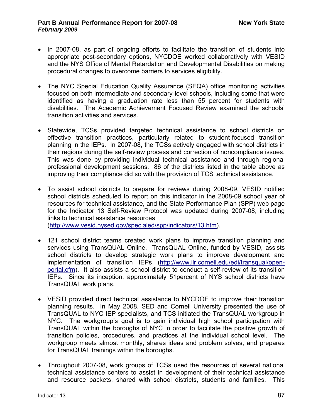- In 2007-08, as part of ongoing efforts to facilitate the transition of students into appropriate post-secondary options, NYCDOE worked collaboratively with VESID and the NYS Office of Mental Retardation and Developmental Disabilities on making procedural changes to overcome barriers to services eligibility.
- The NYC Special Education Quality Assurance (SEQA) office monitoring activities focused on both intermediate and secondary-level schools, including some that were identified as having a graduation rate less than 55 percent for students with disabilities. The Academic Achievement Focused Review examined the schools' transition activities and services.
- Statewide, TCSs provided targeted technical assistance to school districts on effective transition practices, particularly related to student-focused transition planning in the IEPs. In 2007-08, the TCSs actively engaged with school districts in their regions during the self-review process and correction of noncompliance issues. This was done by providing individual technical assistance and through regional professional development sessions. 86 of the districts listed in the table above as improving their compliance did so with the provision of TCS technical assistance.
- To assist school districts to prepare for reviews during 2008-09, VESID notified school districts scheduled to report on this indicator in the 2008-09 school year of resources for technical assistance, and the State Performance Plan (SPP) web page for the Indicator 13 Self-Review Protocol was updated during 2007-08, including links to technical assistance resources
	- ([http://www.vesid.nysed.gov/specialed/spp/indicators/13.htm\)](http://www.vesid.nysed.gov/specialed/spp/indicators/13.htm).
- 121 school district teams created work plans to improve transition planning and services using TransQUAL Online. TransQUAL Online, funded by VESID, assists school districts to develop strategic work plans to improve development and implementation of transition IEPs [\(http://www.ilr.cornell.edu/edi/transqual/open](http://www.ilr.cornell.edu/edi/transqual/open-portal.cfm)[portal.cfm\)](http://www.ilr.cornell.edu/edi/transqual/open-portal.cfm). It also assists a school district to conduct a self-review of its transition IEPs. Since its inception, approximately 51percent of NYS school districts have TransQUAL work plans.
- VESID provided direct technical assistance to NYCDOE to improve their transition planning results. In May 2008, SED and Cornell University presented the use of TransQUAL to NYC IEP specialists, and TCS initiated the TransQUAL workgroup in NYC. The workgroup's goal is to gain individual high school participation with TransQUAL within the boroughs of NYC in order to facilitate the positive growth of transition policies, procedures, and practices at the individual school level. The workgroup meets almost monthly, shares ideas and problem solves, and prepares for TransQUAL trainings within the boroughs.
- Throughout 2007-08, work groups of TCSs used the resources of several national technical assistance centers to assist in development of their technical assistance and resource packets, shared with school districts, students and families. This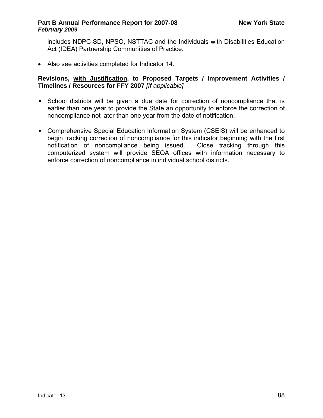includes NDPC-SD, NPSO, NSTTAC and the Individuals with Disabilities Education Act (IDEA) Partnership Communities of Practice.

• Also see activities completed for Indicator 14.

# **Revisions, with Justification, to Proposed Targets / Improvement Activities / Timelines / Resources for FFY 2007** *[If applicable]*

- School districts will be given a due date for correction of noncompliance that is earlier than one year to provide the State an opportunity to enforce the correction of noncompliance not later than one year from the date of notification.
- Comprehensive Special Education Information System (CSEIS) will be enhanced to begin tracking correction of noncompliance for this indicator beginning with the first notification of noncompliance being issued. Close tracking through this computerized system will provide SEQA offices with information necessary to enforce correction of noncompliance in individual school districts.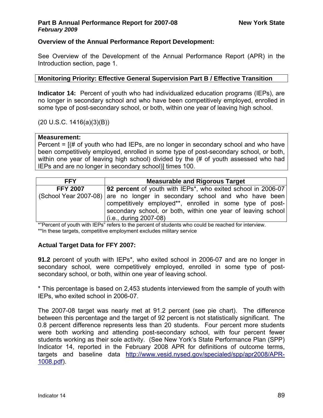# **Overview of the Annual Performance Report Development:**

See Overview of the Development of the Annual Performance Report (APR) in the Introduction section, page 1.

# **Monitoring Priority: Effective General Supervision Part B / Effective Transition**

**Indicator 14:** Percent of youth who had individualized education programs (IEPs), are no longer in secondary school and who have been competitively employed, enrolled in some type of post-secondary school, or both, within one year of leaving high school.

(20 U.S.C. 1416(a)(3)(B))

# **Measurement:**

Percent = [(# of youth who had IEPs, are no longer in secondary school and who have been competitively employed, enrolled in some type of post-secondary school, or both, within one year of leaving high school) divided by the (# of youth assessed who had IEPs and are no longer in secondary school)] times 100.

| <b>92 percent</b> of youth with IEPs <sup>*</sup> , who exited school in 2006-07<br><b>FFY 2007</b>                                                                                                                               |  |
|-----------------------------------------------------------------------------------------------------------------------------------------------------------------------------------------------------------------------------------|--|
|                                                                                                                                                                                                                                   |  |
| (School Year 2007-08) are no longer in secondary school and who have been<br>competitively employed**, enrolled in some type of post-<br>secondary school, or both, within one year of leaving school<br>$(i.e., during 2007-08)$ |  |

\*"Percent of youth with IEPs" refers to the percent of students who could be reached for interview. \*\*In these targets, competitive employment excludes military service

# **Actual Target Data for FFY 2007:**

**91.2** percent of youth with IEPs\*, who exited school in 2006-07 and are no longer in secondary school, were competitively employed, enrolled in some type of postsecondary school, or both, within one year of leaving school.

\* This percentage is based on 2,453 students interviewed from the sample of youth with IEPs, who exited school in 2006-07.

The 2007-08 target was nearly met at 91.2 percent (see pie chart). The difference between this percentage and the target of 92 percent is not statistically significant. The 0.8 percent difference represents less than 20 students. Four percent more students were both working and attending post-secondary school, with four percent fewer students working as their sole activity. (See New York's State Performance Plan (SPP) Indicator 14, reported in the February 2008 APR for definitions of outcome terms, targets and baseline data [http://www.vesid.nysed.gov/specialed/spp/apr2008/APR-](http://www.vesid.nysed.gov/specialed/spp/apr2008/APR-1008.pdf)[1008.pdf\)](http://www.vesid.nysed.gov/specialed/spp/apr2008/APR-1008.pdf).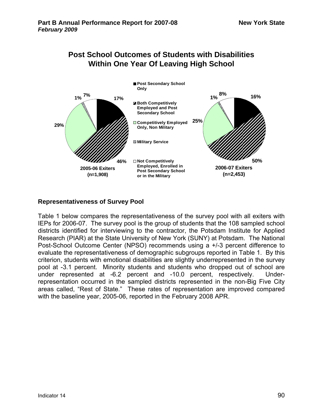

# **Post School Outcomes of Students with Disabilities**

# **Representativeness of Survey Pool**

Table 1 below compares the representativeness of the survey pool with all exiters with IEPs for 2006-07. The survey pool is the group of students that the 108 sampled school districts identified for interviewing to the contractor, the Potsdam Institute for Applied Research (PIAR) at the State University of New York (SUNY) at Potsdam. The National Post-School Outcome Center (NPSO) recommends using a +/-3 percent difference to evaluate the representativeness of demographic subgroups reported in Table 1. By this criterion, students with emotional disabilities are slightly underrepresented in the survey pool at -3.1 percent. Minority students and students who dropped out of school are under represented at -6.2 percent and -10.0 percent, respectively. Underrepresentation occurred in the sampled districts represented in the non-Big Five City areas called, "Rest of State." These rates of representation are improved compared with the baseline year, 2005-06, reported in the February 2008 APR.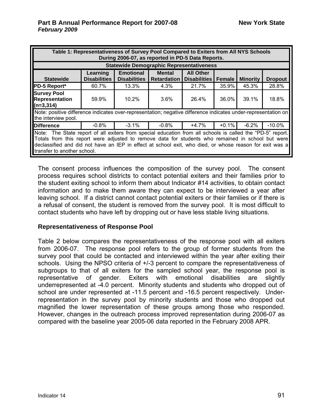| Table 1: Representativeness of Survey Pool Compared to Exiters from All NYS Schools<br>During 2006-07, as reported in PD-5 Data Reports.                                                                                                                                                                                                                  |                                 |                                                 |                                     |                                         |          |                 |                |  |  |
|-----------------------------------------------------------------------------------------------------------------------------------------------------------------------------------------------------------------------------------------------------------------------------------------------------------------------------------------------------------|---------------------------------|-------------------------------------------------|-------------------------------------|-----------------------------------------|----------|-----------------|----------------|--|--|
|                                                                                                                                                                                                                                                                                                                                                           |                                 | <b>Statewide Demographic Representativeness</b> |                                     |                                         |          |                 |                |  |  |
| <b>Statewide</b>                                                                                                                                                                                                                                                                                                                                          | Learning<br><b>Disabilities</b> | <b>Emotional</b><br><b>Disabilities</b>         | <b>Mental</b><br><b>Retardation</b> | <b>All Other</b><br><b>Disabilities</b> | Female   | <b>Minority</b> | <b>Dropout</b> |  |  |
| PD-5 Report*                                                                                                                                                                                                                                                                                                                                              | 60.7%                           | 13.3%                                           | 4.3%                                | 21.7%                                   | 35.9%    | 45.3%           | 28.8%          |  |  |
| <b>Survey Pool</b><br><b>Representation</b><br>$(n=3,314)$                                                                                                                                                                                                                                                                                                | 59.9%                           | $10.2\%$                                        | $3.6\%$                             | 26.4%                                   | 36.0%    | 39.1%           | 18.8%          |  |  |
| Note: positive difference indicates over-representation; negative difference indicates under-representation on<br>the interview pool.                                                                                                                                                                                                                     |                                 |                                                 |                                     |                                         |          |                 |                |  |  |
| <b>Difference</b>                                                                                                                                                                                                                                                                                                                                         | $-0.8\%$                        | $-3.1\%$                                        | -0.8%                               | +4.7%                                   | $+0.1\%$ | -6.2%           | $-10.0\%$      |  |  |
| Note: The State report of all exiters from special education from all schools is called the "PD-5" report.<br>Totals from this report were adjusted to remove data for students who remained in school but were<br>declassified and did not have an IEP in effect at school exit, who died, or whose reason for exit was a<br>transfer to another school. |                                 |                                                 |                                     |                                         |          |                 |                |  |  |

The consent process influences the composition of the survey pool. The consent process requires school districts to contact potential exiters and their families prior to the student exiting school to inform them about Indicator #14 activities, to obtain contact information and to make them aware they can expect to be interviewed a year after leaving school. If a district cannot contact potential exiters or their families or if there is a refusal of consent, the student is removed from the survey pool. It is most difficult to contact students who have left by dropping out or have less stable living situations.

#### **Representativeness of Response Pool**

Table 2 below compares the representativeness of the response pool with all exiters from 2006-07. The response pool refers to the group of former students from the survey pool that could be contacted and interviewed within the year after exiting their schools. Using the NPSO criteria of +/-3 percent to compare the representativeness of subgroups to that of all exiters for the sampled school year, the response pool is representative of gender. Exiters with emotional disabilities are slightly underrepresented at -4.0 percent. Minority students and students who dropped out of school are under represented at -11.5 percent and -16.5 percent respectively. Underrepresentation in the survey pool by minority students and those who dropped out magnified the lower representation of these groups among those who responded. However, changes in the outreach process improved representation during 2006-07 as compared with the baseline year 2005-06 data reported in the February 2008 APR.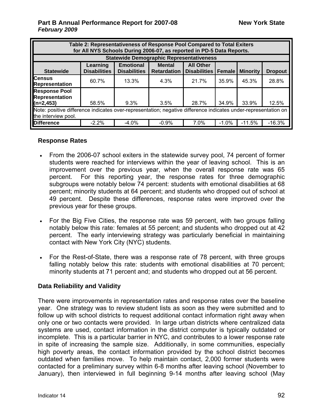| Table 2: Representativeness of Response Pool Compared to Total Exiters<br>for All NYS Schools During 2006-07, as reported in PD-5 Data Reports. |                                                 |                                         |                                     |                                         |               |                 |                |  |  |  |
|-------------------------------------------------------------------------------------------------------------------------------------------------|-------------------------------------------------|-----------------------------------------|-------------------------------------|-----------------------------------------|---------------|-----------------|----------------|--|--|--|
|                                                                                                                                                 | <b>Statewide Demographic Representativeness</b> |                                         |                                     |                                         |               |                 |                |  |  |  |
| <b>Statewide</b>                                                                                                                                | Learning<br><b>Disabilities</b>                 | <b>Emotional</b><br><b>Disabilities</b> | <b>Mental</b><br><b>Retardation</b> | <b>All Other</b><br><b>Disabilities</b> | <b>Female</b> | <b>Minority</b> | <b>Dropout</b> |  |  |  |
| <b>Census</b><br><b>Representation</b>                                                                                                          | 60.7%                                           | 13.3%                                   | 4.3%                                | 21.7%                                   | 35.9%         | 45.3%           | 28.8%          |  |  |  |
| <b>Response Pool</b><br><b>Representation</b>                                                                                                   |                                                 |                                         |                                     |                                         |               |                 |                |  |  |  |
| (n=2,453)                                                                                                                                       | 58.5%                                           | 9.3%                                    | 3.5%                                | 28.7%                                   | 34.9%         | 33.9%           | 12.5%          |  |  |  |
| Note: positive difference indicates over-representation; negative difference indicates under-representation on                                  |                                                 |                                         |                                     |                                         |               |                 |                |  |  |  |
| the interview pool.                                                                                                                             |                                                 |                                         |                                     |                                         |               |                 |                |  |  |  |
| <b>Difference</b>                                                                                                                               | $-2.2\%$                                        | $-4.0\%$                                | $-0.9%$                             | 7.0%                                    | $-1.0%$       | $-11.5%$        | $-16.3%$       |  |  |  |

#### **Response Rates**

- From the 2006-07 school exiters in the statewide survey pool, 74 percent of former students were reached for interviews within the year of leaving school. This is an improvement over the previous year, when the overall response rate was 65 percent. For this reporting year, the response rates for three demographic subgroups were notably below 74 percent: students with emotional disabilities at 68 percent; minority students at 64 percent; and students who dropped out of school at 49 percent. Despite these differences, response rates were improved over the previous year for these groups.
- For the Big Five Cities, the response rate was 59 percent, with two groups falling notably below this rate: females at 55 percent; and students who dropped out at 42 percent. The early interviewing strategy was particularly beneficial in maintaining contact with New York City (NYC) students.
- For the Rest-of-State, there was a response rate of 78 percent, with three groups falling notably below this rate: students with emotional disabilities at 70 percent; minority students at 71 percent and; and students who dropped out at 56 percent.

# **Data Reliability and Validity**

There were improvements in representation rates and response rates over the baseline year. One strategy was to review student lists as soon as they were submitted and to follow up with school districts to request additional contact information right away when only one or two contacts were provided. In large urban districts where centralized data systems are used, contact information in the district computer is typically outdated or incomplete. This is a particular barrier in NYC, and contributes to a lower response rate in spite of increasing the sample size. Additionally, in some communities, especially high poverty areas, the contact information provided by the school district becomes outdated when families move. To help maintain contact, 2,000 former students were contacted for a preliminary survey within 6-8 months after leaving school (November to January), then interviewed in full beginning 9-14 months after leaving school (May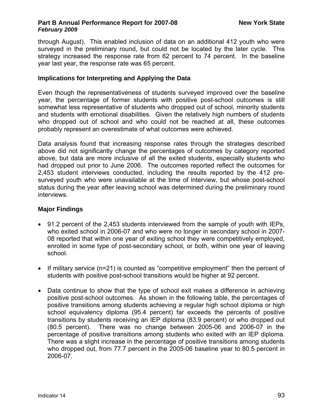through August). This enabled inclusion of data on an additional 412 youth who were surveyed in the preliminary round, but could not be located by the later cycle. This strategy increased the response rate from 62 percent to 74 percent. In the baseline year last year, the response rate was 65 percent.

# **Implications for Interpreting and Applying the Data**

Even though the representativeness of students surveyed improved over the baseline year, the percentage of former students with positive post-school outcomes is still somewhat less representative of students who dropped out of school, minority students and students with emotional disabilities. Given the relatively high numbers of students who dropped out of school and who could not be reached at all, these outcomes probably represent an overestimate of what outcomes were achieved.

Data analysis found that increasing response rates through the strategies described above did not significantly change the percentages of outcomes by category reported above, but data are more inclusive of all the exited students, especially students who had dropped out prior to June 2006. The outcomes reported reflect the outcomes for 2,453 student interviews conducted, including the results reported by the 412 presurveyed youth who were unavailable at the time of interview, but whose post-school status during the year after leaving school was determined during the preliminary round interviews.

# **Major Findings**

- 91.2 percent of the 2,453 students interviewed from the sample of youth with IEPs, who exited school in 2006-07 and who were no longer in secondary school in 2007- 08 reported that within one year of exiting school they were competitively employed, enrolled in some type of post-secondary school, or both, within one year of leaving school.
- If military service (n=21) is counted as "competitive employment" then the percent of students with positive post-school transitions would be higher at 92 percent.
- Data continue to show that the type of school exit makes a difference in achieving positive post-school outcomes. As shown in the following table, the percentages of positive transitions among students achieving a regular high school diploma or high school equivalency diploma (95.4 percent) far exceeds the percents of positive transitions by students receiving an IEP diploma (83.9 percent) or who dropped out (80.5 percent). There was no change between 2005-06 and 2006-07 in the percentage of positive transitions among students who exited with an IEP diploma. There was a slight increase in the percentage of positive transitions among students who dropped out, from 77.7 percent in the 2005-06 baseline year to 80.5 percent in 2006-07.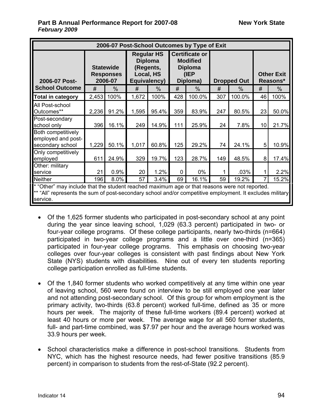| 2006-07 Post-School Outcomes by Type of Exit                                                                                                                                                                          |       |                                                 |       |                                                                               |             |                                                                                |     |                    |    |                               |
|-----------------------------------------------------------------------------------------------------------------------------------------------------------------------------------------------------------------------|-------|-------------------------------------------------|-------|-------------------------------------------------------------------------------|-------------|--------------------------------------------------------------------------------|-----|--------------------|----|-------------------------------|
| 2006-07 Post-                                                                                                                                                                                                         |       | <b>Statewide</b><br><b>Responses</b><br>2006-07 |       | <b>Regular HS</b><br><b>Diploma</b><br>(Regents,<br>Local, HS<br>Equivalency) |             | <b>Certificate or</b><br><b>Modified</b><br><b>Diploma</b><br>(IEP<br>Diploma) |     | <b>Dropped Out</b> |    | <b>Other Exit</b><br>Reasons* |
| <b>School Outcome</b>                                                                                                                                                                                                 | #     | $\%$                                            | #     | $\frac{0}{0}$                                                                 | #           | $\%$                                                                           | #   | $\%$               | #  | $\frac{0}{0}$                 |
| <b>Total in category</b>                                                                                                                                                                                              | 2,453 | 100%                                            | 1,672 | 100%                                                                          | 428         | 100.0%                                                                         | 307 | 100.0%             | 46 | 100%                          |
| All Post-school<br>Outcomes**                                                                                                                                                                                         | 2,236 | 91.2%                                           | 1,595 | 95.4%                                                                         | 359         | 83.9%                                                                          | 247 | 80.5%              | 23 | 50.0%                         |
| Post-secondary<br>school only                                                                                                                                                                                         | 396   | 16.1%                                           | 249   | 14.9%                                                                         | 111         | 25.9%                                                                          | 24  | 7.8%               | 10 | 21.7%                         |
| Both competitively<br>employed and post-<br>secondary school                                                                                                                                                          | 1,229 | 50.1%                                           | 1,017 | 60.8%                                                                         | 125         | 29.2%                                                                          | 74  | 24.1%              | 5  | 10.9%                         |
| Only competitively<br>employed                                                                                                                                                                                        | 611   | 24.9%                                           | 329   | 19.7%                                                                         | 123         | 28.7%                                                                          | 149 | 48.5%              | 8  | 17.4%                         |
| Other: military<br>service                                                                                                                                                                                            | 21    | 0.9%                                            | 20    | 1.2%                                                                          | $\mathbf 0$ | $0\%$                                                                          | 1   | .03%               | 1  | 2.2%                          |
| <b>Neither</b>                                                                                                                                                                                                        | 196   | 8.0%                                            | 57    | 3.4%                                                                          | 69          | 16.1%                                                                          | 59  | 19.2%              | 7  | 15.2%                         |
| * "Other" may include that the student reached maximum age or that reasons were not reported.<br>** "All" represents the sum of post-secondary school and/or competitive employment. It excludes military<br>service. |       |                                                 |       |                                                                               |             |                                                                                |     |                    |    |                               |

- Of the 1,625 former students who participated in post-secondary school at any point during the year since leaving school, 1,029 (63.3 percent) participated in two- or four-year college programs. Of these college participants, nearly two-thirds (n=664) participated in two-year college programs and a little over one-third (n=365) participated in four-year college programs. This emphasis on choosing two-year colleges over four-year colleges is consistent with past findings about New York State (NYS) students with disabilities. Nine out of every ten students reporting college participation enrolled as full-time students.
- Of the 1,840 former students who worked competitively at any time within one year of leaving school, 560 were found on interview to be still employed one year later and not attending post-secondary school. Of this group for whom employment is the primary activity, two-thirds (63.8 percent) worked full-time, defined as 35 or more hours per week. The majority of these full-time workers (89.4 percent) worked at least 40 hours or more per week. The average wage for all 560 former students, full- and part-time combined, was \$7.97 per hour and the average hours worked was 33.9 hours per week.
- School characteristics make a difference in post-school transitions. Students from NYC, which has the highest resource needs, had fewer positive transitions (85.9 percent) in comparison to students from the rest-of-State (92.2 percent).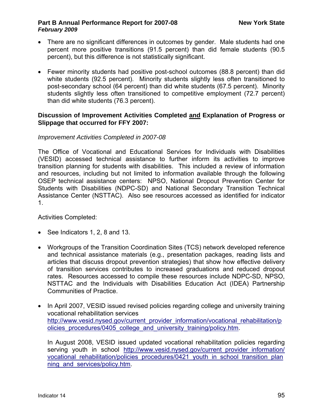- There are no significant differences in outcomes by gender. Male students had one percent more positive transitions (91.5 percent) than did female students (90.5 percent), but this difference is not statistically significant.
- Fewer minority students had positive post-school outcomes (88.8 percent) than did white students (92.5 percent). Minority students slightly less often transitioned to post-secondary school (64 percent) than did white students (67.5 percent). Minority students slightly less often transitioned to competitive employment (72.7 percent) than did white students (76.3 percent).

## **Discussion of Improvement Activities Completed and Explanation of Progress or Slippage that occurred for FFY 2007:**

# *Improvement Activities Completed in 2007-08*

The Office of Vocational and Educational Services for Individuals with Disabilities (VESID) accessed technical assistance to further inform its activities to improve transition planning for students with disabilities. This included a review of information and resources, including but not limited to information available through the following OSEP technical assistance centers: NPSO, National Dropout Prevention Center for Students with Disabilities (NDPC-SD) and National Secondary Transition Technical Assistance Center (NSTTAC). Also see resources accessed as identified for indicator 1.

Activities Completed:

- See Indicators 1, 2, 8 and 13.
- Workgroups of the Transition Coordination Sites (TCS) network developed reference and technical assistance materials (e.g., presentation packages, reading lists and articles that discuss dropout prevention strategies) that show how effective delivery of transition services contributes to increased graduations and reduced dropout rates. Resources accessed to compile these resources include NDPC-SD, NPSO, NSTTAC and the Individuals with Disabilities Education Act (IDEA) Partnership Communities of Practice.
- In April 2007, VESID issued revised policies regarding college and university training vocational rehabilitation services [http://www.vesid.nysed.gov/current\\_provider\\_information/vocational\\_rehabilitation/p](http://www.vesid.nysed.gov/current_provider_information/vocational_rehabilitation/policies_procedures/0405_college_and_university_training/policy.htm) olicies procedures/0405 college and university training/policy.htm.

In August 2008, VESID issued updated vocational rehabilitation policies regarding serving youth in school http://www.vesid.nysed.gov/current provider information/ vocational rehabilitation/policies procedures/0421 youth in school transition plan [ning\\_and\\_services/policy.htm](http://www.vesid.nysed.gov/current_provider_information/vocational_rehabilitation/policies_procedures/0421_youth_in_school_transition_planning_and_services/policy.htm).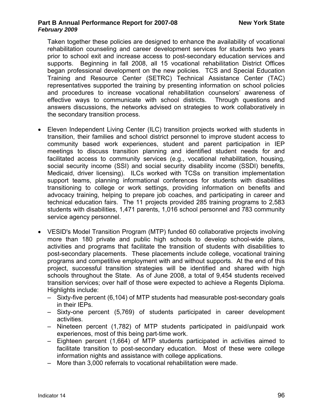Taken together these policies are designed to enhance the availability of vocational rehabilitation counseling and career development services for students two years prior to school exit and increase access to post-secondary education services and supports. Beginning in fall 2008, all 15 vocational rehabilitation District Offices began professional development on the new policies. TCS and Special Education Training and Resource Center (SETRC) Technical Assistance Center (TAC) representatives supported the training by presenting information on school policies and procedures to increase vocational rehabilitation counselors' awareness of effective ways to communicate with school districts. Through questions and answers discussions, the networks advised on strategies to work collaboratively in the secondary transition process.

- Eleven Independent Living Center (ILC) transition projects worked with students in transition, their families and school district personnel to improve student access to community based work experiences, student and parent participation in IEP meetings to discuss transition planning and identified student needs for and facilitated access to community services (e.g., vocational rehabilitation, housing, social security income (SSI) and social security disability income (SSDI) benefits, Medicaid, driver licensing). ILCs worked with TCSs on transition implementation support teams, planning informational conferences for students with disabilities transitioning to college or work settings, providing information on benefits and advocacy training, helping to prepare job coaches, and participating in career and technical education fairs. The 11 projects provided 285 training programs to 2,583 students with disabilities, 1,471 parents, 1,016 school personnel and 783 community service agency personnel.
- VESID's Model Transition Program (MTP) funded 60 collaborative projects involving more than 180 private and public high schools to develop school-wide plans, activities and programs that facilitate the transition of students with disabilities to post-secondary placements. These placements include college, vocational training programs and competitive employment with and without supports. At the end of this project, successful transition strategies will be identified and shared with high schools throughout the State. As of June 2008, a total of 9,454 students received transition services; over half of those were expected to achieve a Regents Diploma. Highlights include:
	- Sixty-five percent (6,104) of MTP students had measurable post-secondary goals in their IEPs.
	- Sixty-one percent (5,769) of students participated in career development activities.
	- Nineteen percent (1,782) of MTP students participated in paid/unpaid work experiences, most of this being part-time work.
	- Eighteen percent (1,664) of MTP students participated in activities aimed to facilitate transition to post-secondary education. Most of these were college information nights and assistance with college applications.
	- More than 3,000 referrals to vocational rehabilitation were made.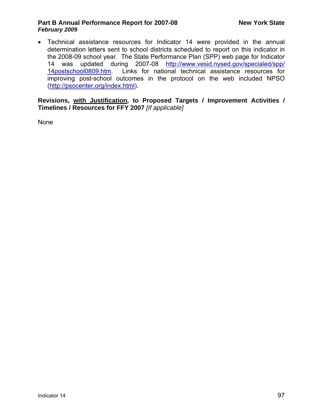• Technical assistance resources for Indicator 14 were provided in the annual determination letters sent to school districts scheduled to report on this indicator in the 2008-09 school year. The State Performance Plan (SPP) web page for Indicator 14 was updated during 2007-08 [http://www.vesid.nysed.gov/specialed/spp/](http://www.vesid.nysed.gov/specialed/spp/14postschool0809.htm) [14postschool0809.htm.](http://www.vesid.nysed.gov/specialed/spp/14postschool0809.htm) Links for national technical assistance resources for improving post-school outcomes in the protocol on the web included NPSO (<http://psocenter.org/index.html>).

**Revisions, with Justification, to Proposed Targets / Improvement Activities / Timelines / Resources for FFY 2007** *[If applicable]*

None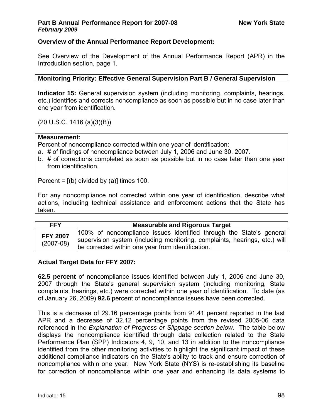# **Overview of the Annual Performance Report Development:**

See Overview of the Development of the Annual Performance Report (APR) in the Introduction section, page 1.

**Monitoring Priority: Effective General Supervision Part B / General Supervision** 

**Indicator 15:** General supervision system (including monitoring, complaints, hearings, etc.) identifies and corrects noncompliance as soon as possible but in no case later than one year from identification.

(20 U.S.C. 1416 (a)(3)(B))

#### **Measurement:**

Percent of noncompliance corrected within one year of identification:

- a. # of findings of noncompliance between July 1, 2006 and June 30, 2007.
- b. # of corrections completed as soon as possible but in no case later than one year from identification.

Percent =  $[(b)$  divided by  $(a)]$  times 100.

For any noncompliance not corrected within one year of identification, describe what actions, including technical assistance and enforcement actions that the State has taken.

| <b>FFY</b>                     | <b>Measurable and Rigorous Target</b>                                                                                                                                                                    |
|--------------------------------|----------------------------------------------------------------------------------------------------------------------------------------------------------------------------------------------------------|
| <b>FFY 2007</b><br>$(2007-08)$ | 100% of noncompliance issues identified through the State's general<br>  supervision system (including monitoring, complaints, hearings, etc.) will<br>be corrected within one year from identification. |

# **Actual Target Data for FFY 2007:**

**62.5 percent** of noncompliance issues identified between July 1, 2006 and June 30, 2007 through the State's general supervision system (including monitoring, State complaints, hearings, etc.) were corrected within one year of identification. To date (as of January 26, 2009) **92.6** percent of noncompliance issues have been corrected.

This is a decrease of 29.16 percentage points from 91.41 percent reported in the last APR and a decrease of 32.12 percentage points from the revised 2005-06 data referenced in the *Explanation of Progress or Slippage section below.* The table below displays the noncompliance identified through data collection related to the State Performance Plan (SPP) Indicators 4, 9, 10, and 13 in addition to the noncompliance identified from the other monitoring activities to highlight the significant impact of these additional compliance indicators on the State's ability to track and ensure correction of noncompliance within one year. New York State (NYS) is re-establishing its baseline for correction of noncompliance within one year and enhancing its data systems to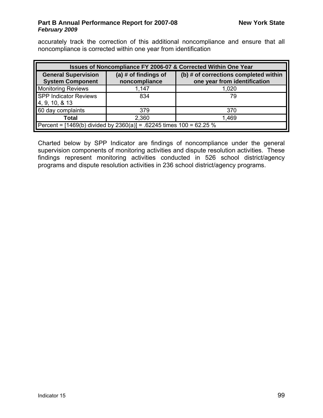accurately track the correction of this additional noncompliance and ensure that all noncompliance is corrected within one year from identification

| Issues of Noncompliance FY 2006-07 & Corrected Within One Year                                                                                                            |       |       |  |  |  |  |  |  |
|---------------------------------------------------------------------------------------------------------------------------------------------------------------------------|-------|-------|--|--|--|--|--|--|
| <b>General Supervision</b><br>(a) $#$ of findings of<br>(b) # of corrections completed within<br>noncompliance<br>one year from identification<br><b>System Component</b> |       |       |  |  |  |  |  |  |
| <b>Monitoring Reviews</b>                                                                                                                                                 | 1,147 | 1,020 |  |  |  |  |  |  |
| <b>SPP Indicator Reviews</b><br>4, 9, 10, & 13                                                                                                                            | 834   | 79    |  |  |  |  |  |  |
| 60 day complaints                                                                                                                                                         | 379   | 370   |  |  |  |  |  |  |
| <b>Total</b>                                                                                                                                                              | 2,360 | 1,469 |  |  |  |  |  |  |
| Percent = [1469(b) divided by 2360(a)] = .62245 times 100 = 62.25 %                                                                                                       |       |       |  |  |  |  |  |  |

Charted below by SPP Indicator are findings of noncompliance under the general supervision components of monitoring activities and dispute resolution activities. These findings represent monitoring activities conducted in 526 school district/agency programs and dispute resolution activities in 236 school district/agency programs.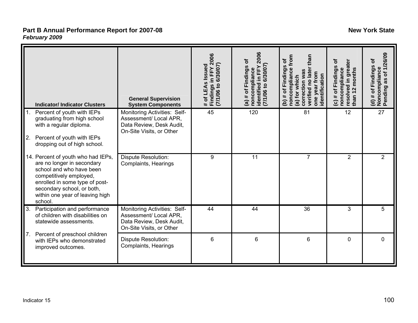| <b>Indicator/Indicator Clusters</b>                                                                                                                                                                                                   | <b>General Supervision</b><br><b>System Components</b>                                                         | # of LEAs Issued<br>Findings in FFY 2006<br>(7/1/06 to 6/30/07) | 2006<br># of Findings of<br>7/1/06 to 6/30/07<br>identified in FFY<br>noncompliance<br>$\widehat{a}$ | from<br>than<br>৳<br>(b) # of Findings<br>noncompliance<br>verified no later<br>correction was<br>one year from<br>identification<br>(a) for which | ځ<br>resolved in greater<br>(c) # of Findings<br>noncompliance<br>months<br>$\frac{2}{3}$<br>than | Pending as of 1/26/09<br>of Findings of<br>(d) # of Findings<br>Noncompliance |
|---------------------------------------------------------------------------------------------------------------------------------------------------------------------------------------------------------------------------------------|----------------------------------------------------------------------------------------------------------------|-----------------------------------------------------------------|------------------------------------------------------------------------------------------------------|----------------------------------------------------------------------------------------------------------------------------------------------------|---------------------------------------------------------------------------------------------------|-------------------------------------------------------------------------------|
| 1.<br>Percent of youth with IEPs<br>graduating from high school<br>with a regular diploma.<br>2.<br>Percent of youth with IEPs<br>dropping out of high school.                                                                        | Monitoring Activities: Self-<br>Assessment/ Local APR,<br>Data Review, Desk Audit,<br>On-Site Visits, or Other | $\overline{45}$                                                 | 120                                                                                                  | 81                                                                                                                                                 | 12                                                                                                | 27                                                                            |
| 14. Percent of youth who had IEPs,<br>are no longer in secondary<br>school and who have been<br>competitively employed,<br>enrolled in some type of post-<br>secondary school, or both,<br>within one year of leaving high<br>school. | Dispute Resolution:<br>Complaints, Hearings                                                                    | 9                                                               | 11                                                                                                   | 7                                                                                                                                                  | $\overline{2}$                                                                                    | $\overline{2}$                                                                |
| 3.<br>Participation and performance<br>of children with disabilities on<br>statewide assessments.                                                                                                                                     | Monitoring Activities: Self-<br>Assessment/ Local APR,<br>Data Review, Desk Audit,<br>On-Site Visits, or Other | 44                                                              | 44                                                                                                   | 36                                                                                                                                                 | 3                                                                                                 | 5                                                                             |
| Percent of preschool children<br>7 <sub>1</sub><br>with IEPs who demonstrated<br>improved outcomes.                                                                                                                                   | <b>Dispute Resolution:</b><br>Complaints, Hearings                                                             | 6                                                               | 6                                                                                                    | 6                                                                                                                                                  | $\mathbf 0$                                                                                       | 0                                                                             |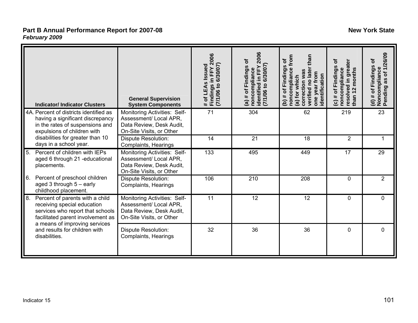| <b>Indicator/Indicator Clusters</b>                                                                                                                                                                                              | <b>General Supervision</b><br><b>System Components</b>                                                         | Findings in FFY 2006<br>7/1/06 to 6/30/07)<br># of LEAs Issued | 2006<br>ځ<br>identified in FFY<br>[7/1/06 to 6/30/07]<br>of Findings<br>noncompliance<br>$(a)$ # | from<br>than<br>ð<br>(b) # of Findings<br>noncompliance<br>verified no late<br>correction was<br>one year from<br>dentification<br>(a) for which | ځ<br>resolved in greater<br>(c) # of Findings<br>noncompliance<br>than 12 months | Pending as of 1/26/09<br>(d) # of Findings of<br>Noncompliance |
|----------------------------------------------------------------------------------------------------------------------------------------------------------------------------------------------------------------------------------|----------------------------------------------------------------------------------------------------------------|----------------------------------------------------------------|--------------------------------------------------------------------------------------------------|--------------------------------------------------------------------------------------------------------------------------------------------------|----------------------------------------------------------------------------------|----------------------------------------------------------------|
| 4A. Percent of districts identified as<br>having a significant discrepancy<br>in the rates of suspensions and<br>expulsions of children with                                                                                     | Monitoring Activities: Self-<br>Assessment/ Local APR,<br>Data Review, Desk Audit,<br>On-Site Visits, or Other | $\overline{71}$                                                | 304                                                                                              | 62                                                                                                                                               | 219                                                                              | 23                                                             |
| disabilities for greater than 10<br>days in a school year.                                                                                                                                                                       | <b>Dispute Resolution:</b><br>Complaints, Hearings                                                             | 14                                                             | 21                                                                                               | 18                                                                                                                                               | $\overline{2}$                                                                   | 1                                                              |
| 5 <sub>1</sub><br>Percent of children with IEPs<br>aged 6 through 21 -educational<br>placements.                                                                                                                                 | Monitoring Activities: Self-<br>Assessment/ Local APR,<br>Data Review, Desk Audit,<br>On-Site Visits, or Other | 133                                                            | 495                                                                                              | 449                                                                                                                                              | 17                                                                               | 29                                                             |
| Percent of preschool children<br>6.<br>aged 3 through 5 - early<br>childhood placement.                                                                                                                                          | <b>Dispute Resolution:</b><br>Complaints, Hearings                                                             | 106                                                            | 210                                                                                              | 208                                                                                                                                              | 0                                                                                | 2                                                              |
| 8.<br>Percent of parents with a child<br>receiving special education<br>services who report that schools<br>facilitated parent involvement as<br>a means of improving services<br>and results for children with<br>disabilities. | Monitoring Activities: Self-<br>Assessment/ Local APR,<br>Data Review, Desk Audit,<br>On-Site Visits, or Other | 11                                                             | 12                                                                                               | 12                                                                                                                                               | 0                                                                                | 0                                                              |
|                                                                                                                                                                                                                                  | <b>Dispute Resolution:</b><br>Complaints, Hearings                                                             | 32                                                             | 36                                                                                               | 36                                                                                                                                               | $\overline{0}$                                                                   | $\overline{0}$                                                 |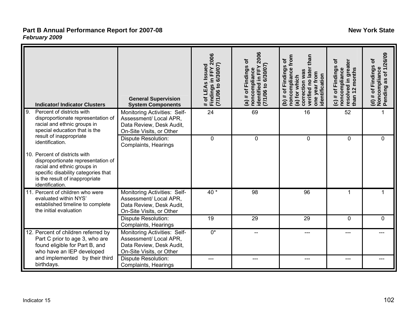| <b>Indicator/Indicator Clusters</b>                                                                                                                                                                                                          | <b>General Supervision</b><br><b>System Components</b>                                                         | # of LEAs Issued<br>Findings in FFY 2006<br>(7/1/06 to 6/30/07) | 2006<br>Findings of<br>7/1/06 to 6/30/07<br>identified in FFY<br>noncompliance<br>৳<br>#<br>$\widehat{a}$ | from<br>than<br>Ⴆ<br>(b) # of Findings<br>noncompliance<br>verified no later<br>correction was<br>one year from<br>identification<br>(a) for which | ㅎ<br>resolved in greate<br>of Findings<br>noncompliance<br>than 12 months<br>#<br>$\widehat{\mathbf{c}}$ | (d) # of Finaings <b>or</b><br>Noncompliance<br>Pending as of 1/26/09 |
|----------------------------------------------------------------------------------------------------------------------------------------------------------------------------------------------------------------------------------------------|----------------------------------------------------------------------------------------------------------------|-----------------------------------------------------------------|-----------------------------------------------------------------------------------------------------------|----------------------------------------------------------------------------------------------------------------------------------------------------|----------------------------------------------------------------------------------------------------------|-----------------------------------------------------------------------|
| 9.<br>Percent of districts with<br>disproportionate representation of<br>racial and ethnic groups in<br>special education that is the                                                                                                        | Monitoring Activities: Self-<br>Assessment/ Local APR,<br>Data Review, Desk Audit,<br>On-Site Visits, or Other | 24                                                              | 69                                                                                                        | 16                                                                                                                                                 | 52                                                                                                       |                                                                       |
| result of inappropriate<br>identification.<br>10. Percent of districts with<br>disproportionate representation of<br>racial and ethnic groups in<br>specific disability categories that<br>is the result of inappropriate<br>identification. | <b>Dispute Resolution:</b><br>Complaints, Hearings                                                             | 0                                                               | $\mathbf 0$                                                                                               | 0                                                                                                                                                  | 0                                                                                                        | 0                                                                     |
| 11. Percent of children who were<br>evaluated within NYS'<br>established timeline to complete<br>the initial evaluation                                                                                                                      | Monitoring Activities: Self-<br>Assessment/ Local APR,<br>Data Review, Desk Audit,<br>On-Site Visits, or Other | $40*$                                                           | 98                                                                                                        | 96                                                                                                                                                 |                                                                                                          |                                                                       |
|                                                                                                                                                                                                                                              | Dispute Resolution:<br>Complaints, Hearings                                                                    | 19                                                              | 29                                                                                                        | 29                                                                                                                                                 | $\mathbf 0$                                                                                              | 0                                                                     |
| 12. Percent of children referred by<br>Part C prior to age 3, who are<br>found eligible for Part B, and<br>who have an IEP developed                                                                                                         | Monitoring Activities: Self-<br>Assessment/ Local APR,<br>Data Review, Desk Audit,<br>On-Site Visits, or Other | $0^*$                                                           |                                                                                                           |                                                                                                                                                    | ---                                                                                                      |                                                                       |
| and implemented by their third<br>birthdays.                                                                                                                                                                                                 | <b>Dispute Resolution:</b><br>Complaints, Hearings                                                             |                                                                 |                                                                                                           |                                                                                                                                                    |                                                                                                          |                                                                       |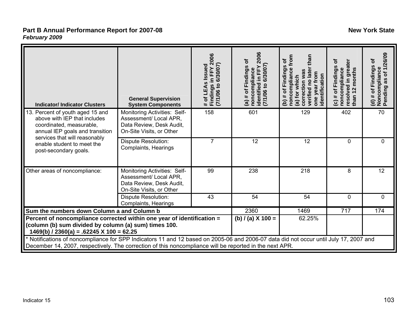| <b>Indicator/Indicator Clusters</b>                                                                                                                                           | <b>General Supervision</b><br><b>System Components</b>                                                                                                                                                                                           | # of LEAs Issued<br>Findings in FFY 2006<br>(7/1/06 to 6/30/07) | 2006<br>Findings of<br>noncompliance<br>identified in FFY 2<br>(7/1/06 to 6/30/07)<br>$(a)$ # of | than<br>from<br>৳<br>(b) # of Findings<br>noncompliance<br>verified no later<br>correction was<br>one year from<br>identification<br>(a) for which | ځ<br>resolved in greater<br># of Findings<br>noncompliance<br>than 12 months<br>$\widehat{c}$ | as of 1/26/09<br>৳<br>(d) # of Findings c<br>Noncompliance<br>Pending as of 1/2 |
|-------------------------------------------------------------------------------------------------------------------------------------------------------------------------------|--------------------------------------------------------------------------------------------------------------------------------------------------------------------------------------------------------------------------------------------------|-----------------------------------------------------------------|--------------------------------------------------------------------------------------------------|----------------------------------------------------------------------------------------------------------------------------------------------------|-----------------------------------------------------------------------------------------------|---------------------------------------------------------------------------------|
| 13. Percent of youth aged 15 and<br>above with IEP that includes<br>coordinated, measurable,<br>annual IEP goals and transition                                               | Monitoring Activities: Self-<br>Assessment/ Local APR,<br>Data Review, Desk Audit,<br>On-Site Visits, or Other                                                                                                                                   | 158                                                             | 601                                                                                              | 129                                                                                                                                                | 402                                                                                           | 70                                                                              |
| services that will reasonably<br>enable student to meet the<br>post-secondary goals.                                                                                          | Dispute Resolution:<br>Complaints, Hearings                                                                                                                                                                                                      | $\overline{7}$                                                  | 12                                                                                               | 12                                                                                                                                                 | $\mathbf 0$                                                                                   | $\mathbf 0$                                                                     |
| Other areas of noncompliance:                                                                                                                                                 | Monitoring Activities: Self-<br>Assessment/ Local APR,<br>Data Review, Desk Audit,<br>On-Site Visits, or Other                                                                                                                                   | 99                                                              | 238                                                                                              | 218                                                                                                                                                | 8                                                                                             | 12                                                                              |
|                                                                                                                                                                               | <b>Dispute Resolution:</b><br>Complaints, Hearings                                                                                                                                                                                               | 43                                                              | 54                                                                                               | 54                                                                                                                                                 | 0                                                                                             | 0                                                                               |
| Sum the numbers down Column a and Column b                                                                                                                                    |                                                                                                                                                                                                                                                  |                                                                 | 2360                                                                                             | 1469                                                                                                                                               | 717                                                                                           | 174                                                                             |
| Percent of noncompliance corrected within one year of identification =<br>(column (b) sum divided by column (a) sum) times 100.<br>$1469(b)$ / 2360(a) = .62245 X 100 = 62.25 |                                                                                                                                                                                                                                                  |                                                                 | (b) $/$ (a) X 100 =                                                                              | 62.25%                                                                                                                                             |                                                                                               |                                                                                 |
|                                                                                                                                                                               | * Notifications of noncompliance for SPP Indicators 11 and 12 based on 2005-06 and 2006-07 data did not occur until July 17, 2007 and<br>December 14, 2007, respectively. The correction of this noncompliance will be reported in the next APR. |                                                                 |                                                                                                  |                                                                                                                                                    |                                                                                               |                                                                                 |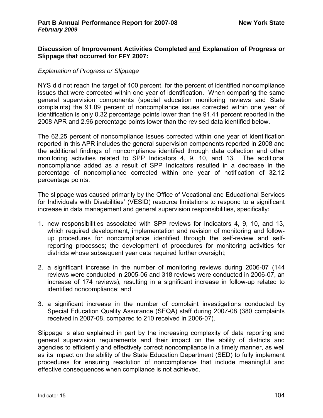# **Discussion of Improvement Activities Completed and Explanation of Progress or Slippage that occurred for FFY 2007:**

# *Explanation of Progress or Slippage*

NYS did not reach the target of 100 percent, for the percent of identified noncompliance issues that were corrected within one year of identification. When comparing the same general supervision components (special education monitoring reviews and State complaints) the 91.09 percent of noncompliance issues corrected within one year of identification is only 0.32 percentage points lower than the 91.41 percent reported in the 2008 APR and 2.96 percentage points lower than the revised data identified below.

The 62.25 percent of noncompliance issues corrected within one year of identification reported in this APR includes the general supervision components reported in 2008 and the additional findings of noncompliance identified through data collection and other monitoring activities related to SPP Indicators 4, 9, 10, and 13. The additional noncompliance added as a result of SPP Indicators resulted in a decrease in the percentage of noncompliance corrected within one year of notification of 32.12 percentage points.

The slippage was caused primarily by the Office of Vocational and Educational Services for Individuals with Disabilities' (VESID) resource limitations to respond to a significant increase in data management and general supervision responsibilities, specifically:

- 1. new responsibilities associated with SPP reviews for Indicators 4, 9, 10, and 13, which required development, implementation and revision of monitoring and followup procedures for noncompliance identified through the self-review and selfreporting processes; the development of procedures for monitoring activities for districts whose subsequent year data required further oversight;
- 2. a significant increase in the number of monitoring reviews during 2006-07 (144 reviews were conducted in 2005-06 and 318 reviews were conducted in 2006-07, an increase of 174 reviews), resulting in a significant increase in follow-up related to identified noncompliance; and
- 3. a significant increase in the number of complaint investigations conducted by Special Education Quality Assurance (SEQA) staff during 2007-08 (380 complaints received in 2007-08, compared to 210 received in 2006-07).

Slippage is also explained in part by the increasing complexity of data reporting and general supervision requirements and their impact on the ability of districts and agencies to efficiently and effectively correct noncompliance in a timely manner, as well as its impact on the ability of the State Education Department (SED) to fully implement procedures for ensuring resolution of noncompliance that include meaningful and effective consequences when compliance is not achieved.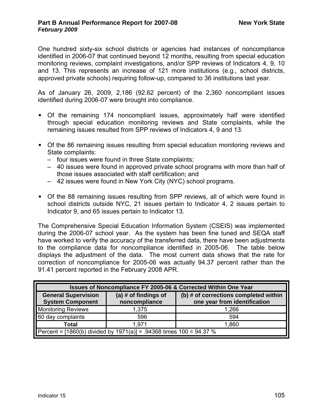One hundred sixty-six school districts or agencies had instances of noncompliance identified in 2006-07 that continued beyond 12 months, resulting from special education monitoring reviews, complaint investigations, and/or SPP reviews of Indicators 4, 9, 10 and 13. This represents an increase of 121 more institutions (e.g., school districts, approved private schools) requiring follow-up, compared to 36 institutions last year.

As of January 26, 2009, 2,186 (92.62 percent) of the 2,360 noncompliant issues identified during 2006-07 were brought into compliance.

- Of the remaining 174 noncompliant issues, approximately half were identified through special education monitoring reviews and State complaints, while the remaining issues resulted from SPP reviews of Indicators 4, 9 and 13.
- Of the 86 remaining issues resulting from special education monitoring reviews and State complaints:
	- four issues were found in three State complaints;
	- 40 issues were found in approved private school programs with more than half of those issues associated with staff certification; and
	- 42 issues were found in New York City (NYC) school programs.
- Of the 88 remaining issues resulting from SPP reviews, all of which were found in school districts outside NYC, 21 issues pertain to Indicator 4, 2 issues pertain to Indicator 9, and 65 issues pertain to Indicator 13.

The Comprehensive Special Education Information System (CSEIS) was implemented during the 2006-07 school year. As the system has been fine tuned and SEQA staff have worked to verify the accuracy of the transferred data, there have been adjustments to the compliance data for noncompliance identified in 2005-06. The table below displays the adjustment of the data. The most current data shows that the rate for correction of noncompliance for 2005-06 was actually 94.37 percent rather than the 91.41 percent reported in the February 2008 APR.

| <b>Issues of Noncompliance FY 2005-06 &amp; Corrected Within One Year</b> |                                         |                                                                       |
|---------------------------------------------------------------------------|-----------------------------------------|-----------------------------------------------------------------------|
| <b>General Supervision</b><br><b>System Component</b>                     | (a) $#$ of findings of<br>noncompliance | (b) # of corrections completed within<br>one year from identification |
| <b>Monitoring Reviews</b>                                                 | 1,375                                   | 1,266                                                                 |
| 60 day complaints                                                         | 596                                     | 594                                                                   |
| Total                                                                     | 1.971                                   | 1,860                                                                 |
| Percent = [1860(b) divided by 1971(a)] = .94368 times 100 = 94.37 %       |                                         |                                                                       |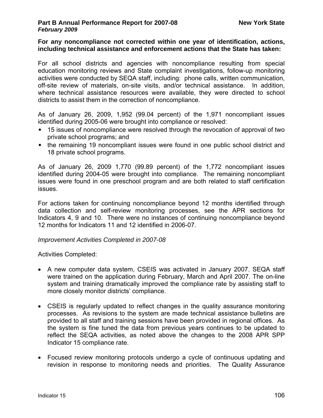#### **For any noncompliance not corrected within one year of identification, actions, including technical assistance and enforcement actions that the State has taken:**

For all school districts and agencies with noncompliance resulting from special education monitoring reviews and State complaint investigations, follow-up monitoring activities were conducted by SEQA staff, including: phone calls, written communication, off-site review of materials, on-site visits, and/or technical assistance. In addition, where technical assistance resources were available, they were directed to school districts to assist them in the correction of noncompliance.

As of January 26, 2009, 1,952 (99.04 percent) of the 1,971 noncompliant issues identified during 2005-06 were brought into compliance or resolved:

- 15 issues of noncompliance were resolved through the revocation of approval of two private school programs; and
- the remaining 19 noncompliant issues were found in one public school district and 18 private school programs.

As of January 26, 2009 1,770 (99.89 percent) of the 1,772 noncompliant issues identified during 2004-05 were brought into compliance. The remaining noncompliant issues were found in one preschool program and are both related to staff certification issues.

For actions taken for continuing noncompliance beyond 12 months identified through data collection and self-review monitoring processes, see the APR sections for Indicators 4, 9 and 10. There were no instances of continuing noncompliance beyond 12 months for Indicators 11 and 12 identified in 2006-07.

### *Improvement Activities Completed in 2007-08*

Activities Completed:

- A new computer data system, CSEIS was activated in January 2007. SEQA staff were trained on the application during February, March and April 2007. The on-line system and training dramatically improved the compliance rate by assisting staff to more closely monitor districts' compliance.
- CSEIS is regularly updated to reflect changes in the quality assurance monitoring processes. As revisions to the system are made technical assistance bulletins are provided to all staff and training sessions have been provided in regional offices. As the system is fine tuned the data from previous years continues to be updated to reflect the SEQA activities, as noted above the changes to the 2008 APR SPP Indicator 15 compliance rate.
- Focused review monitoring protocols undergo a cycle of continuous updating and revision in response to monitoring needs and priorities. The Quality Assurance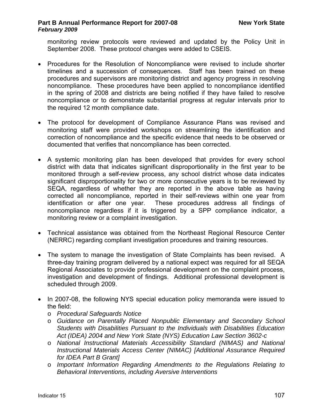monitoring review protocols were reviewed and updated by the Policy Unit in September 2008. These protocol changes were added to CSEIS.

- Procedures for the Resolution of Noncompliance were revised to include shorter timelines and a succession of consequences. Staff has been trained on these procedures and supervisors are monitoring district and agency progress in resolving noncompliance. These procedures have been applied to noncompliance identified in the spring of 2008 and districts are being notified if they have failed to resolve noncompliance or to demonstrate substantial progress at regular intervals prior to the required 12 month compliance date.
- The protocol for development of Compliance Assurance Plans was revised and monitoring staff were provided workshops on streamlining the identification and correction of noncompliance and the specific evidence that needs to be observed or documented that verifies that noncompliance has been corrected.
- A systemic monitoring plan has been developed that provides for every school district with data that indicates significant disproportionality in the first year to be monitored through a self-review process, any school district whose data indicates significant disproportionality for two or more consecutive years is to be reviewed by SEQA, regardless of whether they are reported in the above table as having corrected all noncompliance, reported in their self-reviews within one year from identification or after one year. These procedures address all findings of noncompliance regardless if it is triggered by a SPP compliance indicator, a monitoring review or a complaint investigation.
- Technical assistance was obtained from the Northeast Regional Resource Center (NERRC) regarding compliant investigation procedures and training resources.
- The system to manage the investigation of State Complaints has been revised. A three-day training program delivered by a national expect was required for all SEQA Regional Associates to provide professional development on the complaint process, investigation and development of findings. Additional professional development is scheduled through 2009.
- In 2007-08, the following NYS special education policy memoranda were issued to the field:
	- o *Procedural Safeguards Notice*
	- o *Guidance on Parentally Placed Nonpublic Elementary and Secondary School Students with Disabilities Pursuant to the Individuals with Disabilities Education Act (IDEA) 2004 and New York State (NYS) Education Law Section 3602-c*
	- o *National Instructional Materials Accessibility Standard (NIMAS) and National Instructional Materials Access Center (NIMAC) [Additional Assurance Required for IDEA Part B Grant]*
	- o *Important Information Regarding Amendments to the Regulations Relating to Behavioral Interventions, including Aversive Interventions*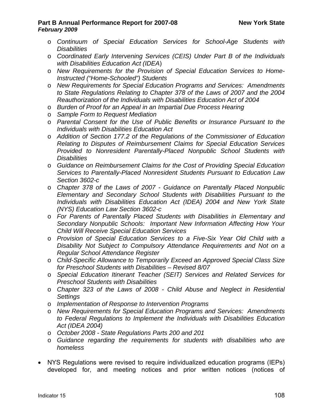- o *Continuum of Special Education Services for School-Age Students with Disabilities*
- o *Coordinated Early Intervening Services (CEIS) Under Part B of the Individuals with Disabilities Education Act (IDEA*)
- o *New Requirements for the Provision of Special Education Services to Home-Instructed ("Home-Schooled") Students*
- o *New Requirements for Special Education Programs and Services: Amendments to State Regulations Relating to Chapter 378 of the Laws of 2007 and the 2004 Reauthorization of the Individuals with Disabilities Education Act of 2004*
- o *Burden of Proof for an Appeal in an Impartial Due Process Hearing*
- o *Sample Form to Request Mediation*
- o *Parental Consent for the Use of Public Benefits or Insurance Pursuant to the Individuals with Disabilities Education Act*
- o *Addition of Section 177.2 of the Regulations of the Commissioner of Education Relating to Disputes of Reimbursement Claims for Special Education Services Provided to Nonresident Parentally-Placed Nonpublic School Students with Disabilities*
- o *Guidance on Reimbursement Claims for the Cost of Providing Special Education Services to Parentally-Placed Nonresident Students Pursuant to Education Law Section 3602-c*
- o *Chapter 378 of the Laws of 2007 - Guidance on Parentally Placed Nonpublic Elementary and Secondary School Students with Disabilities Pursuant to the Individuals with Disabilities Education Act (IDEA) 2004 and New York State (NYS) Education Law Section 3602-c*
- o *For Parents of Parentally Placed Students with Disabilities in Elementary and Secondary Nonpublic Schools: Important New Information Affecting How Your Child Will Receive Special Education Services*
- o *Provision of Special Education Services to a Five-Six Year Old Child with a Disability Not Subject to Compulsory Attendance Requirements and Not on a Regular School Attendance Register*
- o *Child-Specific Allowance to Temporarily Exceed an Approved Special Class Size for Preschool Students with Disabilities – Revised 8/07*
- o *Special Education Itinerant Teacher (SEIT) Services and Related Services for Preschool Students with Disabilities*
- o *Chapter 323 of the Laws of 2008 Child Abuse and Neglect in Residential Settings*
- o *Implementation of Response to Intervention Programs*
- o *New Requirements for Special Education Programs and Services: Amendments to Federal Regulations to Implement the Individuals with Disabilities Education Act (IDEA 2004)*
- o *October 2008 State Regulations Parts 200 and 201*
- o *Guidance regarding the requirements for students with disabilities who are homeless*
- NYS Regulations were revised to require individualized education programs (IEPs) developed for, and meeting notices and prior written notices (notices of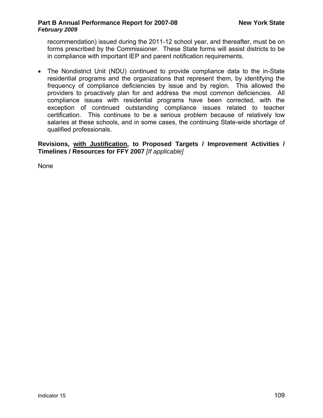recommendation) issued during the 2011-12 school year, and thereafter, must be on forms prescribed by the Commissioner. These State forms will assist districts to be in compliance with important IEP and parent notification requirements.

• The Nondistrict Unit (NDU) continued to provide compliance data to the in-State residential programs and the organizations that represent them, by identifying the frequency of compliance deficiencies by issue and by region. This allowed the providers to proactively plan for and address the most common deficiencies. All compliance issues with residential programs have been corrected, with the exception of continued outstanding compliance issues related to teacher certification. This continues to be a serious problem because of relatively low salaries at these schools, and in some cases, the continuing State-wide shortage of qualified professionals.

**Revisions, with Justification, to Proposed Targets / Improvement Activities / Timelines / Resources for FFY 2007** *[If applicable]*

None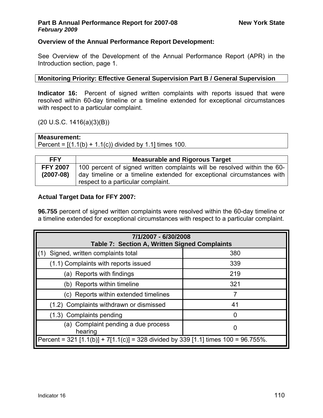## **Overview of the Annual Performance Report Development:**

See Overview of the Development of the Annual Performance Report (APR) in the Introduction section, page 1.

### **Monitoring Priority: Effective General Supervision Part B / General Supervision**

**Indicator 16:** Percent of signed written complaints with reports issued that were resolved within 60-day timeline or a timeline extended for exceptional circumstances with respect to a particular complaint.

(20 U.S.C. 1416(a)(3)(B))

### **Measurement:**

Percent =  $[(1.1(b) + 1.1(c))$  divided by 1.1] times 100.

| <b>FFY</b>                     | <b>Measurable and Rigorous Target</b>                                                                                                                                                    |
|--------------------------------|------------------------------------------------------------------------------------------------------------------------------------------------------------------------------------------|
| <b>FFY 2007</b><br>$(2007-08)$ | 100 percent of signed written complaints will be resolved within the 60-<br>day timeline or a timeline extended for exceptional circumstances with<br>respect to a particular complaint. |

## **Actual Target Data for FFY 2007:**

**96.755** percent of signed written complaints were resolved within the 60-day timeline or a timeline extended for exceptional circumstances with respect to a particular complaint.

| 7/1/2007 - 6/30/2008<br>Table 7: Section A, Written Signed Complaints              |     |  |  |
|------------------------------------------------------------------------------------|-----|--|--|
| Signed, written complaints total<br>(1)                                            | 380 |  |  |
| (1.1) Complaints with reports issued                                               | 339 |  |  |
| (a) Reports with findings                                                          | 219 |  |  |
| (b) Reports within timeline                                                        | 321 |  |  |
| (c) Reports within extended timelines                                              | 7   |  |  |
| (1.2) Complaints withdrawn or dismissed                                            | 41  |  |  |
| (1.3) Complaints pending                                                           | 0   |  |  |
| (a) Complaint pending a due process<br>0<br>hearing                                |     |  |  |
| Percent = 321 [1.1(b)] + 7[1.1(c)] = 328 divided by 339 [1.1] times 100 = 96.755%. |     |  |  |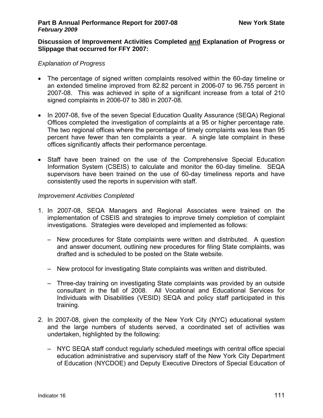#### **Discussion of Improvement Activities Completed and Explanation of Progress or Slippage that occurred for FFY 2007:**

#### *Explanation of Progress*

- The percentage of signed written complaints resolved within the 60-day timeline or an extended timeline improved from 82.82 percent in 2006-07 to 96.755 percent in 2007-08. This was achieved in spite of a significant increase from a total of 210 signed complaints in 2006-07 to 380 in 2007-08.
- In 2007-08, five of the seven Special Education Quality Assurance (SEQA) Regional Offices completed the investigation of complaints at a 95 or higher percentage rate. The two regional offices where the percentage of timely complaints was less than 95 percent have fewer than ten complaints a year. A single late complaint in these offices significantly affects their performance percentage.
- Staff have been trained on the use of the Comprehensive Special Education Information System (CSEIS) to calculate and monitor the 60-day timeline. SEQA supervisors have been trained on the use of 60-day timeliness reports and have consistently used the reports in supervision with staff.

#### *Improvement Activities Completed*

- 1. In 2007-08, SEQA Managers and Regional Associates were trained on the implementation of CSEIS and strategies to improve timely completion of complaint investigations. Strategies were developed and implemented as follows:
	- New procedures for State complaints were written and distributed. A question and answer document, outlining new procedures for filing State complaints, was drafted and is scheduled to be posted on the State website.
	- New protocol for investigating State complaints was written and distributed.
	- Three-day training on investigating State complaints was provided by an outside consultant in the fall of 2008. All Vocational and Educational Services for Individuals with Disabilities (VESID) SEQA and policy staff participated in this training.
- 2. In 2007-08, given the complexity of the New York City (NYC) educational system and the large numbers of students served, a coordinated set of activities was undertaken, highlighted by the following:
	- NYC SEQA staff conduct regularly scheduled meetings with central office special education administrative and supervisory staff of the New York City Department of Education (NYCDOE) and Deputy Executive Directors of Special Education of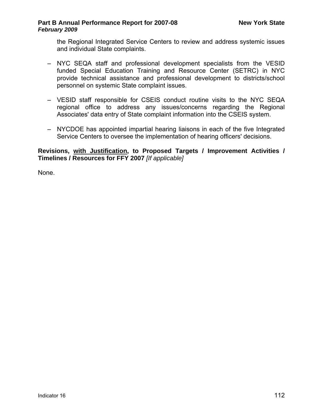the Regional Integrated Service Centers to review and address systemic issues and individual State complaints.

- NYC SEQA staff and professional development specialists from the VESID funded Special Education Training and Resource Center (SETRC) in NYC provide technical assistance and professional development to districts/school personnel on systemic State complaint issues.
- VESID staff responsible for CSEIS conduct routine visits to the NYC SEQA regional office to address any issues/concerns regarding the Regional Associates' data entry of State complaint information into the CSEIS system.
- NYCDOE has appointed impartial hearing liaisons in each of the five Integrated Service Centers to oversee the implementation of hearing officers' decisions.

### **Revisions, with Justification, to Proposed Targets / Improvement Activities / Timelines / Resources for FFY 2007** *[If applicable]*

None.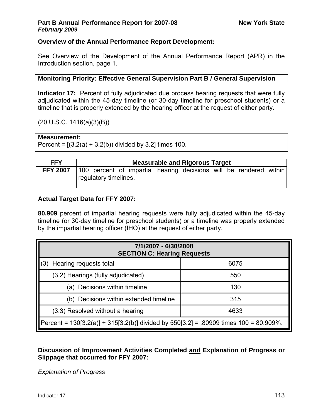## **Overview of the Annual Performance Report Development:**

See Overview of the Development of the Annual Performance Report (APR) in the Introduction section, page 1.

### **Monitoring Priority: Effective General Supervision Part B / General Supervision**

**Indicator 17:** Percent of fully adjudicated due process hearing requests that were fully adjudicated within the 45-day timeline (or 30-day timeline for preschool students) or a timeline that is properly extended by the hearing officer at the request of either party.

(20 U.S.C. 1416(a)(3)(B))

### **Measurement:**

Percent =  $[(3.2(a) + 3.2(b))$  divided by 3.2] times 100.

| <b>FFY</b>      | <b>Measurable and Rigorous Target</b>                                                       |  |  |  |  |
|-----------------|---------------------------------------------------------------------------------------------|--|--|--|--|
| <b>FFY 2007</b> | 100 percent of impartial hearing decisions will be rendered within<br>regulatory timelines. |  |  |  |  |

## **Actual Target Data for FFY 2007:**

**80.909** percent of impartial hearing requests were fully adjudicated within the 45-day timeline (or 30-day timeline for preschool students) or a timeline was properly extended by the impartial hearing officer (IHO) at the request of either party.

| 7/1/2007 - 6/30/2008<br><b>SECTION C: Hearing Requests</b>                              |      |  |  |  |
|-----------------------------------------------------------------------------------------|------|--|--|--|
| Hearing requests total<br>(3)                                                           | 6075 |  |  |  |
| (3.2) Hearings (fully adjudicated)                                                      | 550  |  |  |  |
| (a) Decisions within timeline<br>130                                                    |      |  |  |  |
| (b) Decisions within extended timeline<br>315                                           |      |  |  |  |
| (3.3) Resolved without a hearing<br>4633                                                |      |  |  |  |
| Percent = $130[3.2(a)] + 315[3.2(b)]$ divided by 550[3.2] = .80909 times 100 = 80.909%. |      |  |  |  |

**Discussion of Improvement Activities Completed and Explanation of Progress or Slippage that occurred for FFY 2007:** 

*Explanation of Progress*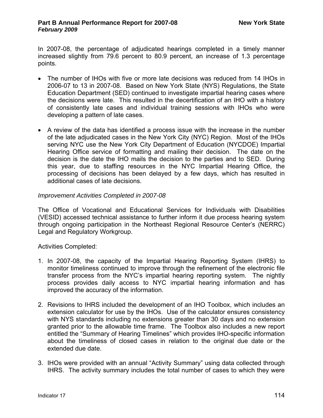In 2007-08, the percentage of adjudicated hearings completed in a timely manner increased slightly from 79.6 percent to 80.9 percent, an increase of 1.3 percentage points.

- The number of IHOs with five or more late decisions was reduced from 14 IHOs in 2006-07 to 13 in 2007-08. Based on New York State (NYS) Regulations, the State Education Department (SED) continued to investigate impartial hearing cases where the decisions were late. This resulted in the decertification of an IHO with a history of consistently late cases and individual training sessions with IHOs who were developing a pattern of late cases.
- A review of the data has identified a process issue with the increase in the number of the late adjudicated cases in the New York City (NYC) Region. Most of the IHOs serving NYC use the New York City Department of Education (NYCDOE) Impartial Hearing Office service of formatting and mailing their decision. The date on the decision is the date the IHO mails the decision to the parties and to SED. During this year, due to staffing resources in the NYC Impartial Hearing Office, the processing of decisions has been delayed by a few days, which has resulted in additional cases of late decisions.

#### *Improvement Activities Completed in 2007-08*

The Office of Vocational and Educational Services for Individuals with Disabilities (VESID) accessed technical assistance to further inform it due process hearing system through ongoing participation in the Northeast Regional Resource Center's (NERRC) Legal and Regulatory Workgroup.

Activities Completed:

- 1. In 2007-08, the capacity of the Impartial Hearing Reporting System (IHRS) to monitor timeliness continued to improve through the refinement of the electronic file transfer process from the NYC's impartial hearing reporting system. The nightly process provides daily access to NYC impartial hearing information and has improved the accuracy of the information.
- 2. Revisions to IHRS included the development of an IHO Toolbox, which includes an extension calculator for use by the IHOs. Use of the calculator ensures consistency with NYS standards including no extensions greater than 30 days and no extension granted prior to the allowable time frame. The Toolbox also includes a new report entitled the ["Summary of Hearing Timelines" which](http://portal.nysed.gov/pls/pref/iho_perf_sum%24.startup) provides IHO-specific information about the timeliness of closed cases in relation to the original due date or the extended due date.
- 3. IHOs were provided with an annual "Activity Summary" using data collected through IHRS. The activity summary includes the total number of cases to which they were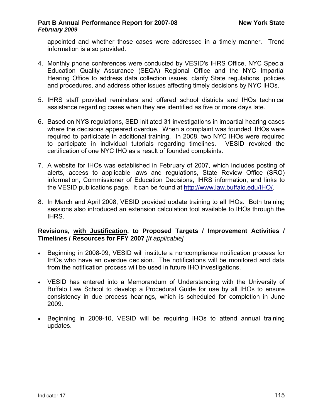appointed and whether those cases were addressed in a timely manner. Trend information is also provided.

- 4. Monthly phone conferences were conducted by VESID's IHRS Office, NYC Special Education Quality Assurance (SEQA) Regional Office and the NYC Impartial Hearing Office to address data collection issues, clarify State regulations, policies and procedures, and address other issues affecting timely decisions by NYC IHOs.
- 5. IHRS staff provided reminders and offered school districts and IHOs technical assistance regarding cases when they are identified as five or more days late.
- 6. Based on NYS regulations, SED initiated 31 investigations in impartial hearing cases where the decisions appeared overdue. When a complaint was founded, IHOs were required to participate in additional training. In 2008, two NYC IHOs were required to participate in individual tutorials regarding timelines. VESID revoked the certification of one NYC IHO as a result of founded complaints.
- 7. A website for IHOs was established in February of 2007, which includes posting of alerts, access to applicable laws and regulations, State Review Office (SRO) information, Commissioner of Education Decisions, IHRS information, and links to the VESID publications page. It can be found at [http://www.law.buffalo.edu/IHO/.](http://www.law.buffalo.edu/IHO/)
- 8. In March and April 2008, VESID provided update training to all IHOs. Both training sessions also introduced an extension calculation tool available to IHOs through the IHRS.

## **Revisions, with Justification, to Proposed Targets / Improvement Activities / Timelines / Resources for FFY 2007** *[If applicable]*

- Beginning in 2008-09, VESID will institute a noncompliance notification process for IHOs who have an overdue decision. The notifications will be monitored and data from the notification process will be used in future IHO investigations.
- VESID has entered into a Memorandum of Understanding with the University of Buffalo Law School to develop a Procedural Guide for use by all IHOs to ensure consistency in due process hearings, which is scheduled for completion in June 2009.
- Beginning in 2009-10, VESID will be requiring IHOs to attend annual training updates.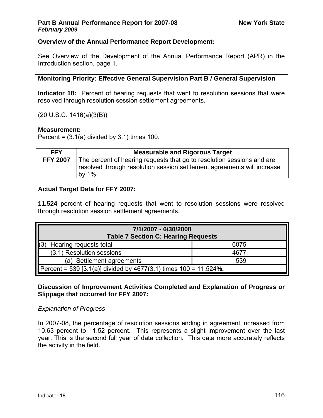## **Overview of the Annual Performance Report Development:**

See Overview of the Development of the Annual Performance Report (APR) in the Introduction section, page 1.

## **Monitoring Priority: Effective General Supervision Part B / General Supervision**

**Indicator 18:** Percent of hearing requests that went to resolution sessions that were resolved through resolution session settlement agreements.

## (20 U.S.C. 1416(a)(3(B))

## **Measurement:**

Percent =  $(3.1(a)$  divided by  $3.1$ ) times 100.

| <b>FFY</b>      | <b>Measurable and Rigorous Target</b>                                                                                                                           |
|-----------------|-----------------------------------------------------------------------------------------------------------------------------------------------------------------|
| <b>FFY 2007</b> | The percent of hearing requests that go to resolution sessions and are<br>resolved through resolution session settlement agreements will increase<br>by $1\%$ . |

## **Actual Target Data for FFY 2007:**

**11.524** percent of hearing requests that went to resolution sessions were resolved through resolution session settlement agreements.

| 7/1/2007 - 6/30/2008<br><b>Table 7 Section C: Hearing Requests</b>   |      |  |  |  |
|----------------------------------------------------------------------|------|--|--|--|
| Hearing requests total                                               | 6075 |  |  |  |
| (3.1) Resolution sessions                                            | 4677 |  |  |  |
| (a) Settlement agreements<br>539                                     |      |  |  |  |
| Percent = 539 [3.1(a)] divided by 4677(3.1) times $100 = 11.524\%$ . |      |  |  |  |

## **Discussion of Improvement Activities Completed and Explanation of Progress or Slippage that occurred for FFY 2007:**

## *Explanation of Progress*

In 2007-08, the percentage of resolution sessions ending in agreement increased from 10.63 percent to 11.52 percent. This represents a slight improvement over the last year. This is the second full year of data collection. This data more accurately reflects the activity in the field.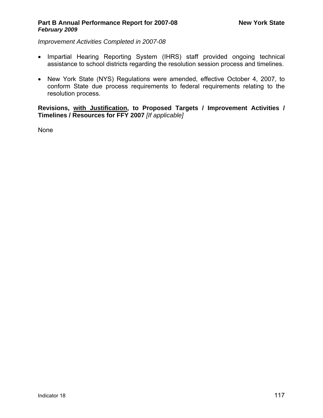*Improvement Activities Completed in 2007-08* 

- Impartial Hearing Reporting System (IHRS) staff provided ongoing technical assistance to school districts regarding the resolution session process and timelines.
- New York State (NYS) Regulations were amended, effective October 4, 2007, to conform State due process requirements to federal requirements relating to the resolution process.

**Revisions, with Justification, to Proposed Targets / Improvement Activities / Timelines / Resources for FFY 2007** *[If applicable]*

None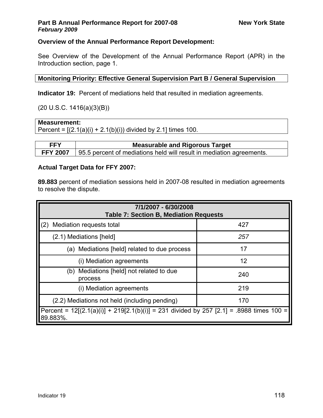## **Overview of the Annual Performance Report Development:**

See Overview of the Development of the Annual Performance Report (APR) in the Introduction section, page 1.

## **Monitoring Priority: Effective General Supervision Part B / General Supervision**

**Indicator 19:** Percent of mediations held that resulted in mediation agreements.

## $(20 U.S.C. 1416(a)(3)(B))$

## **Measurement:**

Percent =  $[(2.1(a)(i) + 2.1(b)(i))$  divided by 2.1] times 100.

| <b>FFY</b> | <b>Measurable and Rigorous Target</b>                                                |
|------------|--------------------------------------------------------------------------------------|
|            | <b>FFY 2007</b> 95.5 percent of mediations held will result in mediation agreements. |

## **Actual Target Data for FFY 2007:**

**89.883** percent of mediation sessions held in 2007-08 resulted in mediation agreements to resolve the dispute.

| 7/1/2007 - 6/30/2008<br><b>Table 7: Section B, Mediation Requests</b>                                   |     |  |  |  |
|---------------------------------------------------------------------------------------------------------|-----|--|--|--|
| Mediation requests total<br>(2)                                                                         | 427 |  |  |  |
| (2.1) Mediations [held]                                                                                 | 257 |  |  |  |
| (a) Mediations [held] related to due process                                                            | 17  |  |  |  |
| (i) Mediation agreements                                                                                | 12  |  |  |  |
| (b) Mediations [held] not related to due<br>process                                                     | 240 |  |  |  |
| (i) Mediation agreements                                                                                | 219 |  |  |  |
| (2.2) Mediations not held (including pending)<br>170                                                    |     |  |  |  |
| Percent = $12[(2.1(a)(i))] + 219[2.1(b)(i)] = 231$ divided by 257 [2.1] = .8988 times 100 =<br>89.883%. |     |  |  |  |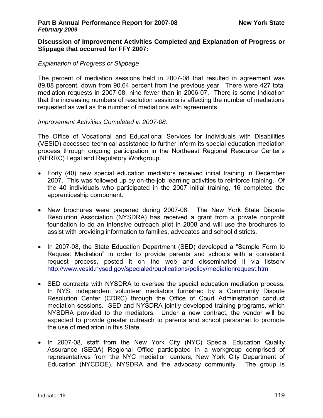#### **Discussion of Improvement Activities Completed and Explanation of Progress or Slippage that occurred for FFY 2007:**

### *Explanation of Progress or Slippage*

The percent of mediation sessions held in 2007-08 that resulted in agreement was 89.88 percent, down from 90.64 percent from the previous year. There were 427 total mediation requests in 2007-08, nine fewer than in 2006-07. There is some indication that the increasing numbers of resolution sessions is affecting the number of mediations requested as well as the number of mediations with agreements.

#### *Improvement Activities Completed in 2007-08:*

The Office of Vocational and Educational Services for Individuals with Disabilities (VESID) accessed technical assistance to further inform its special education mediation process through ongoing participation in the Northeast Regional Resource Center's (NERRC) Legal and Regulatory Workgroup.

- Forty (40) new special education mediators received initial training in December 2007. This was followed up by on-the-job learning activities to reinforce training. Of the 40 individuals who participated in the 2007 initial training, 16 completed the apprenticeship component.
- New brochures were prepared during 2007-08. The New York State Dispute Resolution Association (NYSDRA) has received a grant from a private nonprofit foundation to do an intensive outreach pilot in 2008 and will use the brochures to assist with providing information to families, advocates and school districts.
- In 2007-08, the State Education Department (SED) developed a "Sample Form to Request Mediation" in order to provide parents and schools with a consistent request process, posted it on the web and disseminated it via listserv <http://www.vesid.nysed.gov/specialed/publications/policy/mediationrequest.htm>
- SED contracts with NYSDRA to oversee the special education mediation process. In NYS, independent volunteer mediators furnished by a Community Dispute Resolution Center (CDRC) through the Office of Court Administration conduct mediation sessions. SED and NYSDRA jointly developed training programs, which NYSDRA provided to the mediators. Under a new contract, the vendor will be expected to provide greater outreach to parents and school personnel to promote the use of mediation in this State.
- In 2007-08, staff from the New York City (NYC) Special Education Quality Assurance (SEQA) Regional Office participated in a workgroup comprised of representatives from the NYC mediation centers, New York City Department of Education (NYCDOE), NYSDRA and the advocacy community. The group is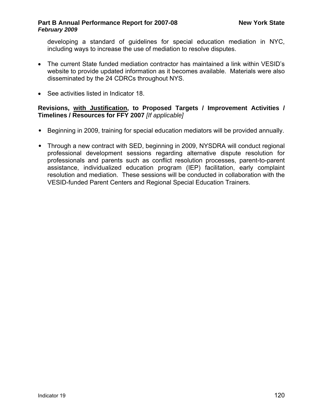developing a standard of guidelines for special education mediation in NYC, including ways to increase the use of mediation to resolve disputes.

- The current State funded mediation contractor has maintained a link within VESID's website to provide updated information as it becomes available. Materials were also disseminated by the 24 CDRCs throughout NYS.
- See activities listed in Indicator 18.

## **Revisions, with Justification, to Proposed Targets / Improvement Activities / Timelines / Resources for FFY 2007** *[If applicable]*

- Beginning in 2009, training for special education mediators will be provided annually.
- Through a new contract with SED, beginning in 2009, NYSDRA will conduct regional professional development sessions regarding alternative dispute resolution for professionals and parents such as conflict resolution processes, parent-to-parent assistance, individualized education program (IEP) facilitation, early complaint resolution and mediation. These sessions will be conducted in collaboration with the VESID-funded Parent Centers and Regional Special Education Trainers.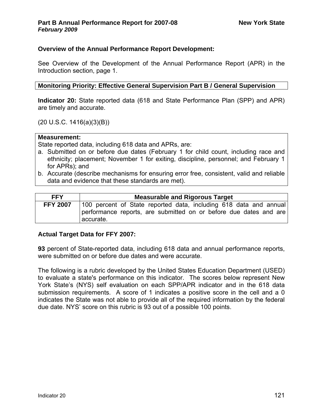### **Overview of the Annual Performance Report Development:**

See Overview of the Development of the Annual Performance Report (APR) in the Introduction section, page 1.

#### **Monitoring Priority: Effective General Supervision Part B / General Supervision**

**Indicator 20:** State reported data (618 and State Performance Plan (SPP) and APR) are timely and accurate.

(20 U.S.C. 1416(a)(3)(B))

#### **Measurement:**

State reported data, including 618 data and APRs, are:

- a. Submitted on or before due dates (February 1 for child count, including race and ethnicity; placement; November 1 for exiting, discipline, personnel; and February 1 for APRs); and
- b. Accurate (describe mechanisms for ensuring error free, consistent, valid and reliable data and evidence that these standards are met).

| <b>FFY</b>      | <b>Measurable and Rigorous Target</b>                                            |  |  |  |  |
|-----------------|----------------------------------------------------------------------------------|--|--|--|--|
| <b>FFY 2007</b> | 100 percent of State reported data, including 618 data and annual                |  |  |  |  |
|                 | performance reports, are submitted on or before due dates and are<br>l accurate. |  |  |  |  |

#### **Actual Target Data for FFY 2007:**

**93** percent of State-reported data, including 618 data and annual performance reports, were submitted on or before due dates and were accurate.

The following is a rubric developed by the United States Education Department (USED) to evaluate a state's performance on this indicator. The scores below represent New York State's (NYS) self evaluation on each SPP/APR indicator and in the 618 data submission requirements. A score of 1 indicates a positive score in the cell and a 0 indicates the State was not able to provide all of the required information by the federal due date. NYS' score on this rubric is 93 out of a possible 100 points.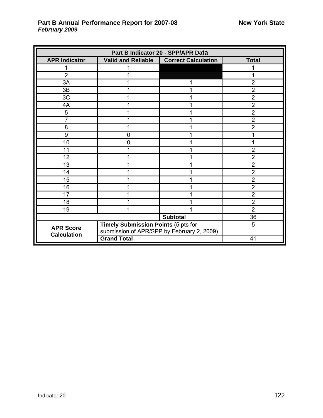| Part B Indicator 20 - SPP/APR Data     |                                                                                   |                            |                |  |
|----------------------------------------|-----------------------------------------------------------------------------------|----------------------------|----------------|--|
| <b>APR Indicator</b>                   | <b>Valid and Reliable</b>                                                         | <b>Correct Calculation</b> | <b>Total</b>   |  |
|                                        |                                                                                   |                            |                |  |
| $\overline{2}$                         |                                                                                   |                            |                |  |
| 3A                                     |                                                                                   |                            | $\overline{2}$ |  |
| 3B                                     |                                                                                   |                            | $\overline{2}$ |  |
| 3C                                     |                                                                                   |                            | $\overline{2}$ |  |
| 4A                                     | 1                                                                                 |                            | $\overline{2}$ |  |
| 5                                      |                                                                                   |                            | $\overline{2}$ |  |
| 7                                      |                                                                                   |                            | $\overline{2}$ |  |
| 8                                      |                                                                                   |                            | $\overline{2}$ |  |
| 9                                      | 0                                                                                 |                            |                |  |
| 10                                     | 0                                                                                 |                            |                |  |
| 11                                     |                                                                                   |                            | $\overline{2}$ |  |
| 12                                     |                                                                                   |                            | $\overline{2}$ |  |
| 13                                     |                                                                                   |                            | $\overline{2}$ |  |
| 14                                     |                                                                                   |                            | $\overline{2}$ |  |
| 15                                     |                                                                                   |                            | $\overline{2}$ |  |
| 16                                     |                                                                                   |                            | $\overline{2}$ |  |
| 17                                     |                                                                                   |                            | $\overline{2}$ |  |
| 18                                     |                                                                                   |                            | $\overline{2}$ |  |
| 19                                     |                                                                                   |                            | $\overline{2}$ |  |
| <b>Subtotal</b>                        |                                                                                   |                            | 36             |  |
| <b>APR Score</b><br><b>Calculation</b> | Timely Submission Points (5 pts for<br>submission of APR/SPP by February 2, 2009) |                            | 5              |  |
|                                        | <b>Grand Total</b>                                                                | 41                         |                |  |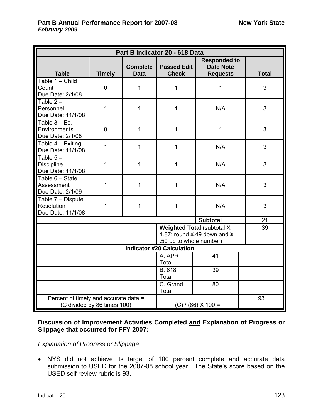| Part B Indicator 20 - 618 Data                                       |                |                                |                                    |                                                                             |              |
|----------------------------------------------------------------------|----------------|--------------------------------|------------------------------------|-----------------------------------------------------------------------------|--------------|
| <b>Table</b>                                                         | <b>Timely</b>  | <b>Complete</b><br><b>Data</b> | <b>Passed Edit</b><br><b>Check</b> | <b>Responded to</b><br><b>Date Note</b><br><b>Requests</b>                  | <b>Total</b> |
| Table $1 -$ Child<br>Count<br>Due Date: 2/1/08                       | $\mathbf 0$    | 1                              | 1                                  | 1                                                                           | 3            |
| Table $2 -$<br>Personnel<br>Due Date: 11/1/08                        | $\mathbf{1}$   | $\mathbf{1}$                   | $\mathbf{1}$                       | N/A                                                                         | 3            |
| Table $3 - Ed$ .<br>Environments<br>Due Date: 2/1/08                 | $\overline{0}$ | $\mathbf{1}$                   | $\mathbf{1}$                       | 1                                                                           | 3            |
| Table $4 -$ Exiting<br>Due Date: 11/1/08                             | $\mathbf{1}$   | $\mathbf{1}$                   | $\mathbf{1}$                       | N/A                                                                         | 3            |
| Table $5-$<br><b>Discipline</b><br>Due Date: 11/1/08                 | 1              | 1                              | $\mathbf{1}$                       | N/A                                                                         | 3            |
| Table $6 - State$<br>Assessment<br>Due Date: 2/1/09                  | 1              | $\mathbf{1}$                   | $\mathbf{1}$                       | N/A                                                                         | 3            |
| Table 7 - Dispute<br>Resolution<br>Due Date: 11/1/08                 | $\mathbf{1}$   | $\mathbf{1}$                   | $\mathbf{1}$                       | N/A                                                                         | 3            |
|                                                                      |                |                                |                                    | <b>Subtotal</b>                                                             | 21           |
|                                                                      |                |                                | .50 up to whole number)            | <b>Weighted Total (subtotal X</b><br>1.87; round $\leq$ .49 down and $\geq$ | 39           |
|                                                                      |                |                                | <b>Indicator #20 Calculation</b>   |                                                                             |              |
|                                                                      |                | A. APR<br>Total                | $\overline{41}$                    |                                                                             |              |
|                                                                      |                | B. 618<br>Total                | 39                                 |                                                                             |              |
| C. Grand<br>80<br>Total                                              |                |                                |                                    |                                                                             |              |
| Percent of timely and accurate data =<br>(C divided by 86 times 100) |                |                                | $(C) / (86) X 100 =$               | 93                                                                          |              |

**Discussion of Improvement Activities Completed and Explanation of Progress or Slippage that occurred for FFY 2007:** 

*Explanation of Progress or Slippage* 

• NYS did not achieve its target of 100 percent complete and accurate data submission to USED for the 2007-08 school year. The State's score based on the USED self review rubric is 93.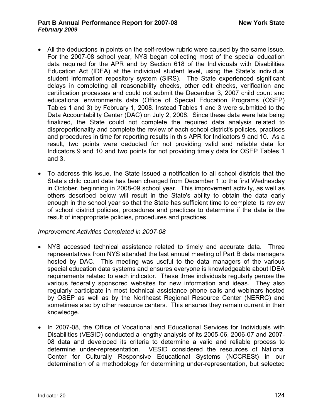- All the deductions in points on the self-review rubric were caused by the same issue. For the 2007-08 school year, NYS began collecting most of the special education data required for the APR and by Section 618 of the Individuals with Disabilities Education Act (IDEA) at the individual student level, using the State's individual student information repository system (SIRS). The State experienced significant delays in completing all reasonability checks, other edit checks, verification and certification processes and could not submit the December 3, 2007 child count and educational environments data (Office of Special Education Programs (OSEP) Tables 1 and 3) by February 1, 2008. Instead Tables 1 and 3 were submitted to the Data Accountability Center (DAC) on July 2, 2008. Since these data were late being finalized, the State could not complete the required data analysis related to disproportionality and complete the review of each school district's policies, practices and procedures in time for reporting results in this APR for Indicators 9 and 10. As a result, two points were deducted for not providing valid and reliable data for Indicators 9 and 10 and two points for not providing timely data for OSEP Tables 1 and 3.
- To address this issue, the State issued a notification to all school districts that the State's child count date has been changed from December 1 to the first Wednesday in October, beginning in 2008-09 school year. This improvement activity, as well as others described below will result in the State's ability to obtain the data early enough in the school year so that the State has sufficient time to complete its review of school district policies, procedures and practices to determine if the data is the result of inappropriate policies, procedures and practices.

### *Improvement Activities Completed in 2007-08*

- NYS accessed technical assistance related to timely and accurate data. Three representatives from NYS attended the last annual meeting of Part B data managers hosted by DAC. This meeting was useful to the data managers of the various special education data systems and ensures everyone is knowledgeable about IDEA requirements related to each indicator. These three individuals regularly peruse the various federally sponsored websites for new information and ideas. They also regularly participate in most technical assistance phone calls and webinars hosted by OSEP as well as by the Northeast Regional Resource Center (NERRC) and sometimes also by other resource centers. This ensures they remain current in their knowledge.
- In 2007-08, the Office of Vocational and Educational Services for Individuals with Disabilities (VESID) conducted a lengthy analysis of its 2005-06, 2006-07 and 2007- 08 data and developed its criteria to determine a valid and reliable process to determine under-representation. VESID considered the resources of National Center for Culturally Responsive Educational Systems (NCCRESt) in our determination of a methodology for determining under-representation, but selected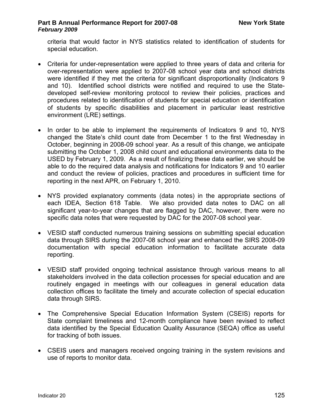criteria that would factor in NYS statistics related to identification of students for special education.

- Criteria for under-representation were applied to three years of data and criteria for over-representation were applied to 2007-08 school year data and school districts were identified if they met the criteria for significant disproportionality (Indicators 9 and 10). Identified school districts were notified and required to use the Statedeveloped self-review monitoring protocol to review their policies, practices and procedures related to identification of students for special education or identification of students by specific disabilities and placement in particular least restrictive environment (LRE) settings.
- In order to be able to implement the requirements of Indicators 9 and 10, NYS changed the State's child count date from December 1 to the first Wednesday in October, beginning in 2008-09 school year. As a result of this change, we anticipate submitting the October 1, 2008 child count and educational environments data to the USED by February 1, 2009. As a result of finalizing these data earlier, we should be able to do the required data analysis and notifications for Indicators 9 and 10 earlier and conduct the review of policies, practices and procedures in sufficient time for reporting in the next APR, on February 1, 2010.
- NYS provided explanatory comments (data notes) in the appropriate sections of each IDEA, Section 618 Table. We also provided data notes to DAC on all significant year-to-year changes that are flagged by DAC, however, there were no specific data notes that were requested by DAC for the 2007-08 school year.
- VESID staff conducted numerous training sessions on submitting special education data through SIRS during the 2007-08 school year and enhanced the SIRS 2008-09 documentation with special education information to facilitate accurate data reporting.
- VESID staff provided ongoing technical assistance through various means to all stakeholders involved in the data collection processes for special education and are routinely engaged in meetings with our colleagues in general education data collection offices to facilitate the timely and accurate collection of special education data through SIRS.
- The Comprehensive Special Education Information System (CSEIS) reports for State complaint timeliness and 12-month compliance have been revised to reflect data identified by the Special Education Quality Assurance (SEQA) office as useful for tracking of both issues.
- CSEIS users and managers received ongoing training in the system revisions and use of reports to monitor data.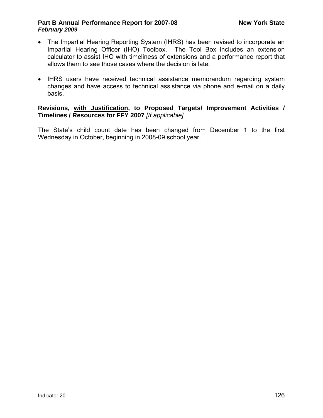- The Impartial Hearing Reporting System (IHRS) has been revised to incorporate an Impartial Hearing Officer (IHO) Toolbox. The Tool Box includes an extension calculator to assist IHO with timeliness of extensions and a performance report that allows them to see those cases where the decision is late.
- IHRS users have received technical assistance memorandum regarding system changes and have access to technical assistance via phone and e-mail on a daily basis.

#### **Revisions, with Justification, to Proposed Targets/ Improvement Activities / Timelines / Resources for FFY 2007** *[If applicable]*

The State's child count date has been changed from December 1 to the first Wednesday in October, beginning in 2008-09 school year.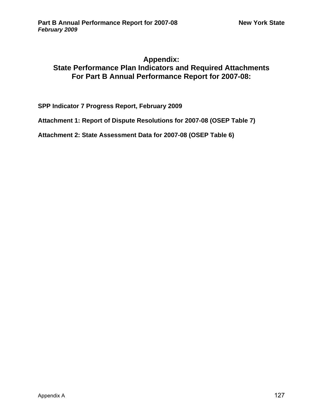## **Appendix: State Performance Plan Indicators and Required Attachments For Part B Annual Performance Report for 2007-08:**

**SPP Indicator 7 Progress Report, February 2009** 

**Attachment 1: Report of Dispute Resolutions for 2007-08 (OSEP Table 7)** 

**Attachment 2: State Assessment Data for 2007-08 (OSEP Table 6)**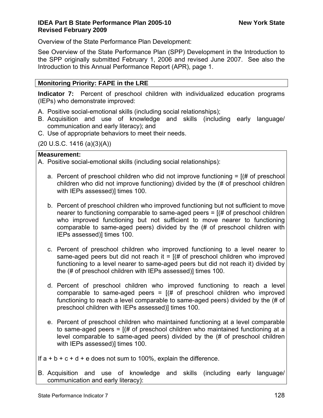## **IDEA Part B State Performance Plan 2005-10** New York State **Revised February 2009**

Overview of the State Performance Plan Development:

See Overview of the State Performance Plan (SPP) Development in the Introduction to the SPP originally submitted February 1, 2006 and revised June 2007. See also the Introduction to this Annual Performance Report (APR), page 1.

## **Monitoring Priority: FAPE in the LRE**

**Indicator 7:** Percent of preschool children with individualized education programs (IEPs) who demonstrate improved:

- A. Positive social-emotional skills (including social relationships);
- B. Acquisition and use of knowledge and skills (including early language/ communication and early literacy); and
- C. Use of appropriate behaviors to meet their needs.

 $(20 U.S.C. 1416 (a)(3)(A))$ 

### **Measurement:**

A. Positive social-emotional skills (including social relationships):

- a. Percent of preschool children who did not improve functioning  $=$   $[$ (# of preschool children who did not improve functioning) divided by the (# of preschool children with IEPs assessed)] times 100.
- b. Percent of preschool children who improved functioning but not sufficient to move nearer to functioning comparable to same-aged peers  $=$   $($   $\#$  of preschool children who improved functioning but not sufficient to move nearer to functioning comparable to same-aged peers) divided by the (# of preschool children with IEPs assessed)] times 100.
- c. Percent of preschool children who improved functioning to a level nearer to same-aged peers but did not reach it =  $(# of preschool children who improved)$ functioning to a level nearer to same-aged peers but did not reach it) divided by the (# of preschool children with IEPs assessed)] times 100.
- d. Percent of preschool children who improved functioning to reach a level comparable to same-aged peers =  $[(# of preschool children who improved$ functioning to reach a level comparable to same-aged peers) divided by the (# of preschool children with IEPs assessed)] times 100.
- e. Percent of preschool children who maintained functioning at a level comparable to same-aged peers =  $(# of presented)$  children who maintained functioning at a level comparable to same-aged peers) divided by the (# of preschool children with IEPs assessed)] times 100.

If  $a + b + c + d + e$  does not sum to 100%, explain the difference.

B. Acquisition and use of knowledge and skills (including early language/ communication and early literacy):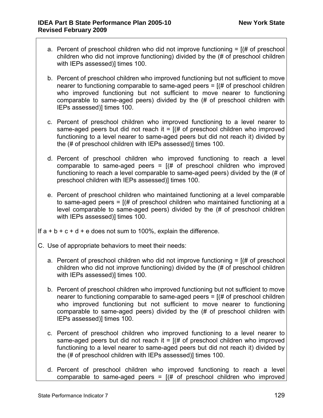- a. Percent of preschool children who did not improve functioning  $= [(# of preschool]$ children who did not improve functioning) divided by the (# of preschool children with IEPs assessed)] times 100.
- b. Percent of preschool children who improved functioning but not sufficient to move nearer to functioning comparable to same-aged peers  $=$   $($   $\#$  of preschool children who improved functioning but not sufficient to move nearer to functioning comparable to same-aged peers) divided by the (# of preschool children with IEPs assessed)] times 100.
- c. Percent of preschool children who improved functioning to a level nearer to same-aged peers but did not reach it =  $(# 0f$  preschool children who improved functioning to a level nearer to same-aged peers but did not reach it) divided by the (# of preschool children with IEPs assessed)] times 100.
- d. Percent of preschool children who improved functioning to reach a level comparable to same-aged peers =  $[(# of presented]$  preschool children who improved functioning to reach a level comparable to same-aged peers) divided by the (# of preschool children with IEPs assessed)] times 100.
- e. Percent of preschool children who maintained functioning at a level comparable to same-aged peers =  $(# of presented)$  children who maintained functioning at a level comparable to same-aged peers) divided by the (# of preschool children with IEPs assessed)] times 100.
- If  $a + b + c + d + e$  does not sum to 100%, explain the difference.
- C. Use of appropriate behaviors to meet their needs:
	- a. Percent of preschool children who did not improve functioning  $=$   $[$ (# of preschool children who did not improve functioning) divided by the (# of preschool children with IEPs assessed)] times 100.
	- b. Percent of preschool children who improved functioning but not sufficient to move nearer to functioning comparable to same-aged peers  $=$   $($  # of preschool children who improved functioning but not sufficient to move nearer to functioning comparable to same-aged peers) divided by the (# of preschool children with IEPs assessed)] times 100.
	- c. Percent of preschool children who improved functioning to a level nearer to same-aged peers but did not reach it =  $(# 0f$  preschool children who improved functioning to a level nearer to same-aged peers but did not reach it) divided by the (# of preschool children with IEPs assessed)] times 100.
	- d. Percent of preschool children who improved functioning to reach a level comparable to same-aged peers =  $[(# of preschool children who improved$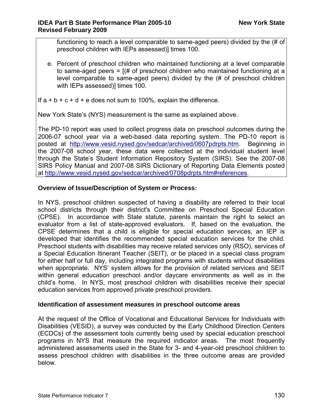functioning to reach a level comparable to same-aged peers) divided by the (# of preschool children with IEPs assessed)] times 100.

e. Percent of preschool children who maintained functioning at a level comparable to same-aged peers = [(# of preschool children who maintained functioning at a level comparable to same-aged peers) divided by the (# of preschool children with IEPs assessed)] times 100.

If  $a + b + c + d + e$  does not sum to 100%, explain the difference.

New York State's (NYS) measurement is the same as explained above.

The PD-10 report was used to collect progress data on preschool outcomes during the 2006-07 school year via a web-based data reporting system. The PD-10 report is posted at <http://www.vesid.nysed.gov/sedcar/archived/0607pdrpts.htm>. Beginning in the 2007-08 school year, these data were collected at the individual student level through the State's Student Information Repository System (SIRS). See the 2007-08 SIRS Policy Manual and 2007-08 SIRS Dictionary of Reporting Data Elements posted at [http://www.vesid.nysed.gov/sedcar/archived/0708pdrpts.htm#references.](http://www.vesid.nysed.gov/sedcar/archived/0708pdrpts.htm#references)

## **Overview of Issue/Description of System or Process:**

In NYS, preschool children suspected of having a disability are referred to their local school districts through their district's Committee on Preschool Special Education (CPSE). In accordance with State statute, parents maintain the right to select an evaluator from a list of state-approved evaluators. If, based on the evaluation, the CPSE determines that a child is eligible for special education services, an IEP is developed that identifies the recommended special education services for the child. Preschool students with disabilities may receive related services only (RSO), services of a Special Education Itinerant Teacher (SEIT), or be placed in a special class program for either half or full day, including integrated programs with students without disabilities when appropriate. NYS' system allows for the provision of related services and SEIT within general education preschool and/or daycare environments as well as in the child's home. In NYS, most preschool children with disabilities receive their special education services from approved private preschool providers.

### **Identification of assessment measures in preschool outcome areas**

At the request of the Office of Vocational and Educational Services for Individuals with Disabilities (VESID), a survey was conducted by the Early Childhood Direction Centers (ECDCs) of the assessment tools currently being used by special education preschool programs in NYS that measure the required indicator areas. The most frequently administered assessments used in the State for 3- and 4-year-old preschool children to assess preschool children with disabilities in the three outcome areas are provided below.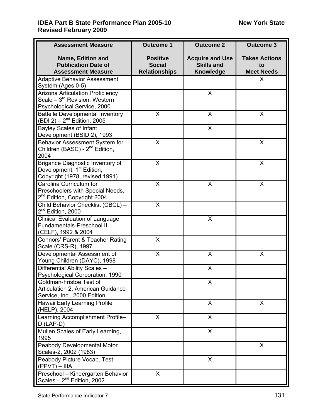## **IDEA Part B State Performance Plan 2005-10** New York State **Revised February 2009**

| <b>Assessment Measure</b>                                                                                   | <b>Outcome 1</b>                                         | <b>Outcome 2</b>                                                | <b>Outcome 3</b>                                |
|-------------------------------------------------------------------------------------------------------------|----------------------------------------------------------|-----------------------------------------------------------------|-------------------------------------------------|
| Name, Edition and<br><b>Publication Date of</b><br><b>Assessment Measure</b>                                | <b>Positive</b><br><b>Social</b><br><b>Relationships</b> | <b>Acquire and Use</b><br><b>Skills and</b><br><b>Knowledge</b> | <b>Takes Actions</b><br>to<br><b>Meet Needs</b> |
| <b>Adaptive Behavior Assessment</b>                                                                         |                                                          |                                                                 | X                                               |
| System (Ages 0-5)<br><b>Arizona Articulation Proficiency</b>                                                |                                                          | X                                                               |                                                 |
| Scale $-3^{rd}$ Revision, Western<br>Psychological Service, 2000                                            |                                                          |                                                                 |                                                 |
| <b>Battelle Developmental Inventory</b><br>$(BDI 2) - 2nd$ Edition, 2005                                    | X                                                        | X                                                               | X                                               |
| Bayley Scales of Infant<br>Development (BSID 2), 1993                                                       |                                                          | X                                                               |                                                 |
| Behavior Assessment System for<br>Children (BASC) - 2 <sup>nd</sup> Edition,<br>2004                        | X                                                        |                                                                 | X                                               |
| Brigance Diagnostic Inventory of<br>Development, 1 <sup>st</sup> Edition,<br>Copyright (1978, revised 1991) | X                                                        |                                                                 | X                                               |
| Carolina Curriculum for<br>Preschoolers with Special Needs,<br>2 <sup>nd</sup> Edition, Copyright 2004      | $\sf X$                                                  | X                                                               | X                                               |
| Child Behavior Checklist (CBCL) -<br>2 <sup>nd</sup> Edition, 2000                                          | $\mathsf{X}$                                             |                                                                 |                                                 |
| <b>Clinical Evaluation of Language</b><br><b>Fundamentals-Preschool II</b><br>(CELF), 1992 & 2004           |                                                          | X                                                               |                                                 |
| Connors' Parent & Teacher Rating<br>Scale (CRS-R), 1997                                                     | X                                                        |                                                                 |                                                 |
| Developmental Assessment of<br>Young Children (DAYC), 1998                                                  | X                                                        | X                                                               | X                                               |
| Differential Ability Scales -<br>Psychological Corporation, 1990                                            |                                                          | X                                                               |                                                 |
| Goldman-Fristoe Test of<br>Articulation 2, American Guidance<br>Service, Inc., 2000 Edition                 |                                                          | X                                                               |                                                 |
| Hawaii Early Learning Profile<br>(HELP), 2004                                                               |                                                          | X                                                               | X                                               |
| Learning Accomplishment Profile-<br>$D$ (LAP-D)                                                             | X                                                        | $\mathsf{X}$                                                    |                                                 |
| Mullen Scales of Early Learning,<br>1995                                                                    |                                                          | X                                                               |                                                 |
| Peabody Developmental Motor<br>Scales-2, 2002 (1983)                                                        |                                                          |                                                                 | X                                               |
| Peabody Picture Vocab. Test<br>$(PPVT) - IIIA$                                                              |                                                          | X                                                               |                                                 |
| Preschool - Kindergarten Behavior<br>Scales $-2^{nd}$ Edition, 2002                                         | X                                                        |                                                                 |                                                 |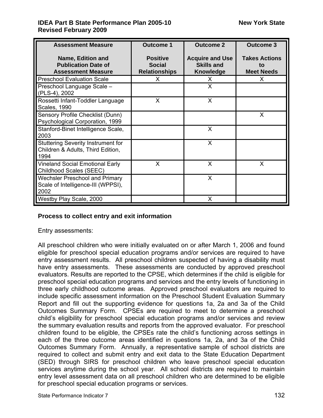## **IDEA Part B State Performance Plan 2005-10** New York State **Revised February 2009**

| <b>Assessment Measure</b>                                                              | <b>Outcome 1</b>                                         | <b>Outcome 2</b>                                                | <b>Outcome 3</b>                                |
|----------------------------------------------------------------------------------------|----------------------------------------------------------|-----------------------------------------------------------------|-------------------------------------------------|
| Name, Edition and<br><b>Publication Date of</b><br><b>Assessment Measure</b>           | <b>Positive</b><br><b>Social</b><br><b>Relationships</b> | <b>Acquire and Use</b><br><b>Skills and</b><br><b>Knowledge</b> | <b>Takes Actions</b><br>to<br><b>Meet Needs</b> |
| <b>Preschool Evaluation Scale</b>                                                      | X.                                                       | X.                                                              | X                                               |
| Preschool Language Scale -<br>(PLS-4), 2002                                            |                                                          | X                                                               |                                                 |
| Rossetti Infant-Toddler Language<br><b>Scales, 1990</b>                                | X                                                        | X                                                               |                                                 |
| Sensory Profile Checklist (Dunn)<br>Psychological Corporation, 1999                    |                                                          |                                                                 | $\sf X$                                         |
| Stanford-Binet Intelligence Scale,<br>2003                                             |                                                          | X                                                               |                                                 |
| <b>Stuttering Severity Instrument for</b><br>Children & Adults, Third Edition,<br>1994 |                                                          | X                                                               |                                                 |
| <b>Vineland Social Emotional Early</b><br>Childhood Scales (SEEC)                      | X                                                        | X                                                               | X                                               |
| <b>Wechsler Preschool and Primary</b><br>Scale of Intelligence-III (WPPSI),<br>2002    |                                                          | X                                                               |                                                 |
| Westby Play Scale, 2000                                                                |                                                          | X                                                               |                                                 |

### **Process to collect entry and exit information**

Entry assessments:

All preschool children who were initially evaluated on or after March 1, 2006 and found eligible for preschool special education programs and/or services are required to have entry assessment results. All preschool children suspected of having a disability must have entry assessments. These assessments are conducted by approved preschool evaluators. Results are reported to the CPSE, which determines if the child is eligible for preschool special education programs and services and the entry levels of functioning in three early childhood outcome areas. Approved preschool evaluators are required to include specific assessment information on the Preschool Student Evaluation Summary Report and fill out the supporting evidence for questions 1a, 2a and 3a of the Child Outcomes Summary Form. CPSEs are required to meet to determine a preschool child's eligibility for preschool special education programs and/or services and review the summary evaluation results and reports from the approved evaluator. For preschool children found to be eligible, the CPSEs rate the child's functioning across settings in each of the three outcome areas identified in questions 1a, 2a, and 3a of the Child Outcomes Summary Form. Annually, a representative sample of school districts are required to collect and submit entry and exit data to the State Education Department (SED) through SIRS for preschool children who leave preschool special education services anytime during the school year. All school districts are required to maintain entry level assessment data on all preschool children who are determined to be eligible for preschool special education programs or services.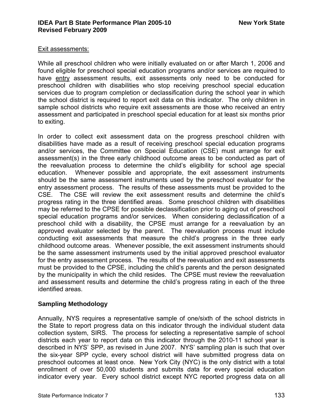#### Exit assessments:

While all preschool children who were initially evaluated on or after March 1, 2006 and found eligible for preschool special education programs and/or services are required to have entry assessment results, exit assessments only need to be conducted for preschool children with disabilities who stop receiving preschool special education services due to program completion or declassification during the school year in which the school district is required to report exit data on this indicator. The only children in sample school districts who require exit assessments are those who received an entry assessment and participated in preschool special education for at least six months prior to exiting.

In order to collect exit assessment data on the progress preschool children with disabilities have made as a result of receiving preschool special education programs and/or services, the Committee on Special Education (CSE) must arrange for exit assessment(s) in the three early childhood outcome areas to be conducted as part of the reevaluation process to determine the child's eligibility for school age special education. Whenever possible and appropriate, the exit assessment instruments should be the same assessment instruments used by the preschool evaluator for the entry assessment process. The results of these assessments must be provided to the CSE. The CSE will review the exit assessment results and determine the child's progress rating in the three identified areas. Some preschool children with disabilities may be referred to the CPSE for possible declassification prior to aging out of preschool special education programs and/or services. When considering declassification of a preschool child with a disability, the CPSE must arrange for a reevaluation by an approved evaluator selected by the parent. The reevaluation process must include conducting exit assessments that measure the child's progress in the three early childhood outcome areas. Whenever possible, the exit assessment instruments should be the same assessment instruments used by the initial approved preschool evaluator for the entry assessment process. The results of the reevaluation and exit assessments must be provided to the CPSE, including the child's parents and the person designated by the municipality in which the child resides. The CPSE must review the reevaluation and assessment results and determine the child's progress rating in each of the three identified areas.

### **Sampling Methodology**

Annually, NYS requires a representative sample of one/sixth of the school districts in the State to report progress data on this indicator through the individual student data collection system, SIRS. The process for selecting a representative sample of school districts each year to report data on this indicator through the 2010-11 school year is described in NYS' SPP, as revised in June 2007. NYS' sampling plan is such that over the six-year SPP cycle, every school district will have submitted progress data on preschool outcomes at least once. New York City (NYC) is the only district with a total enrollment of over 50,000 students and submits data for every special education indicator every year. Every school district except NYC reported progress data on all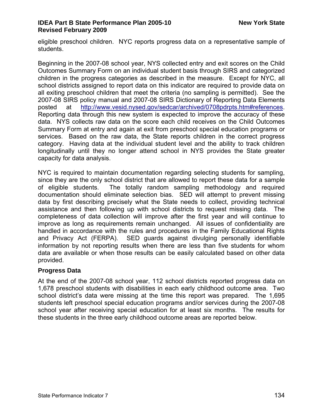eligible preschool children. NYC reports progress data on a representative sample of students.

Beginning in the 2007-08 school year, NYS collected entry and exit scores on the Child Outcomes Summary Form on an individual student basis through SIRS and categorized children in the progress categories as described in the measure. Except for NYC, all school districts assigned to report data on this indicator are required to provide data on all exiting preschool children that meet the criteria (no sampling is permitted). See the 2007-08 SIRS policy manual and 2007-08 SIRS Dictionary of Reporting Data Elements posted at [http://www.vesid.nysed.gov/sedcar/archived/0708pdrpts.htm#references.](http://www.vesid.nysed.gov/sedcar/archived/0708pdrpts.htm#references) Reporting data through this new system is expected to improve the accuracy of these data. NYS collects raw data on the score each child receives on the Child Outcomes Summary Form at entry and again at exit from preschool special education programs or services. Based on the raw data, the State reports children in the correct progress category. Having data at the individual student level and the ability to track children longitudinally until they no longer attend school in NYS provides the State greater capacity for data analysis.

NYC is required to maintain documentation regarding selecting students for sampling, since they are the only school district that are allowed to report these data for a sample of eligible students. The totally random sampling methodology and required documentation should eliminate selection bias. SED will attempt to prevent missing data by first describing precisely what the State needs to collect, providing technical assistance and then following up with school districts to request missing data. The completeness of data collection will improve after the first year and will continue to improve as long as requirements remain unchanged. All issues of confidentiality are handled in accordance with the rules and procedures in the Family Educational Rights and Privacy Act (FERPA). SED guards against divulging personally identifiable information by not reporting results when there are less than five students for whom data are available or when those results can be easily calculated based on other data provided.

## **Progress Data**

At the end of the 2007-08 school year, 112 school districts reported progress data on 1,678 preschool students with disabilities in each early childhood outcome area. Two school district's data were missing at the time this report was prepared. The 1,695 students left preschool special education programs and/or services during the 2007-08 school year after receiving special education for at least six months. The results for these students in the three early childhood outcome areas are reported below.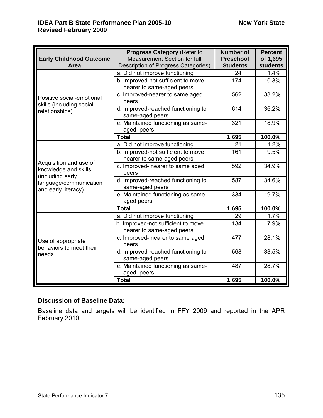| <b>Early Childhood Outcome</b><br>Area                                                                              | <b>Progress Category (Refer to</b><br>Measurement Section for full<br>Description of Progress Categories) | <b>Number of</b><br><b>Preschool</b><br><b>Students</b> | <b>Percent</b><br>of 1,695<br><b>students</b> |
|---------------------------------------------------------------------------------------------------------------------|-----------------------------------------------------------------------------------------------------------|---------------------------------------------------------|-----------------------------------------------|
|                                                                                                                     | a. Did not improve functioning                                                                            | 24                                                      | 1.4%                                          |
|                                                                                                                     | b. Improved-not sufficient to move                                                                        | 174                                                     | 10.3%                                         |
|                                                                                                                     | nearer to same-aged peers                                                                                 |                                                         |                                               |
| Positive social-emotional                                                                                           | c. Improved-nearer to same aged                                                                           | 562                                                     | 33.2%                                         |
| skills (including social                                                                                            | peers                                                                                                     |                                                         |                                               |
| relationships)                                                                                                      | d. Improved-reached functioning to<br>same-aged peers                                                     | 614                                                     | 36.2%                                         |
|                                                                                                                     | e. Maintained functioning as same-<br>aged peers                                                          | 321                                                     | 18.9%                                         |
|                                                                                                                     | <b>Total</b>                                                                                              | 1,695                                                   | 100.0%                                        |
|                                                                                                                     | a. Did not improve functioning                                                                            | 21                                                      | 1.2%                                          |
|                                                                                                                     | b. Improved-not sufficient to move<br>nearer to same-aged peers                                           | 161                                                     | 9.5%                                          |
| Acquisition and use of<br>knowledge and skills<br>(including early<br>language/communication<br>and early literacy) | c. Improved- nearer to same aged<br>peers                                                                 | 592                                                     | 34.9%                                         |
|                                                                                                                     | d. Improved-reached functioning to<br>same-aged peers                                                     | 587                                                     | 34.6%                                         |
|                                                                                                                     | e. Maintained functioning as same-<br>aged peers                                                          | 334                                                     | 19.7%                                         |
|                                                                                                                     | <b>Total</b>                                                                                              | 1,695                                                   | 100.0%                                        |
|                                                                                                                     | a. Did not improve functioning                                                                            | 29                                                      | 1.7%                                          |
| Use of appropriate<br>behaviors to meet their<br>needs                                                              | b. Improved-not sufficient to move<br>nearer to same-aged peers                                           | 134                                                     | 7.9%                                          |
|                                                                                                                     | c. Improved- nearer to same aged<br>peers                                                                 | 477                                                     | 28.1%                                         |
|                                                                                                                     | d. Improved-reached functioning to<br>same-aged peers                                                     | 568                                                     | 33.5%                                         |
|                                                                                                                     | e. Maintained functioning as same-<br>aged peers                                                          | 487                                                     | 28.7%                                         |
|                                                                                                                     | <b>Total</b>                                                                                              | 1,695                                                   | 100.0%                                        |

## **Discussion of Baseline Data:**

Baseline data and targets will be identified in FFY 2009 and reported in the APR February 2010.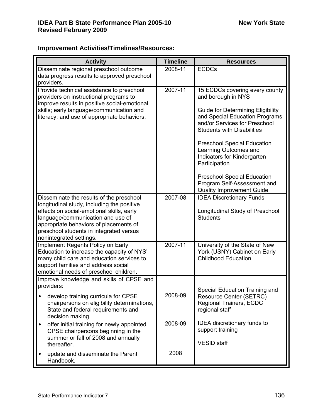## **Improvement Activities/Timelines/Resources:**

| <b>Activity</b>                                                                         | <b>Timeline</b> | <b>Resources</b>                                                |
|-----------------------------------------------------------------------------------------|-----------------|-----------------------------------------------------------------|
| Disseminate regional preschool outcome                                                  | 2008-11         | <b>ECDCs</b>                                                    |
| data progress results to approved preschool<br>providers.                               |                 |                                                                 |
| Provide technical assistance to preschool                                               | $2007 - 11$     | 15 ECDCs covering every county                                  |
| providers on instructional programs to                                                  |                 | and borough in NYS                                              |
| improve results in positive social-emotional                                            |                 |                                                                 |
| skills; early language/communication and                                                |                 | <b>Guide for Determining Eligibility</b>                        |
| literacy; and use of appropriate behaviors.                                             |                 | and Special Education Programs<br>and/or Services for Preschool |
|                                                                                         |                 | <b>Students with Disabilities</b>                               |
|                                                                                         |                 |                                                                 |
|                                                                                         |                 | <b>Preschool Special Education</b><br>Learning Outcomes and     |
|                                                                                         |                 | Indicators for Kindergarten                                     |
|                                                                                         |                 | Participation                                                   |
|                                                                                         |                 | <b>Preschool Special Education</b>                              |
|                                                                                         |                 | Program Self-Assessment and                                     |
|                                                                                         |                 | <b>Quality Improvement Guide</b>                                |
| Disseminate the results of the preschool                                                | 2007-08         | <b>IDEA Discretionary Funds</b>                                 |
| longitudinal study, including the positive<br>effects on social-emotional skills, early |                 | Longitudinal Study of Preschool                                 |
| language/communication and use of                                                       |                 | <b>Students</b>                                                 |
| appropriate behaviors of placements of                                                  |                 |                                                                 |
| preschool students in integrated versus<br>nonintegrated settings.                      |                 |                                                                 |
| Implement Regents Policy on Early                                                       | 2007-11         | University of the State of New                                  |
| Education to increase the capacity of NYS'                                              |                 | York (USNY) Cabinet on Early                                    |
| many child care and education services to                                               |                 | <b>Childhood Education</b>                                      |
| support families and address social<br>emotional needs of preschool children.           |                 |                                                                 |
| Improve knowledge and skills of CPSE and                                                |                 |                                                                 |
| providers:                                                                              |                 | Special Education Training and                                  |
| develop training curricula for CPSE                                                     | 2008-09         | Resource Center (SETRC)                                         |
| chairpersons on eligibility determinations,                                             |                 | Regional Trainers, ECDC                                         |
| State and federal requirements and                                                      |                 | regional staff                                                  |
| decision making.<br>offer initial training for newly appointed<br>$\bullet$             | 2008-09         | <b>IDEA</b> discretionary funds to                              |
| CPSE chairpersons beginning in the                                                      |                 | support training                                                |
| summer or fall of 2008 and annually                                                     |                 |                                                                 |
| thereafter.                                                                             |                 | <b>VESID</b> staff                                              |
| update and disseminate the Parent<br>$\bullet$                                          | 2008            |                                                                 |
| Handbook.                                                                               |                 |                                                                 |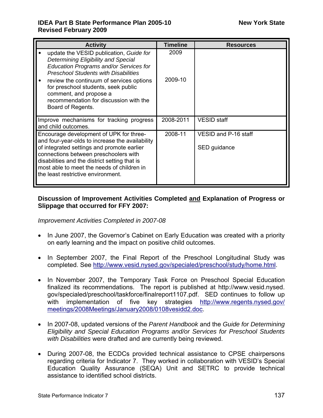### **IDEA Part B State Performance Plan 2005-10** New York State **Revised February 2009**

| <b>Activity</b>                                                                                                                                                                                                                                                                                                                                                               | <b>Timeline</b> | <b>Resources</b>                     |
|-------------------------------------------------------------------------------------------------------------------------------------------------------------------------------------------------------------------------------------------------------------------------------------------------------------------------------------------------------------------------------|-----------------|--------------------------------------|
| update the VESID publication, Guide for<br>$\bullet$<br>Determining Eligibility and Special<br>Education Programs and/or Services for<br><b>Preschool Students with Disabilities</b><br>review the continuum of services options<br>$\bullet$<br>for preschool students, seek public<br>comment, and propose a<br>recommendation for discussion with the<br>Board of Regents. | 2009<br>2009-10 |                                      |
| Improve mechanisms for tracking progress<br>and child outcomes.                                                                                                                                                                                                                                                                                                               | 2008-2011       | <b>VESID</b> staff                   |
| Encourage development of UPK for three-<br>and four-year-olds to increase the availability<br>of integrated settings and promote earlier<br>connections between preschoolers with<br>disabilities and the district setting that is<br>most able to meet the needs of children in<br>the least restrictive environment.                                                        | 2008-11         | VESID and P-16 staff<br>SED guidance |

## **Discussion of Improvement Activities Completed and Explanation of Progress or Slippage that occurred for FFY 2007:**

*Improvement Activities Completed in 2007-08* 

- In June 2007, the Governor's Cabinet on Early Education was created with a priority on early learning and the impact on positive child outcomes.
- In September 2007, the Final Report of the Preschool Longitudinal Study was completed. See [http://www.vesid.nysed.gov/specialed/preschool/study/home.html.](http://www.vesid.nysed.gov/specialed/preschool/study/home.html)
- In November 2007, the Temporary Task Force on Preschool Special Education finalized its recommendations. The report is published at http://www.vesid.nysed. gov/specialed/preschool/taskforce/finalreport1107.pdf. SED continues to follow up with implementation of five key strategies [http://www.regents.nysed.gov/](http://www.regents.nysed.gov/meetings/2008Meetings/January2008/0108vesidd2.doc) [meetings/2008Meetings/January2008/0108vesidd2.doc](http://www.regents.nysed.gov/meetings/2008Meetings/January2008/0108vesidd2.doc).
- In 2007-08, updated versions of the *Parent Handbook* and the *Guide for Determining Eligibility and Special Education Programs and/or Services for Preschool Students with Disabilities* were drafted and are currently being reviewed.
- During 2007-08, the ECDCs provided technical assistance to CPSE chairpersons regarding criteria for Indicator 7. They worked in collaboration with VESID's Special Education Quality Assurance (SEQA) Unit and SETRC to provide technical assistance to identified school districts.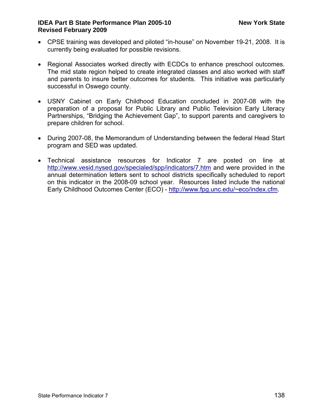### **IDEA Part B State Performance Plan 2005-10 New York State Revised February 2009**

- CPSE training was developed and piloted "in-house" on November 19-21, 2008. It is currently being evaluated for possible revisions.
- Regional Associates worked directly with ECDCs to enhance preschool outcomes. The mid state region helped to create integrated classes and also worked with staff and parents to insure better outcomes for students. This initiative was particularly successful in Oswego county.
- USNY Cabinet on Early Childhood Education concluded in 2007-08 with the preparation of a proposal for Public Library and Public Television Early Literacy Partnerships, "Bridging the Achievement Gap", to support parents and caregivers to prepare children for school.
- During 2007-08, the Memorandum of Understanding between the federal Head Start program and SED was updated.
- Technical assistance resources for Indicator 7 are posted on line at <http://www.vesid.nysed.gov/specialed/spp/indicators/7.htm> and were provided in the annual determination letters sent to school districts specifically scheduled to report on this indicator in the 2008-09 school year. Resources listed include the national Early Childhood Outcomes Center (ECO) - [http://www.fpg.unc.edu/~eco/index.cfm](http://www.fpg.unc.edu/%7Eeco/index.cfm).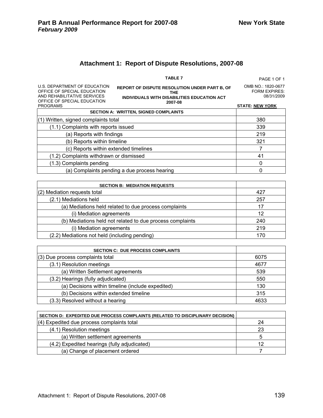## **Attachment 1: Report of Dispute Resolutions, 2007-08**

|                              | <b>TABLE 7</b>                                | PAGE 1 OF 1        |
|------------------------------|-----------------------------------------------|--------------------|
| U.S. DEPARTMENT OF EDUCATION | REPORT OF DISPUTE RESOLUTION UNDER PART B. OF | OMB NO.: 1820-0677 |

| U.S. DEPARTMENT OF EDUCATION<br>OFFICE OF SPECIAL EDUCATION | <b>REPORT OF DISPUTE RESOLUTION UNDER PART B, OF</b><br><b>THE</b> | <b>OMB NO.: 1820-0677</b><br><b>FORM EXPIRES:</b> |
|-------------------------------------------------------------|--------------------------------------------------------------------|---------------------------------------------------|
| AND REHABILITATIVE SERVICES                                 | INDIVIDUALS WITH DISABILITIES EDUCATION ACT                        | 08/31/2009                                        |
| OFFICE OF SPECIAL EDUCATION<br><b>PROGRAMS</b>              | 2007-08                                                            | <b>STATE: NEW YORK</b>                            |
|                                                             | <b>SECTION A: WRITTEN, SIGNED COMPLAINTS</b>                       |                                                   |
| (1) Written, signed complaints total                        |                                                                    | 380                                               |
| (1.1) Complaints with reports issued                        |                                                                    | 339                                               |
| (a) Reports with findings                                   |                                                                    | 219                                               |
| (b) Reports within timeline                                 |                                                                    | 321                                               |
| (c) Reports within extended timelines                       |                                                                    |                                                   |
| (1.2) Complaints withdrawn or dismissed                     |                                                                    | 41                                                |
| (1.3) Complaints pending                                    |                                                                    | 0                                                 |
|                                                             | (a) Complaints pending a due process hearing                       |                                                   |

| <b>SECTION B: MEDIATION REQUESTS</b>                      |     |
|-----------------------------------------------------------|-----|
| (2) Mediation requests total                              | 427 |
| (2.1) Mediations held                                     | 257 |
| (a) Mediations held related to due process complaints     | 17  |
| (i) Mediation agreements                                  | 12  |
| (b) Mediations held not related to due process complaints | 240 |
| (i) Mediation agreements                                  | 219 |
| (2.2) Mediations not held (including pending)             | 170 |

| <b>SECTION C: DUE PROCESS COMPLAINTS</b>          |      |
|---------------------------------------------------|------|
| $(3)$ Due process complaints total                | 6075 |
| (3.1) Resolution meetings                         | 4677 |
| (a) Written Settlement agreements                 | 539  |
| (3.2) Hearings (fully adjudicated)                | 550  |
| (a) Decisions within timeline (include expedited) | 130  |
| (b) Decisions within extended timeline            | 315  |
| (3.3) Resolved without a hearing                  | 4633 |

| SECTION D: EXPEDITED DUE PROCESS COMPLAINTS (RELATED TO DISCIPLINARY DECISION) |    |
|--------------------------------------------------------------------------------|----|
| $(4)$ Expedited due process complaints total                                   | 24 |
| (4.1) Resolution meetings                                                      | 23 |
| (a) Written settlement agreements                                              |    |
| (4.2) Expedited hearings (fully adjudicated)                                   | 12 |
| (a) Change of placement ordered                                                |    |